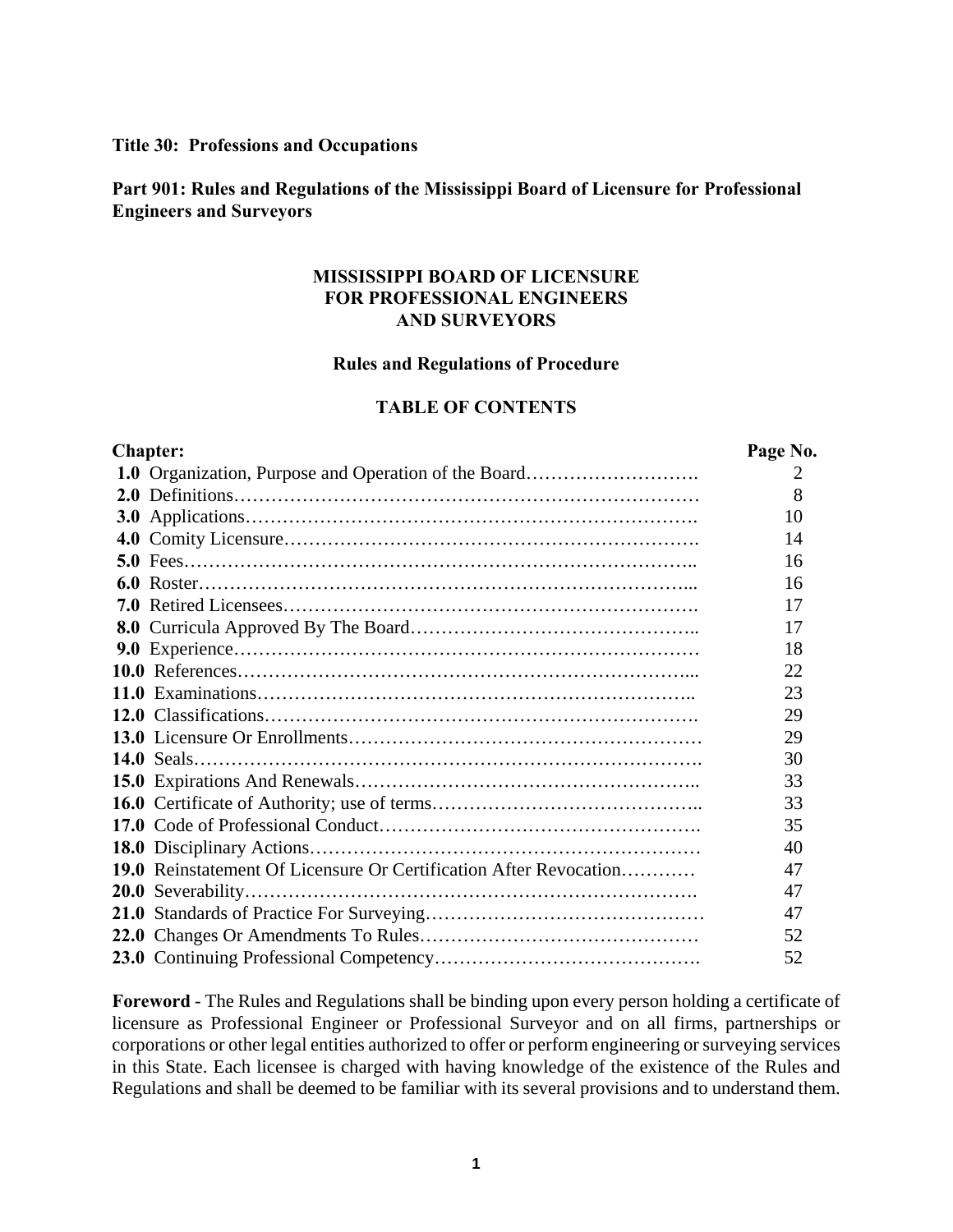#### **Title 30: Professions and Occupations**

### **Part 901: Rules and Regulations of the Mississippi Board of Licensure for Professional Engineers and Surveyors**

### **MISSISSIPPI BOARD OF LICENSURE FOR PROFESSIONAL ENGINEERS AND SURVEYORS**

#### **Rules and Regulations of Procedure**

#### **TABLE OF CONTENTS**

| <b>Chapter:</b> |                                                                          |    |
|-----------------|--------------------------------------------------------------------------|----|
|                 | 1.0 Organization, Purpose and Operation of the Board                     | 2  |
|                 |                                                                          | 8  |
|                 |                                                                          | 10 |
|                 |                                                                          | 14 |
|                 |                                                                          | 16 |
|                 |                                                                          | 16 |
|                 |                                                                          | 17 |
|                 |                                                                          | 17 |
|                 |                                                                          | 18 |
|                 |                                                                          | 22 |
|                 |                                                                          | 23 |
|                 |                                                                          | 29 |
|                 |                                                                          | 29 |
|                 |                                                                          | 30 |
|                 |                                                                          | 33 |
|                 |                                                                          | 33 |
|                 |                                                                          | 35 |
|                 |                                                                          | 40 |
|                 | <b>19.0</b> Reinstatement Of Licensure Or Certification After Revocation | 47 |
|                 |                                                                          | 47 |
|                 |                                                                          | 47 |
|                 |                                                                          | 52 |
|                 |                                                                          | 52 |

**Foreword** - The Rules and Regulations shall be binding upon every person holding a certificate of licensure as Professional Engineer or Professional Surveyor and on all firms, partnerships or corporations or other legal entities authorized to offer or perform engineering or surveying services in this State. Each licensee is charged with having knowledge of the existence of the Rules and Regulations and shall be deemed to be familiar with its several provisions and to understand them.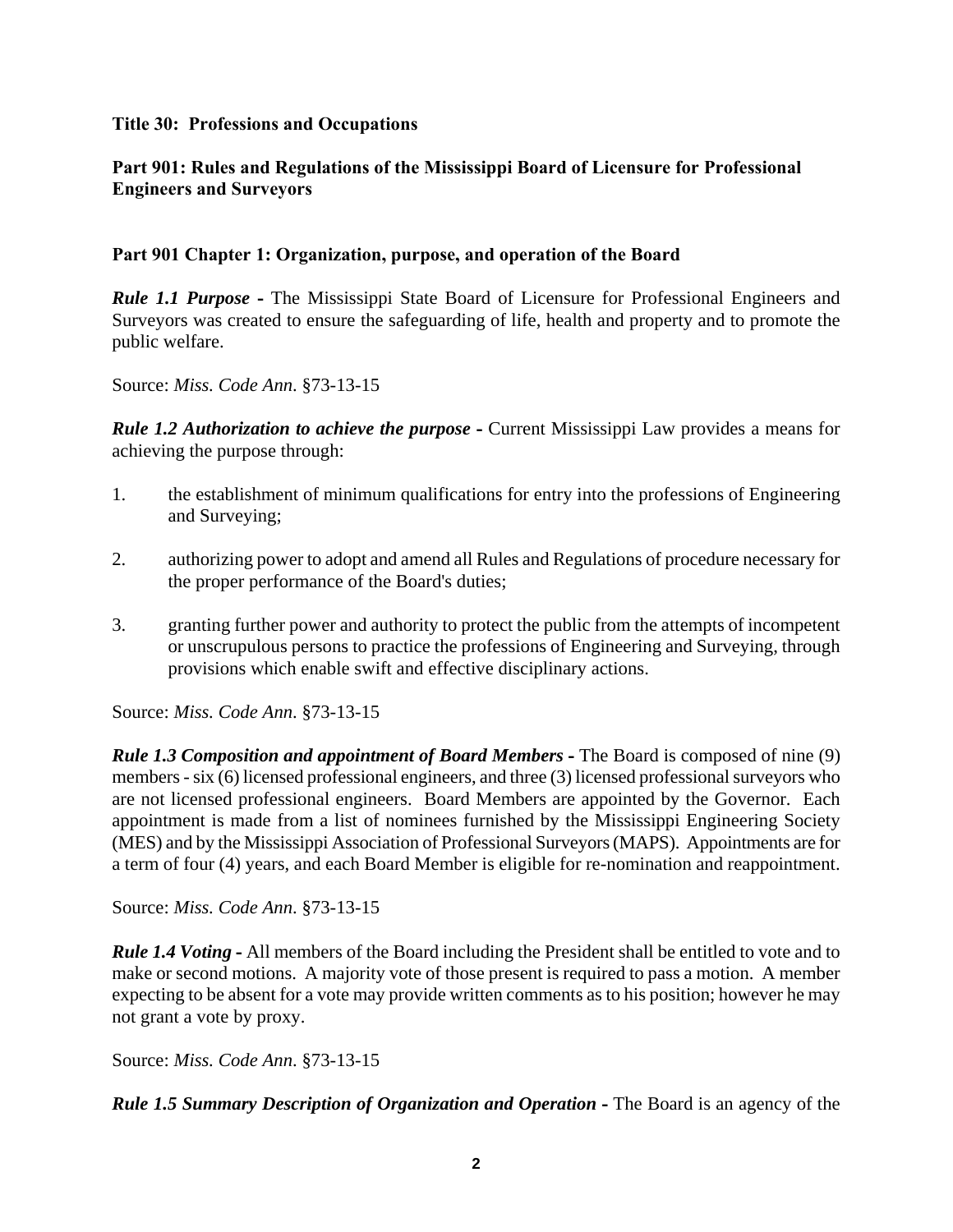### **Title 30: Professions and Occupations**

# **Part 901: Rules and Regulations of the Mississippi Board of Licensure for Professional Engineers and Surveyors**

### **Part 901 Chapter 1: Organization, purpose, and operation of the Board**

*Rule 1.1 Purpose* **-** The Mississippi State Board of Licensure for Professional Engineers and Surveyors was created to ensure the safeguarding of life, health and property and to promote the public welfare.

Source: *Miss. Code Ann*. §73-13-15

*Rule 1.2 Authorization to achieve the purpose* **-** Current Mississippi Law provides a means for achieving the purpose through:

- 1. the establishment of minimum qualifications for entry into the professions of Engineering and Surveying;
- 2. authorizing power to adopt and amend all Rules and Regulations of procedure necessary for the proper performance of the Board's duties;
- 3. granting further power and authority to protect the public from the attempts of incompetent or unscrupulous persons to practice the professions of Engineering and Surveying, through provisions which enable swift and effective disciplinary actions.

Source: *Miss. Code Ann*. §73-13-15

*Rule 1.3 Composition and appointment of Board Members* **-** The Board is composed of nine (9) members - six (6) licensed professional engineers, and three (3) licensed professional surveyors who are not licensed professional engineers. Board Members are appointed by the Governor. Each appointment is made from a list of nominees furnished by the Mississippi Engineering Society (MES) and by the Mississippi Association of Professional Surveyors (MAPS). Appointments are for a term of four (4) years, and each Board Member is eligible for re-nomination and reappointment.

Source: *Miss. Code Ann*. §73-13-15

*Rule 1.4 Voting* **-** All members of the Board including the President shall be entitled to vote and to make or second motions. A majority vote of those present is required to pass a motion. A member expecting to be absent for a vote may provide written comments as to his position; however he may not grant a vote by proxy.

Source: *Miss. Code Ann*. §73-13-15

*Rule 1.5 Summary Description of Organization and Operation* **-** The Board is an agency of the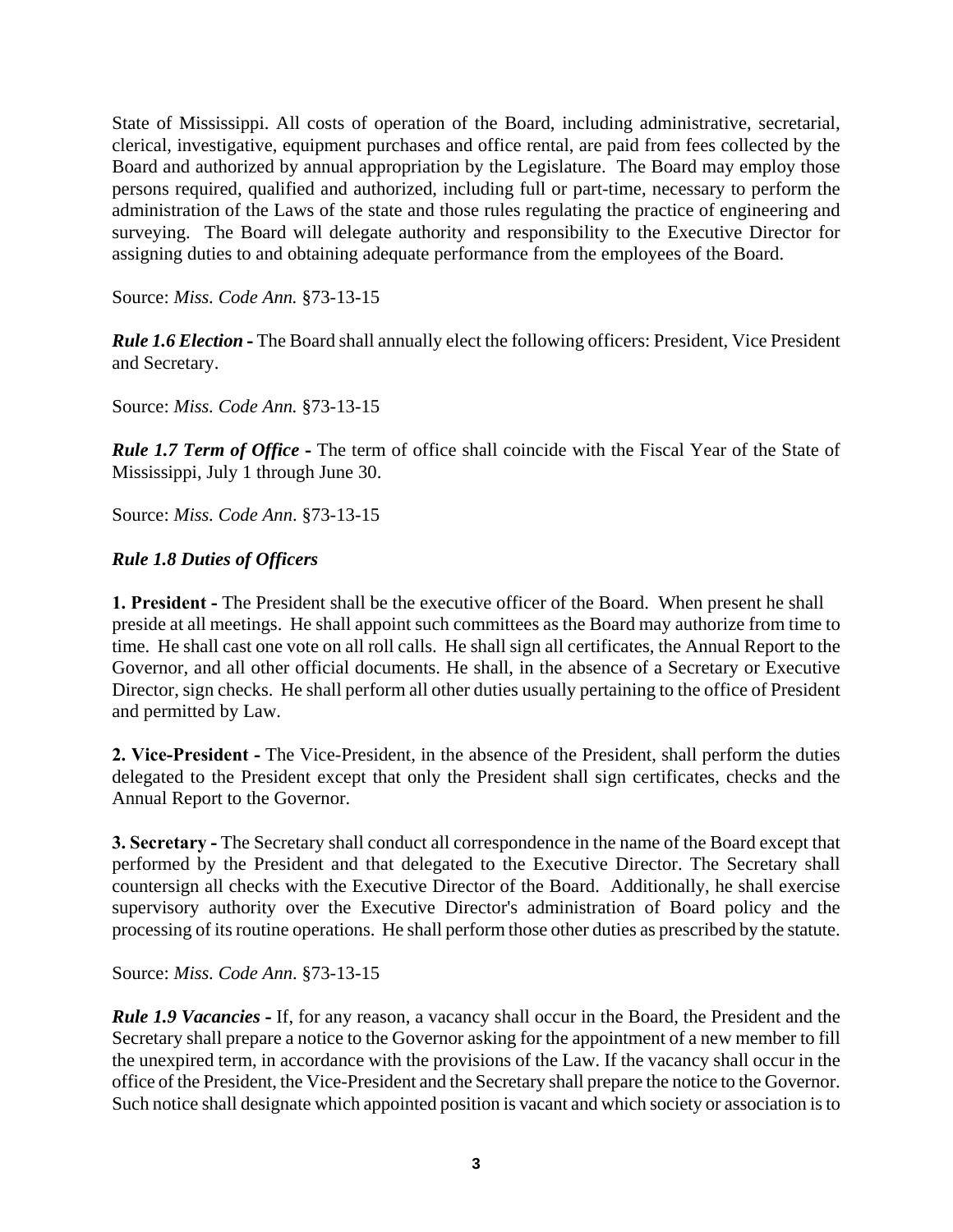State of Mississippi. All costs of operation of the Board, including administrative, secretarial, clerical, investigative, equipment purchases and office rental, are paid from fees collected by the Board and authorized by annual appropriation by the Legislature. The Board may employ those persons required, qualified and authorized, including full or part-time, necessary to perform the administration of the Laws of the state and those rules regulating the practice of engineering and surveying. The Board will delegate authority and responsibility to the Executive Director for assigning duties to and obtaining adequate performance from the employees of the Board.

Source: *Miss. Code Ann.* §73-13-15

*Rule 1.6 Election* **-** The Board shall annually elect the following officers: President, Vice President and Secretary.

Source: *Miss. Code Ann.* §73-13-15

*Rule 1.7 Term of Office* **-** The term of office shall coincide with the Fiscal Year of the State of Mississippi, July 1 through June 30.

Source: *Miss. Code Ann*. §73-13-15

# *Rule 1.8 Duties of Officers*

**1. President -** The President shall be the executive officer of the Board. When present he shall preside at all meetings. He shall appoint such committees as the Board may authorize from time to time. He shall cast one vote on all roll calls. He shall sign all certificates, the Annual Report to the Governor, and all other official documents. He shall, in the absence of a Secretary or Executive Director, sign checks. He shall perform all other duties usually pertaining to the office of President and permitted by Law.

**2. Vice-President -** The Vice-President, in the absence of the President, shall perform the duties delegated to the President except that only the President shall sign certificates, checks and the Annual Report to the Governor.

**3. Secretary -** The Secretary shall conduct all correspondence in the name of the Board except that performed by the President and that delegated to the Executive Director. The Secretary shall countersign all checks with the Executive Director of the Board. Additionally, he shall exercise supervisory authority over the Executive Director's administration of Board policy and the processing of its routine operations. He shall perform those other duties as prescribed by the statute.

Source: *Miss. Code Ann*. §73-13-15

*Rule 1.9 Vacancies* **-** If, for any reason, a vacancy shall occur in the Board, the President and the Secretary shall prepare a notice to the Governor asking for the appointment of a new member to fill the unexpired term, in accordance with the provisions of the Law. If the vacancy shall occur in the office of the President, the Vice-President and the Secretary shall prepare the notice to the Governor. Such notice shall designate which appointed position is vacant and which society or association is to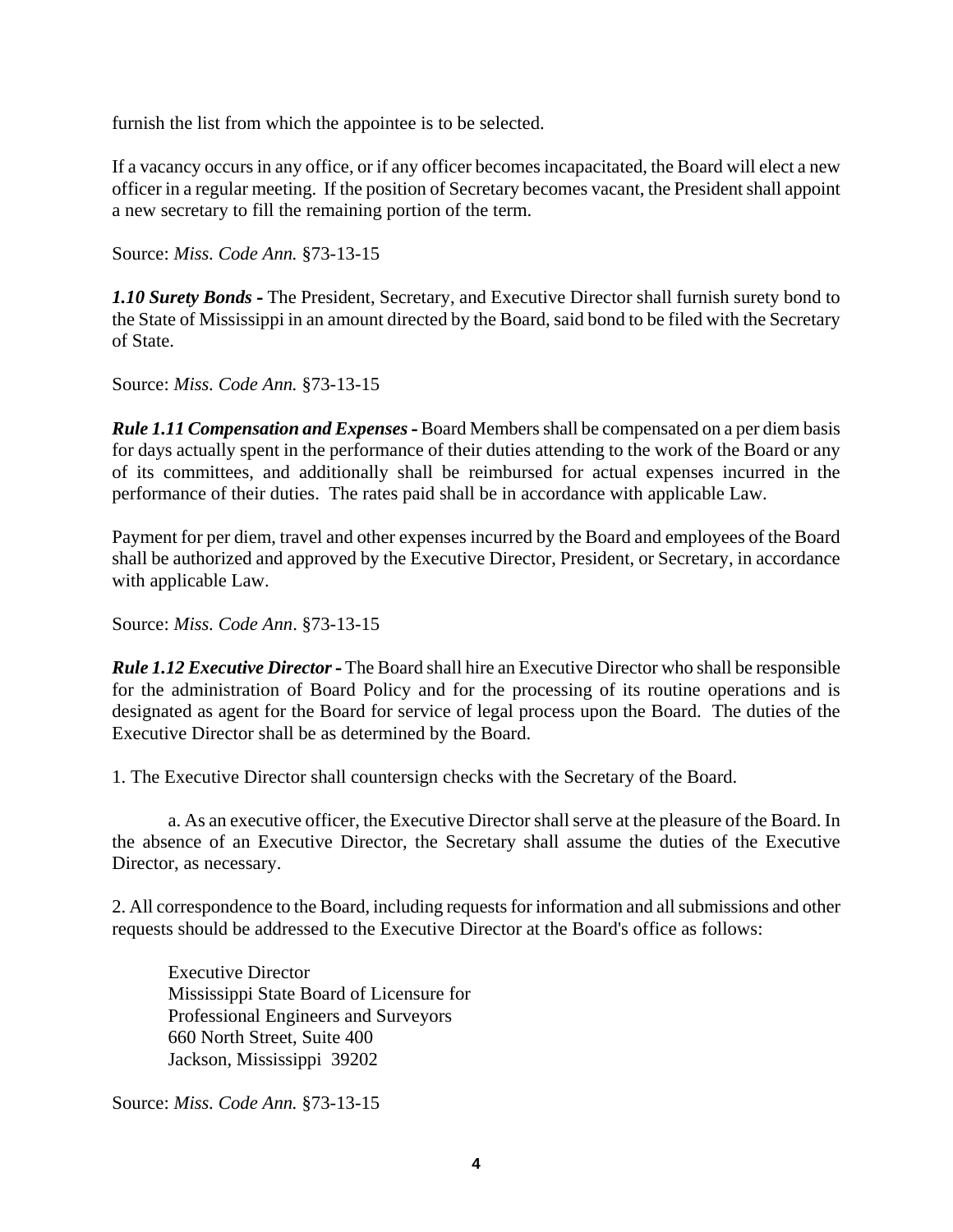furnish the list from which the appointee is to be selected.

If a vacancy occurs in any office, or if any officer becomes incapacitated, the Board will elect a new officer in a regular meeting. If the position of Secretary becomes vacant, the President shall appoint a new secretary to fill the remaining portion of the term.

Source: *Miss. Code Ann.* §73-13-15

*1.10 Surety Bonds* **-** The President, Secretary, and Executive Director shall furnish surety bond to the State of Mississippi in an amount directed by the Board, said bond to be filed with the Secretary of State.

Source: *Miss. Code Ann.* §73-13-15

*Rule 1.11 Compensation and Expenses* **-** Board Members shall be compensated on a per diem basis for days actually spent in the performance of their duties attending to the work of the Board or any of its committees, and additionally shall be reimbursed for actual expenses incurred in the performance of their duties. The rates paid shall be in accordance with applicable Law.

Payment for per diem, travel and other expenses incurred by the Board and employees of the Board shall be authorized and approved by the Executive Director, President, or Secretary, in accordance with applicable Law.

Source: *Miss. Code Ann*. §73-13-15

*Rule 1.12 Executive Director* **-** The Board shall hire an Executive Director who shall be responsible for the administration of Board Policy and for the processing of its routine operations and is designated as agent for the Board for service of legal process upon the Board. The duties of the Executive Director shall be as determined by the Board.

1. The Executive Director shall countersign checks with the Secretary of the Board.

a. As an executive officer, the Executive Director shall serve at the pleasure of the Board. In the absence of an Executive Director, the Secretary shall assume the duties of the Executive Director, as necessary.

2. All correspondence to the Board, including requests for information and all submissions and other requests should be addressed to the Executive Director at the Board's office as follows:

Executive Director Mississippi State Board of Licensure for Professional Engineers and Surveyors 660 North Street, Suite 400 Jackson, Mississippi 39202

Source: *Miss. Code Ann.* §73-13-15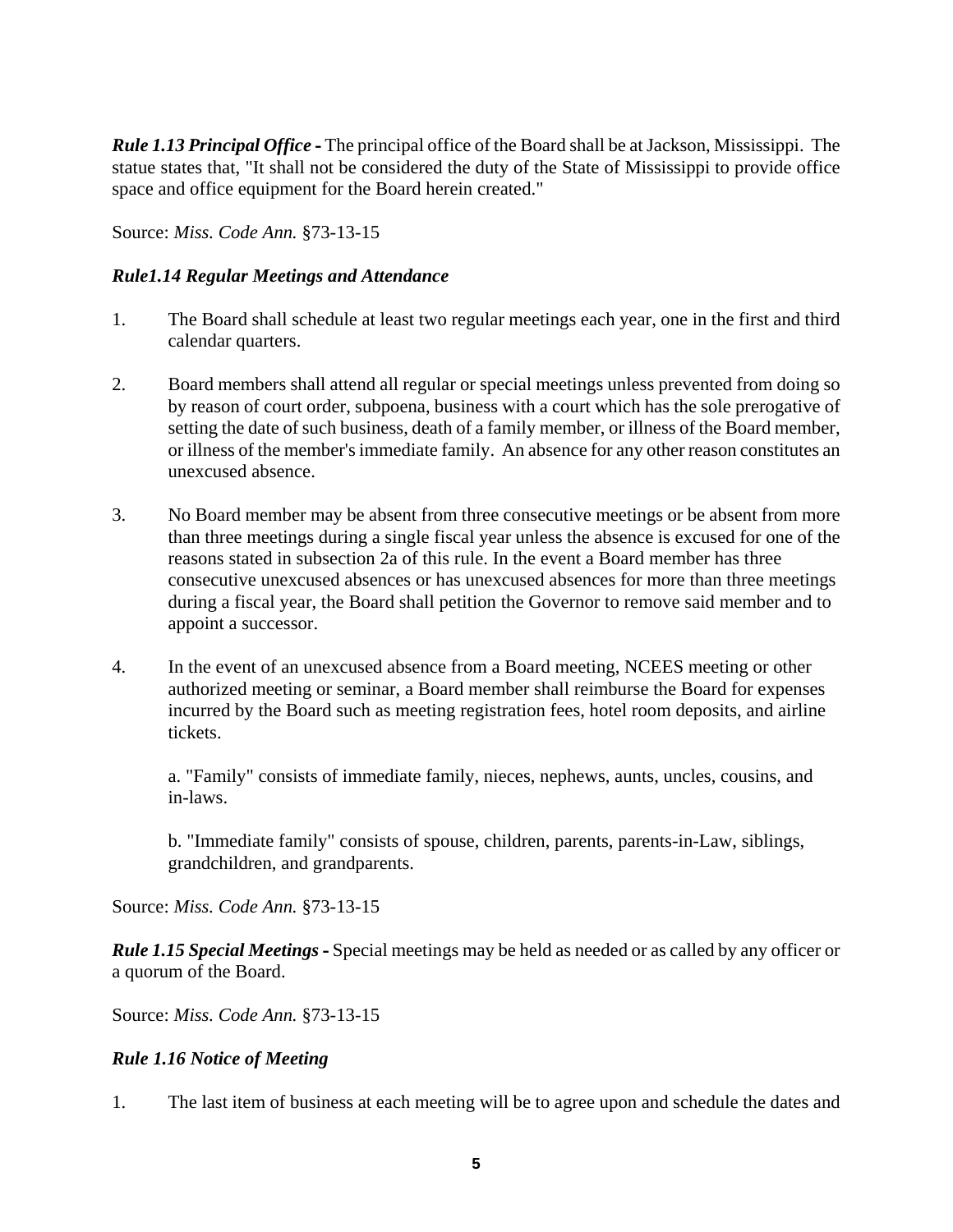*Rule 1.13 Principal Office* **-** The principal office of the Board shall be at Jackson, Mississippi. The statue states that, "It shall not be considered the duty of the State of Mississippi to provide office space and office equipment for the Board herein created."

Source: *Miss. Code Ann.* §73-13-15

### *Rule1.14 Regular Meetings and Attendance*

- 1. The Board shall schedule at least two regular meetings each year, one in the first and third calendar quarters.
- 2. Board members shall attend all regular or special meetings unless prevented from doing so by reason of court order, subpoena, business with a court which has the sole prerogative of setting the date of such business, death of a family member, or illness of the Board member, or illness of the member's immediate family. An absence for any other reason constitutes an unexcused absence.
- 3. No Board member may be absent from three consecutive meetings or be absent from more than three meetings during a single fiscal year unless the absence is excused for one of the reasons stated in subsection 2a of this rule. In the event a Board member has three consecutive unexcused absences or has unexcused absences for more than three meetings during a fiscal year, the Board shall petition the Governor to remove said member and to appoint a successor.
- 4. In the event of an unexcused absence from a Board meeting, NCEES meeting or other authorized meeting or seminar, a Board member shall reimburse the Board for expenses incurred by the Board such as meeting registration fees, hotel room deposits, and airline tickets.

 a. "Family" consists of immediate family, nieces, nephews, aunts, uncles, cousins, and in-laws.

b. "Immediate family" consists of spouse, children, parents, parents-in-Law, siblings, grandchildren, and grandparents.

Source: *Miss. Code Ann.* §73-13-15

*Rule 1.15 Special Meetings* **-** Special meetings may be held as needed or as called by any officer or a quorum of the Board.

Source: *Miss. Code Ann.* §73-13-15

#### *Rule 1.16 Notice of Meeting*

1. The last item of business at each meeting will be to agree upon and schedule the dates and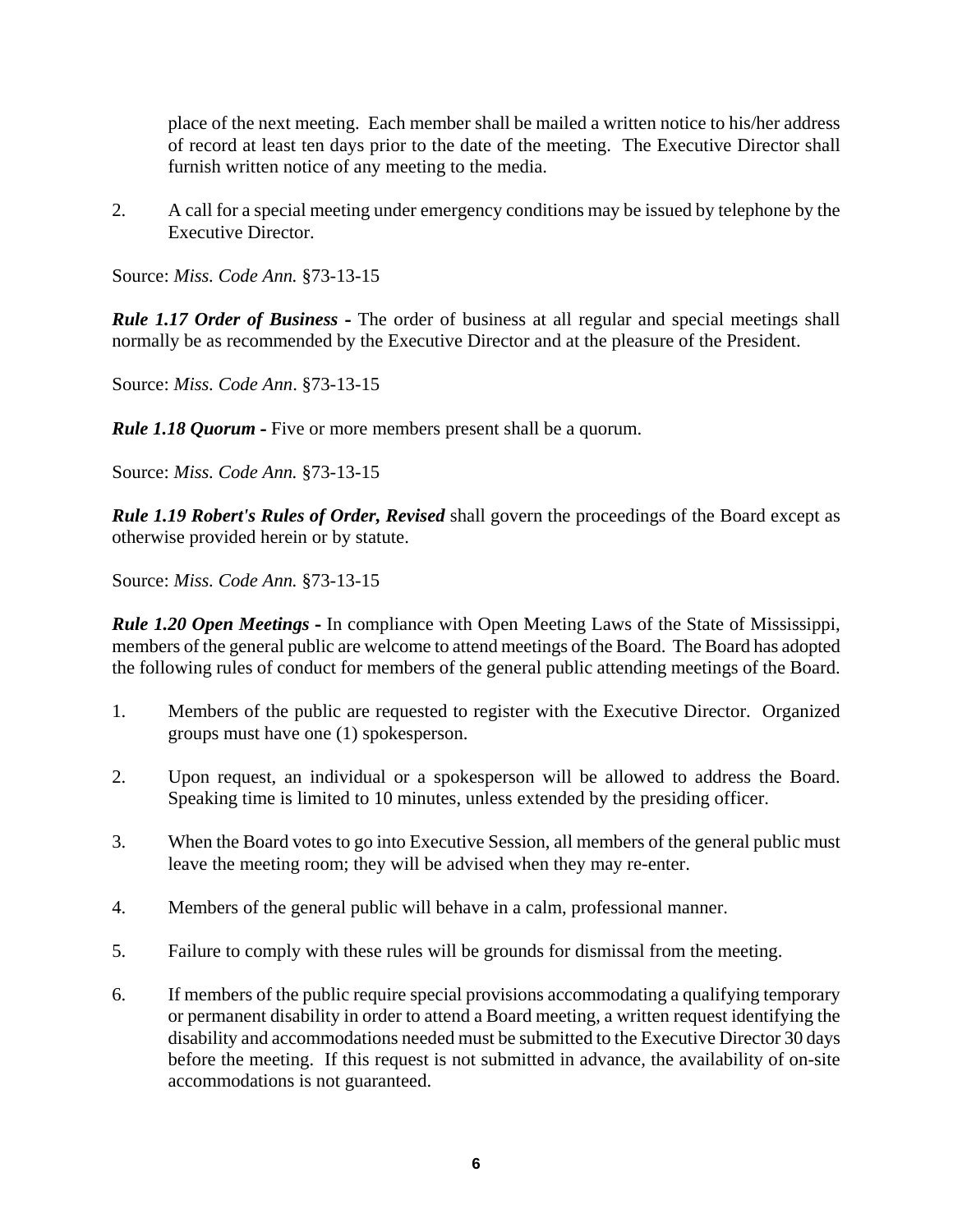place of the next meeting. Each member shall be mailed a written notice to his/her address of record at least ten days prior to the date of the meeting. The Executive Director shall furnish written notice of any meeting to the media.

2. A call for a special meeting under emergency conditions may be issued by telephone by the Executive Director.

Source: *Miss. Code Ann.* §73-13-15

*Rule 1.17 Order of Business* **-** The order of business at all regular and special meetings shall normally be as recommended by the Executive Director and at the pleasure of the President.

Source: *Miss. Code Ann*. §73-13-15

*Rule 1.18 Quorum* **-** Five or more members present shall be a quorum.

Source: *Miss. Code Ann.* §73-13-15

*Rule 1.19 Robert's Rules of Order, Revised* shall govern the proceedings of the Board except as otherwise provided herein or by statute.

Source: *Miss. Code Ann.* §73-13-15

*Rule 1.20 Open Meetings* **-** In compliance with Open Meeting Laws of the State of Mississippi, members of the general public are welcome to attend meetings of the Board. The Board has adopted the following rules of conduct for members of the general public attending meetings of the Board.

- 1. Members of the public are requested to register with the Executive Director. Organized groups must have one (1) spokesperson.
- 2. Upon request, an individual or a spokesperson will be allowed to address the Board. Speaking time is limited to 10 minutes, unless extended by the presiding officer.
- 3. When the Board votes to go into Executive Session, all members of the general public must leave the meeting room; they will be advised when they may re-enter.
- 4. Members of the general public will behave in a calm, professional manner.
- 5. Failure to comply with these rules will be grounds for dismissal from the meeting.
- 6. If members of the public require special provisions accommodating a qualifying temporary or permanent disability in order to attend a Board meeting, a written request identifying the disability and accommodations needed must be submitted to the Executive Director 30 days before the meeting. If this request is not submitted in advance, the availability of on-site accommodations is not guaranteed.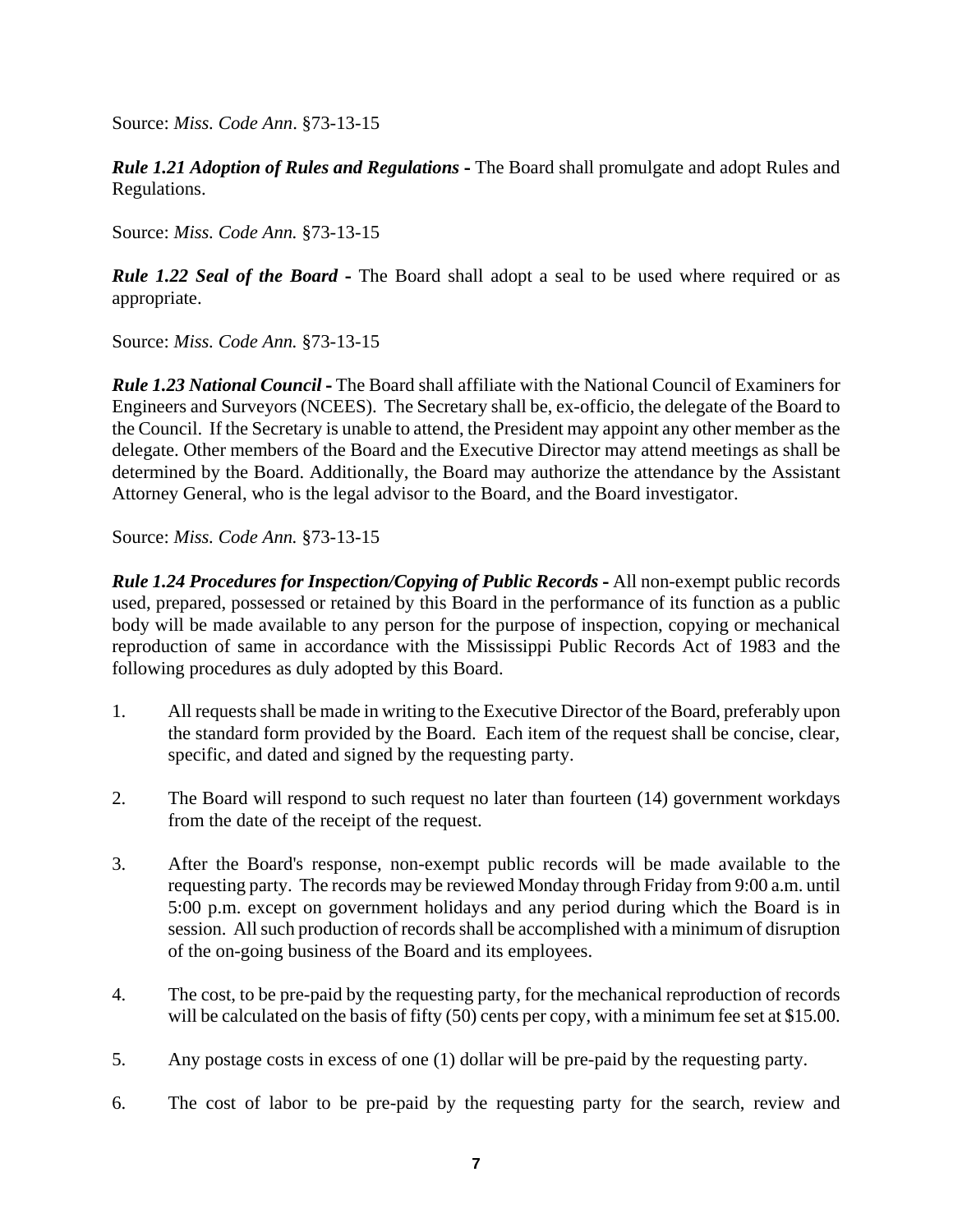*Rule 1.21 Adoption of Rules and Regulations* **-** The Board shall promulgate and adopt Rules and Regulations.

Source: *Miss. Code Ann.* §73-13-15

*Rule 1.22 Seal of the Board* - The Board shall adopt a seal to be used where required or as appropriate.

Source: *Miss. Code Ann.* §73-13-15

*Rule 1.23 National Council* **-** The Board shall affiliate with the National Council of Examiners for Engineers and Surveyors (NCEES). The Secretary shall be, ex-officio, the delegate of the Board to the Council. If the Secretary is unable to attend, the President may appoint any other member as the delegate. Other members of the Board and the Executive Director may attend meetings as shall be determined by the Board. Additionally, the Board may authorize the attendance by the Assistant Attorney General, who is the legal advisor to the Board, and the Board investigator.

Source: *Miss. Code Ann.* §73-13-15

*Rule 1.24 Procedures for Inspection/Copying of Public Records* **-** All non-exempt public records used, prepared, possessed or retained by this Board in the performance of its function as a public body will be made available to any person for the purpose of inspection, copying or mechanical reproduction of same in accordance with the Mississippi Public Records Act of 1983 and the following procedures as duly adopted by this Board.

- 1. All requests shall be made in writing to the Executive Director of the Board, preferably upon the standard form provided by the Board. Each item of the request shall be concise, clear, specific, and dated and signed by the requesting party.
- 2. The Board will respond to such request no later than fourteen (14) government workdays from the date of the receipt of the request.
- 3. After the Board's response, non-exempt public records will be made available to the requesting party. The records may be reviewed Monday through Friday from 9:00 a.m. until 5:00 p.m. except on government holidays and any period during which the Board is in session. All such production of records shall be accomplished with a minimum of disruption of the on-going business of the Board and its employees.
- 4. The cost, to be pre-paid by the requesting party, for the mechanical reproduction of records will be calculated on the basis of fifty (50) cents per copy, with a minimum fee set at \$15.00.
- 5. Any postage costs in excess of one (1) dollar will be pre-paid by the requesting party.
- 6. The cost of labor to be pre-paid by the requesting party for the search, review and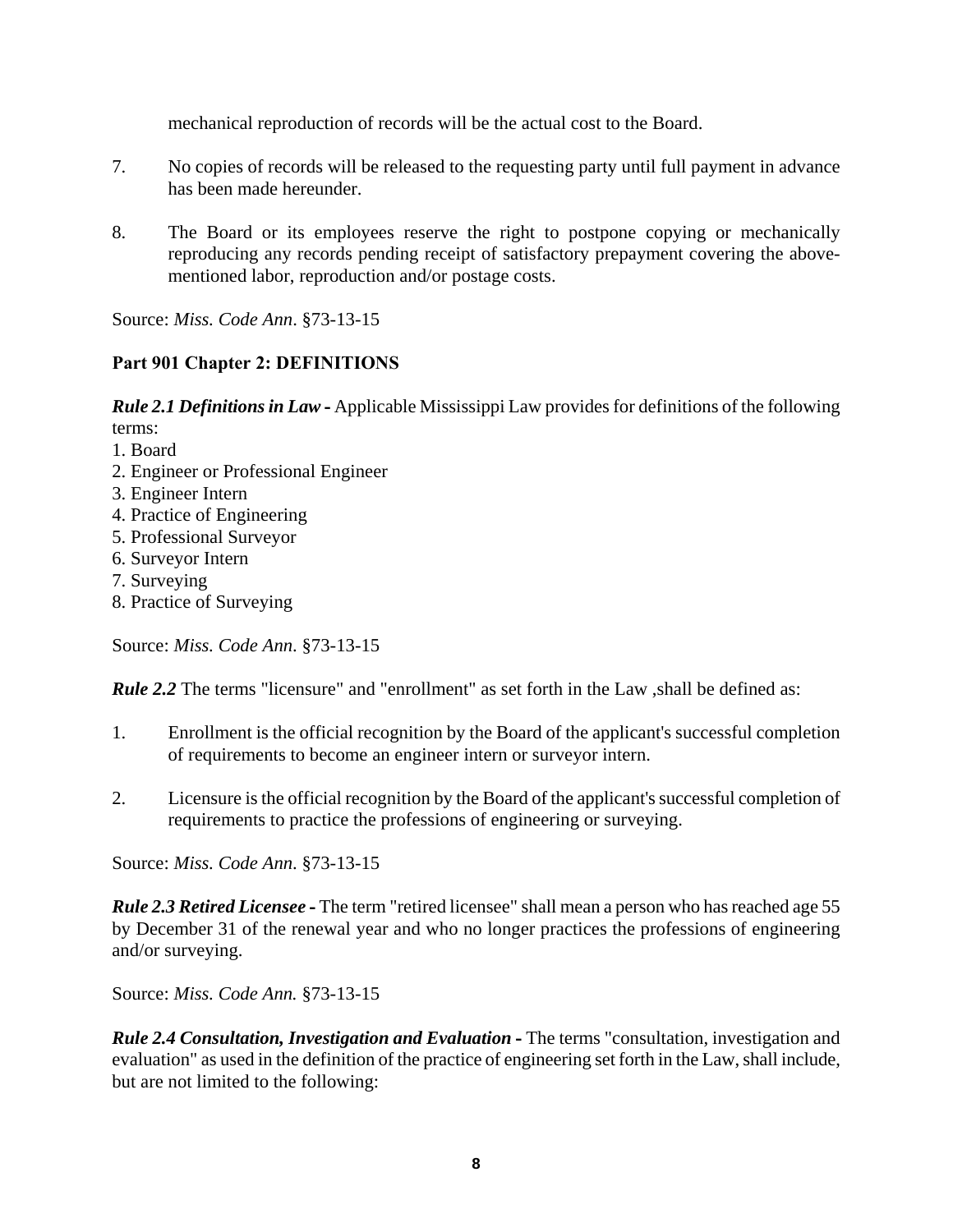mechanical reproduction of records will be the actual cost to the Board.

- 7. No copies of records will be released to the requesting party until full payment in advance has been made hereunder.
- 8. The Board or its employees reserve the right to postpone copying or mechanically reproducing any records pending receipt of satisfactory prepayment covering the abovementioned labor, reproduction and/or postage costs.

Source: *Miss. Code Ann*. §73-13-15

# **Part 901 Chapter 2: DEFINITIONS**

*Rule 2.1 Definitions in Law* **-** Applicable Mississippi Law provides for definitions of the following terms:

- 1. Board
- 2. Engineer or Professional Engineer
- 3. Engineer Intern
- 4. Practice of Engineering
- 5. Professional Surveyor
- 6. Surveyor Intern
- 7. Surveying
- 8. Practice of Surveying

Source: *Miss. Code Ann*. §73-13-15

*Rule 2.2* The terms "licensure" and "enrollment" as set forth in the Law ,shall be defined as:

- 1. Enrollment is the official recognition by the Board of the applicant's successful completion of requirements to become an engineer intern or surveyor intern.
- 2. Licensure is the official recognition by the Board of the applicant's successful completion of requirements to practice the professions of engineering or surveying.

Source: *Miss. Code Ann*. §73-13-15

*Rule 2.3 Retired Licensee* **-** The term "retired licensee" shall mean a person who has reached age 55 by December 31 of the renewal year and who no longer practices the professions of engineering and/or surveying.

Source: *Miss. Code Ann.* §73-13-15

*Rule 2.4 Consultation, Investigation and Evaluation* **-** The terms "consultation, investigation and evaluation" as used in the definition of the practice of engineering set forth in the Law, shall include, but are not limited to the following: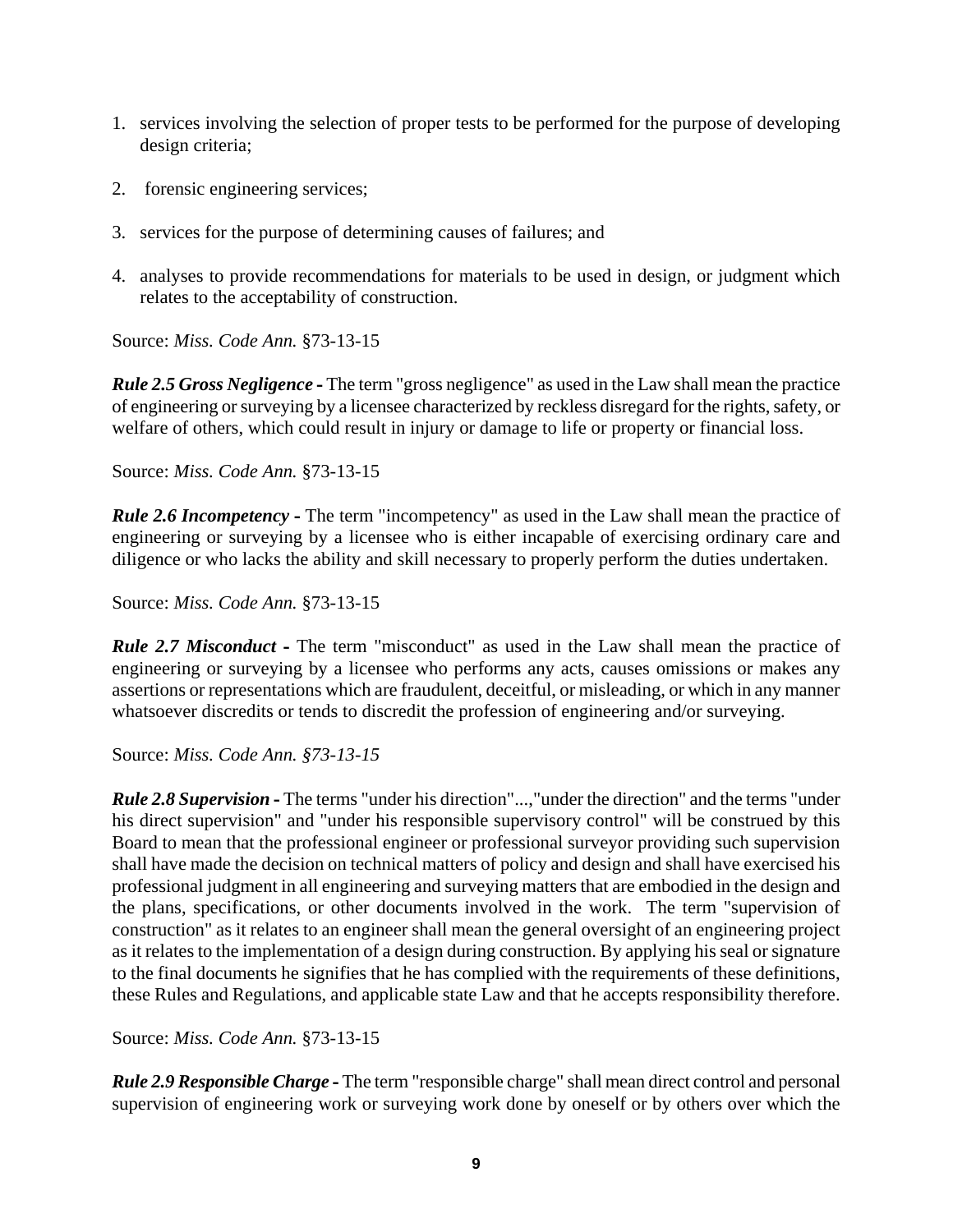- 1. services involving the selection of proper tests to be performed for the purpose of developing design criteria;
- 2. forensic engineering services;
- 3. services for the purpose of determining causes of failures; and
- 4. analyses to provide recommendations for materials to be used in design, or judgment which relates to the acceptability of construction.

*Rule 2.5 Gross Negligence* **-** The term "gross negligence" as used in the Law shall mean the practice of engineering or surveying by a licensee characterized by reckless disregard for the rights, safety, or welfare of others, which could result in injury or damage to life or property or financial loss.

Source: *Miss. Code Ann.* §73-13-15

*Rule 2.6 Incompetency* **-** The term "incompetency" as used in the Law shall mean the practice of engineering or surveying by a licensee who is either incapable of exercising ordinary care and diligence or who lacks the ability and skill necessary to properly perform the duties undertaken.

Source: *Miss. Code Ann.* §73-13-15

*Rule 2.7 Misconduct* **-** The term "misconduct" as used in the Law shall mean the practice of engineering or surveying by a licensee who performs any acts, causes omissions or makes any assertions or representations which are fraudulent, deceitful, or misleading, or which in any manner whatsoever discredits or tends to discredit the profession of engineering and/or surveying.

Source: *Miss. Code Ann. §73-13-15*

*Rule 2.8 Supervision* **-** The terms "under his direction"...,"under the direction" and the terms "under his direct supervision" and "under his responsible supervisory control" will be construed by this Board to mean that the professional engineer or professional surveyor providing such supervision shall have made the decision on technical matters of policy and design and shall have exercised his professional judgment in all engineering and surveying matters that are embodied in the design and the plans, specifications, or other documents involved in the work. The term "supervision of construction" as it relates to an engineer shall mean the general oversight of an engineering project as it relates to the implementation of a design during construction. By applying his seal or signature to the final documents he signifies that he has complied with the requirements of these definitions, these Rules and Regulations, and applicable state Law and that he accepts responsibility therefore.

Source: *Miss. Code Ann.* §73-13-15

*Rule 2.9 Responsible Charge* **-** The term "responsible charge" shall mean direct control and personal supervision of engineering work or surveying work done by oneself or by others over which the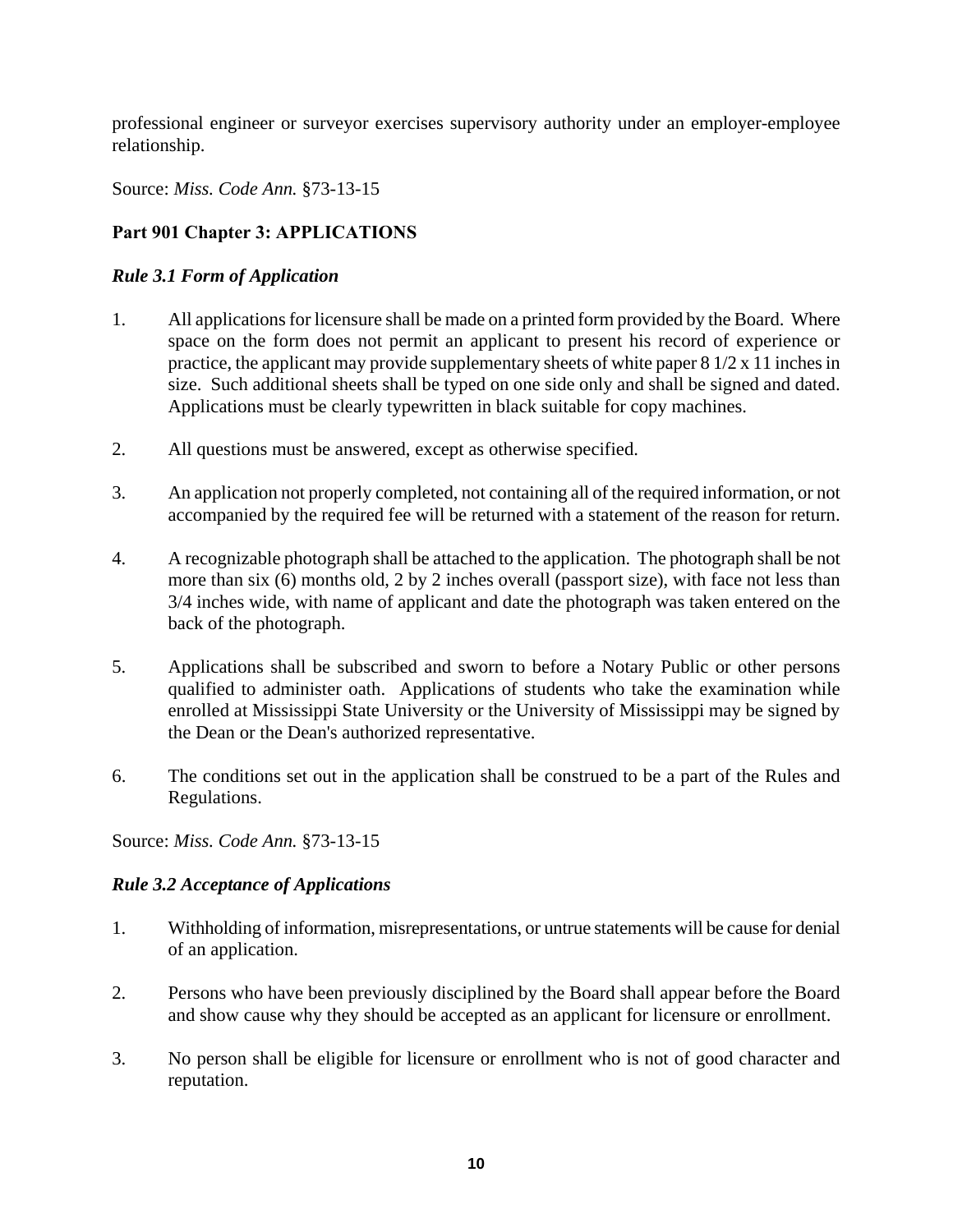professional engineer or surveyor exercises supervisory authority under an employer-employee relationship.

Source: *Miss. Code Ann.* §73-13-15

# **Part 901 Chapter 3: APPLICATIONS**

### *Rule 3.1 Form of Application*

- 1. All applications for licensure shall be made on a printed form provided by the Board. Where space on the form does not permit an applicant to present his record of experience or practice, the applicant may provide supplementary sheets of white paper 8 1/2 x 11 inches in size. Such additional sheets shall be typed on one side only and shall be signed and dated. Applications must be clearly typewritten in black suitable for copy machines.
- 2. All questions must be answered, except as otherwise specified.
- 3. An application not properly completed, not containing all of the required information, or not accompanied by the required fee will be returned with a statement of the reason for return.
- 4. A recognizable photograph shall be attached to the application. The photograph shall be not more than six (6) months old, 2 by 2 inches overall (passport size), with face not less than 3/4 inches wide, with name of applicant and date the photograph was taken entered on the back of the photograph.
- 5. Applications shall be subscribed and sworn to before a Notary Public or other persons qualified to administer oath. Applications of students who take the examination while enrolled at Mississippi State University or the University of Mississippi may be signed by the Dean or the Dean's authorized representative.
- 6. The conditions set out in the application shall be construed to be a part of the Rules and Regulations.

Source: *Miss. Code Ann.* §73-13-15

# *Rule 3.2 Acceptance of Applications*

- 1. Withholding of information, misrepresentations, or untrue statements will be cause for denial of an application.
- 2. Persons who have been previously disciplined by the Board shall appear before the Board and show cause why they should be accepted as an applicant for licensure or enrollment.
- 3. No person shall be eligible for licensure or enrollment who is not of good character and reputation.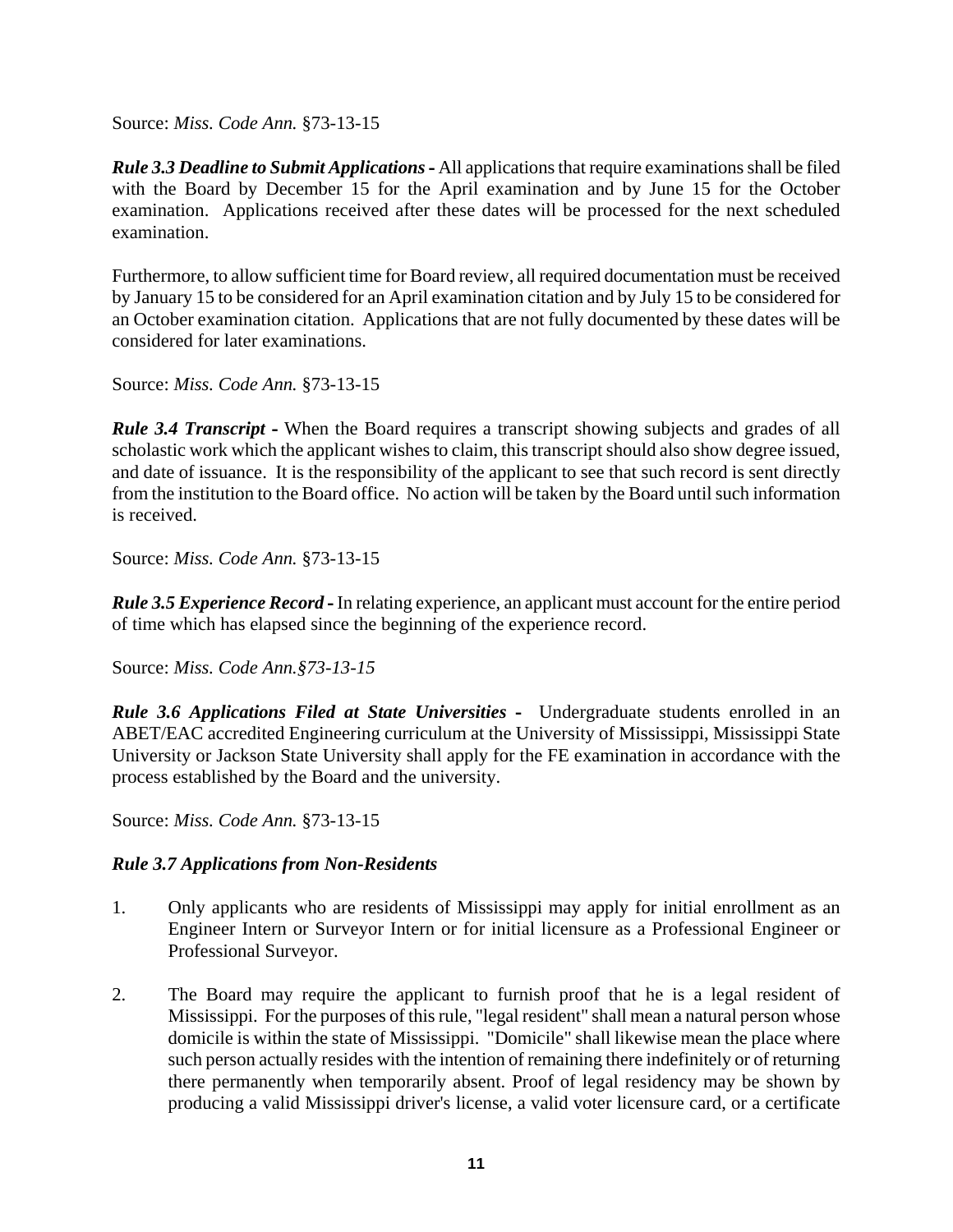*Rule 3.3 Deadline to Submit Applications* **-** All applications that require examinations shall be filed with the Board by December 15 for the April examination and by June 15 for the October examination. Applications received after these dates will be processed for the next scheduled examination.

Furthermore, to allow sufficient time for Board review, all required documentation must be received by January 15 to be considered for an April examination citation and by July 15 to be considered for an October examination citation. Applications that are not fully documented by these dates will be considered for later examinations.

Source: *Miss. Code Ann.* §73-13-15

*Rule 3.4 Transcript* **-** When the Board requires a transcript showing subjects and grades of all scholastic work which the applicant wishes to claim, this transcript should also show degree issued, and date of issuance. It is the responsibility of the applicant to see that such record is sent directly from the institution to the Board office. No action will be taken by the Board until such information is received.

Source: *Miss. Code Ann.* §73-13-15

*Rule 3.5 Experience Record* **-** In relating experience, an applicant must account for the entire period of time which has elapsed since the beginning of the experience record.

Source: *Miss. Code Ann.§73-13-15* 

*Rule 3.6 Applications Filed at State Universities* **-** Undergraduate students enrolled in an ABET/EAC accredited Engineering curriculum at the University of Mississippi, Mississippi State University or Jackson State University shall apply for the FE examination in accordance with the process established by the Board and the university.

Source: *Miss. Code Ann.* §73-13-15

# *Rule 3.7 Applications from Non-Residents*

- 1. Only applicants who are residents of Mississippi may apply for initial enrollment as an Engineer Intern or Surveyor Intern or for initial licensure as a Professional Engineer or Professional Surveyor.
- 2. The Board may require the applicant to furnish proof that he is a legal resident of Mississippi. For the purposes of this rule, "legal resident" shall mean a natural person whose domicile is within the state of Mississippi. "Domicile" shall likewise mean the place where such person actually resides with the intention of remaining there indefinitely or of returning there permanently when temporarily absent. Proof of legal residency may be shown by producing a valid Mississippi driver's license, a valid voter licensure card, or a certificate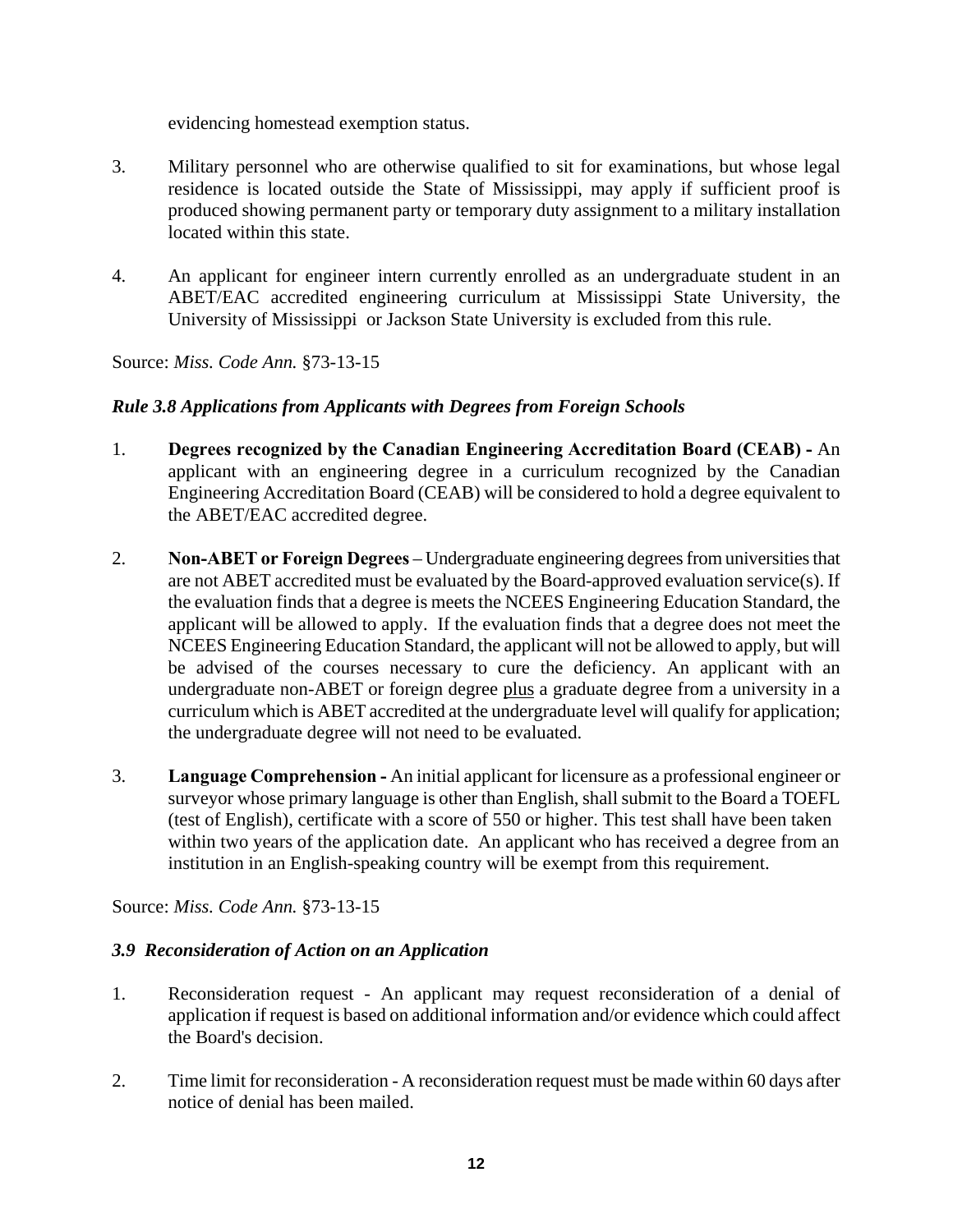evidencing homestead exemption status.

- 3. Military personnel who are otherwise qualified to sit for examinations, but whose legal residence is located outside the State of Mississippi, may apply if sufficient proof is produced showing permanent party or temporary duty assignment to a military installation located within this state.
- 4. An applicant for engineer intern currently enrolled as an undergraduate student in an ABET/EAC accredited engineering curriculum at Mississippi State University, the University of Mississippi or Jackson State University is excluded from this rule.

Source: *Miss. Code Ann.* §73-13-15

# *Rule 3.8 Applications from Applicants with Degrees from Foreign Schools*

- 1. **Degrees recognized by the Canadian Engineering Accreditation Board (CEAB) -** An applicant with an engineering degree in a curriculum recognized by the Canadian Engineering Accreditation Board (CEAB) will be considered to hold a degree equivalent to the ABET/EAC accredited degree.
- 2. **Non-ABET or Foreign Degrees** Undergraduate engineering degrees from universities that are not ABET accredited must be evaluated by the Board-approved evaluation service(s). If the evaluation finds that a degree is meets the NCEES Engineering Education Standard, the applicant will be allowed to apply. If the evaluation finds that a degree does not meet the NCEES Engineering Education Standard, the applicant will not be allowed to apply, but will be advised of the courses necessary to cure the deficiency. An applicant with an undergraduate non-ABET or foreign degree plus a graduate degree from a university in a curriculum which is ABET accredited at the undergraduate level will qualify for application; the undergraduate degree will not need to be evaluated.
- 3. **Language Comprehension -** An initial applicant for licensure as a professional engineer or surveyor whose primary language is other than English, shall submit to the Board a TOEFL (test of English), certificate with a score of 550 or higher. This test shall have been taken within two years of the application date. An applicant who has received a degree from an institution in an English-speaking country will be exempt from this requirement.

Source: *Miss. Code Ann.* §73-13-15

#### *3.9 Reconsideration of Action on an Application*

- 1. Reconsideration request An applicant may request reconsideration of a denial of application if request is based on additional information and/or evidence which could affect the Board's decision.
- 2. Time limit for reconsideration A reconsideration request must be made within 60 days after notice of denial has been mailed.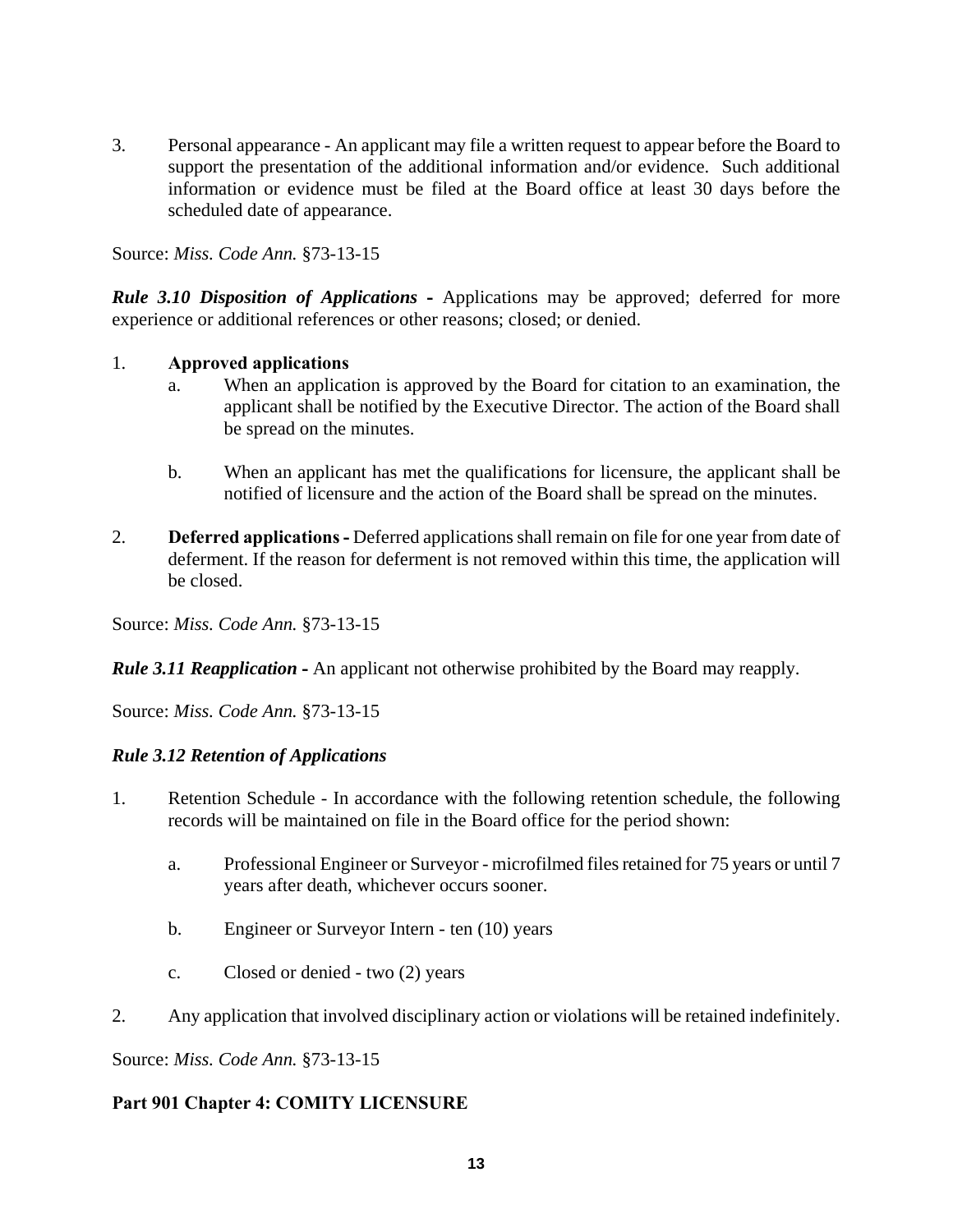3. Personal appearance - An applicant may file a written request to appear before the Board to support the presentation of the additional information and/or evidence. Such additional information or evidence must be filed at the Board office at least 30 days before the scheduled date of appearance.

Source: *Miss. Code Ann.* §73-13-15

*Rule 3.10 Disposition of Applications* - Applications may be approved; deferred for more experience or additional references or other reasons; closed; or denied.

#### 1. **Approved applications**

- a. When an application is approved by the Board for citation to an examination, the applicant shall be notified by the Executive Director. The action of the Board shall be spread on the minutes.
- b. When an applicant has met the qualifications for licensure, the applicant shall be notified of licensure and the action of the Board shall be spread on the minutes.
- 2. **Deferred applications -** Deferred applications shall remain on file for one year from date of deferment. If the reason for deferment is not removed within this time, the application will be closed.

Source: *Miss. Code Ann.* §73-13-15

*Rule 3.11 Reapplication* **-** An applicant not otherwise prohibited by the Board may reapply.

Source: *Miss. Code Ann.* §73-13-15

# *Rule 3.12 Retention of Applications*

- 1. Retention Schedule In accordance with the following retention schedule, the following records will be maintained on file in the Board office for the period shown:
	- a. Professional Engineer or Surveyor microfilmed files retained for 75 years or until 7 years after death, whichever occurs sooner.
	- b. Engineer or Surveyor Intern ten (10) years
	- c. Closed or denied two (2) years
- 2. Any application that involved disciplinary action or violations will be retained indefinitely.

Source: *Miss. Code Ann.* §73-13-15

# **Part 901 Chapter 4: COMITY LICENSURE**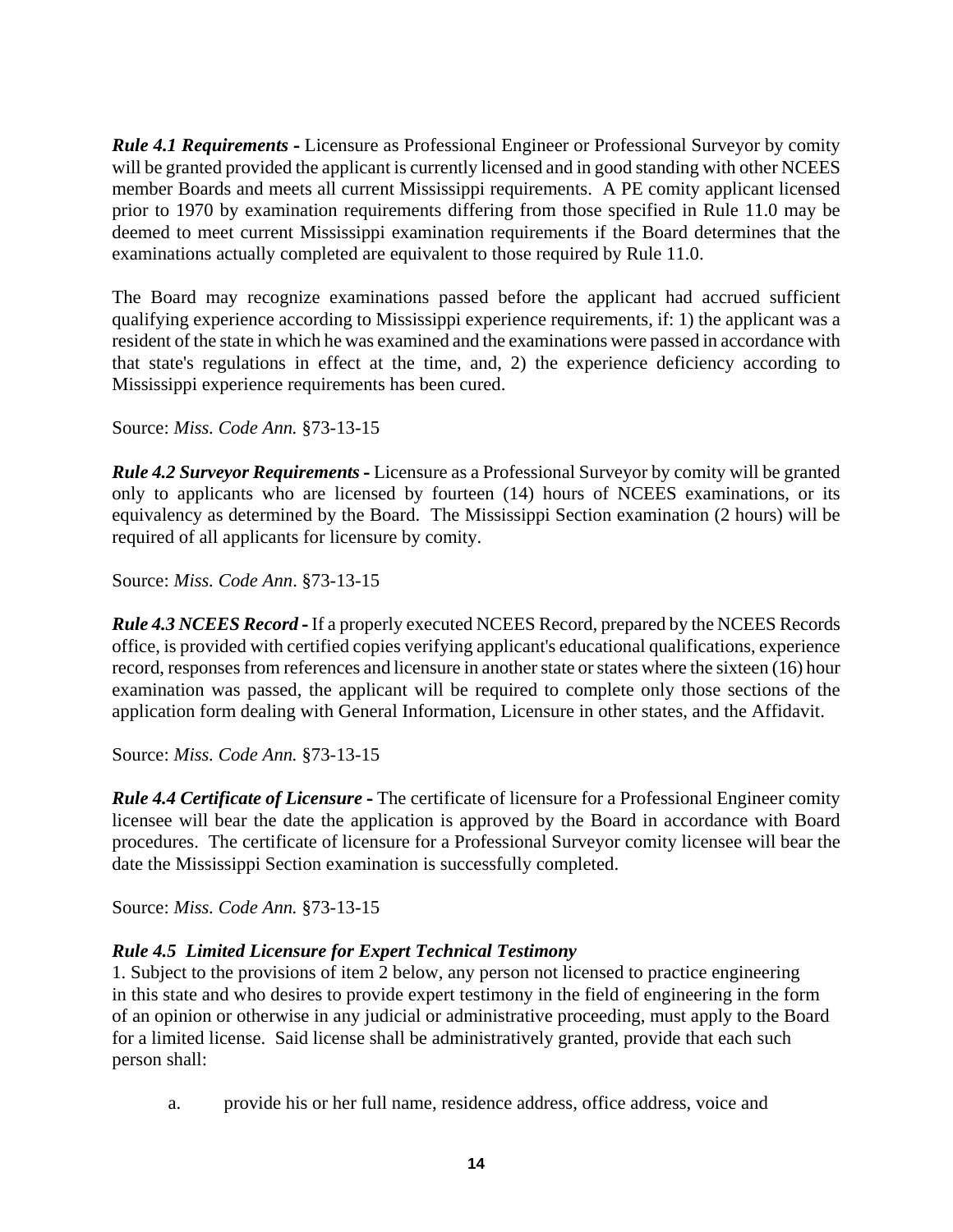*Rule 4.1 Requirements* **-** Licensure as Professional Engineer or Professional Surveyor by comity will be granted provided the applicant is currently licensed and in good standing with other NCEES member Boards and meets all current Mississippi requirements. A PE comity applicant licensed prior to 1970 by examination requirements differing from those specified in Rule 11.0 may be deemed to meet current Mississippi examination requirements if the Board determines that the examinations actually completed are equivalent to those required by Rule 11.0.

The Board may recognize examinations passed before the applicant had accrued sufficient qualifying experience according to Mississippi experience requirements, if: 1) the applicant was a resident of the state in which he was examined and the examinations were passed in accordance with that state's regulations in effect at the time, and, 2) the experience deficiency according to Mississippi experience requirements has been cured.

Source: *Miss. Code Ann.* §73-13-15

*Rule 4.2 Surveyor Requirements* **-** Licensure as a Professional Surveyor by comity will be granted only to applicants who are licensed by fourteen (14) hours of NCEES examinations, or its equivalency as determined by the Board. The Mississippi Section examination (2 hours) will be required of all applicants for licensure by comity.

Source: *Miss. Code Ann*. §73-13-15

*Rule 4.3 NCEES Record* **-** If a properly executed NCEES Record, prepared by the NCEES Records office, is provided with certified copies verifying applicant's educational qualifications, experience record, responses from references and licensure in another state or states where the sixteen (16) hour examination was passed, the applicant will be required to complete only those sections of the application form dealing with General Information, Licensure in other states, and the Affidavit.

Source: *Miss. Code Ann.* §73-13-15

*Rule 4.4 Certificate of Licensure* **-** The certificate of licensure for a Professional Engineer comity licensee will bear the date the application is approved by the Board in accordance with Board procedures. The certificate of licensure for a Professional Surveyor comity licensee will bear the date the Mississippi Section examination is successfully completed.

Source: *Miss. Code Ann.* §73-13-15

# *Rule 4.5 Limited Licensure for Expert Technical Testimony*

1. Subject to the provisions of item 2 below, any person not licensed to practice engineering in this state and who desires to provide expert testimony in the field of engineering in the form of an opinion or otherwise in any judicial or administrative proceeding, must apply to the Board for a limited license. Said license shall be administratively granted, provide that each such person shall:

a. provide his or her full name, residence address, office address, voice and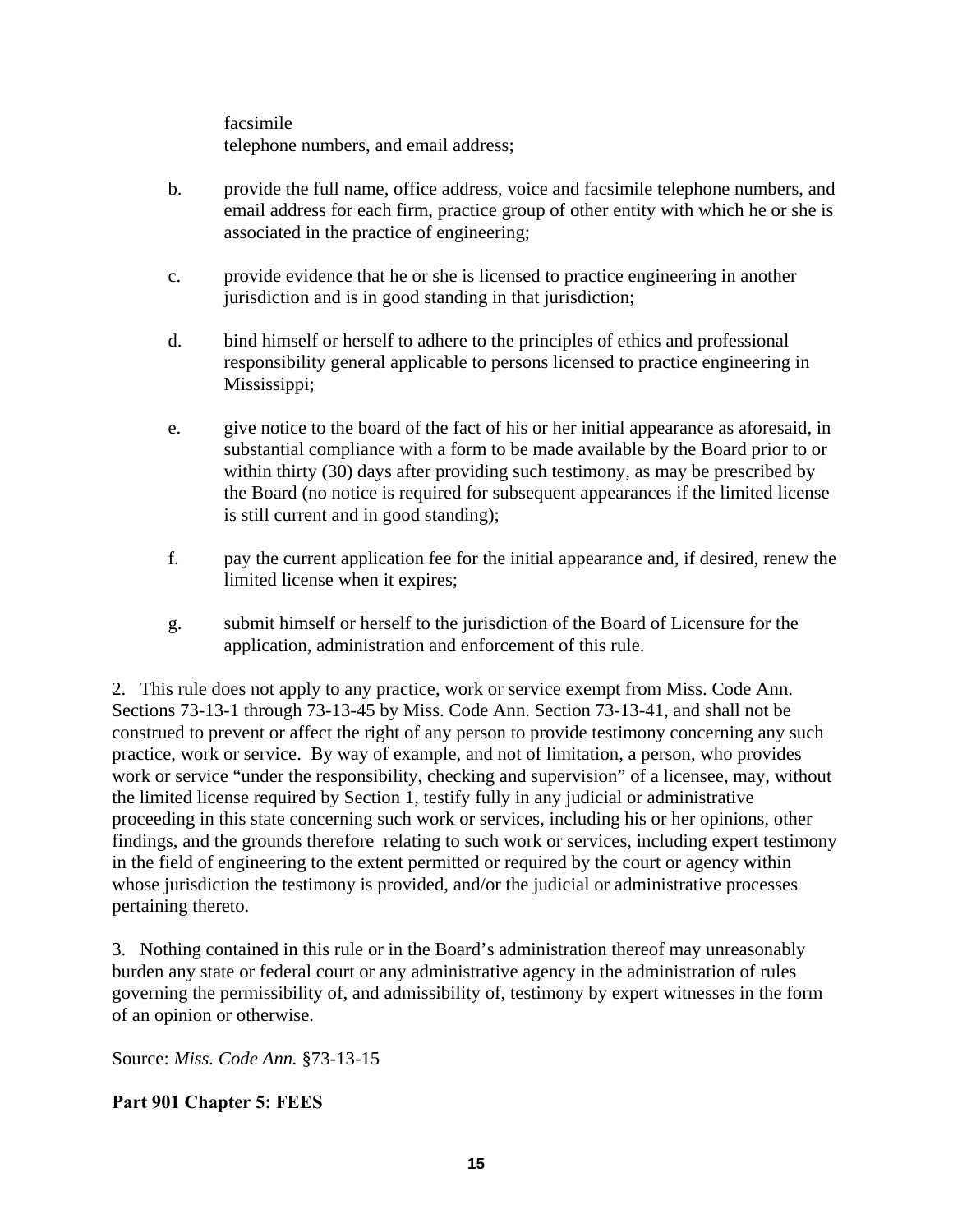facsimile telephone numbers, and email address;

- b. provide the full name, office address, voice and facsimile telephone numbers, and email address for each firm, practice group of other entity with which he or she is associated in the practice of engineering;
- c. provide evidence that he or she is licensed to practice engineering in another jurisdiction and is in good standing in that jurisdiction;
- d. bind himself or herself to adhere to the principles of ethics and professional responsibility general applicable to persons licensed to practice engineering in Mississippi;
- e. give notice to the board of the fact of his or her initial appearance as aforesaid, in substantial compliance with a form to be made available by the Board prior to or within thirty (30) days after providing such testimony, as may be prescribed by the Board (no notice is required for subsequent appearances if the limited license is still current and in good standing);
- f. pay the current application fee for the initial appearance and, if desired, renew the limited license when it expires;
- g. submit himself or herself to the jurisdiction of the Board of Licensure for the application, administration and enforcement of this rule.

2. This rule does not apply to any practice, work or service exempt from Miss. Code Ann. Sections 73-13-1 through 73-13-45 by Miss. Code Ann. Section 73-13-41, and shall not be construed to prevent or affect the right of any person to provide testimony concerning any such practice, work or service. By way of example, and not of limitation, a person, who provides work or service "under the responsibility, checking and supervision" of a licensee, may, without the limited license required by Section 1, testify fully in any judicial or administrative proceeding in this state concerning such work or services, including his or her opinions, other findings, and the grounds therefore relating to such work or services, including expert testimony in the field of engineering to the extent permitted or required by the court or agency within whose jurisdiction the testimony is provided, and/or the judicial or administrative processes pertaining thereto.

3. Nothing contained in this rule or in the Board's administration thereof may unreasonably burden any state or federal court or any administrative agency in the administration of rules governing the permissibility of, and admissibility of, testimony by expert witnesses in the form of an opinion or otherwise.

Source: *Miss. Code Ann.* §73-13-15

# **Part 901 Chapter 5: FEES**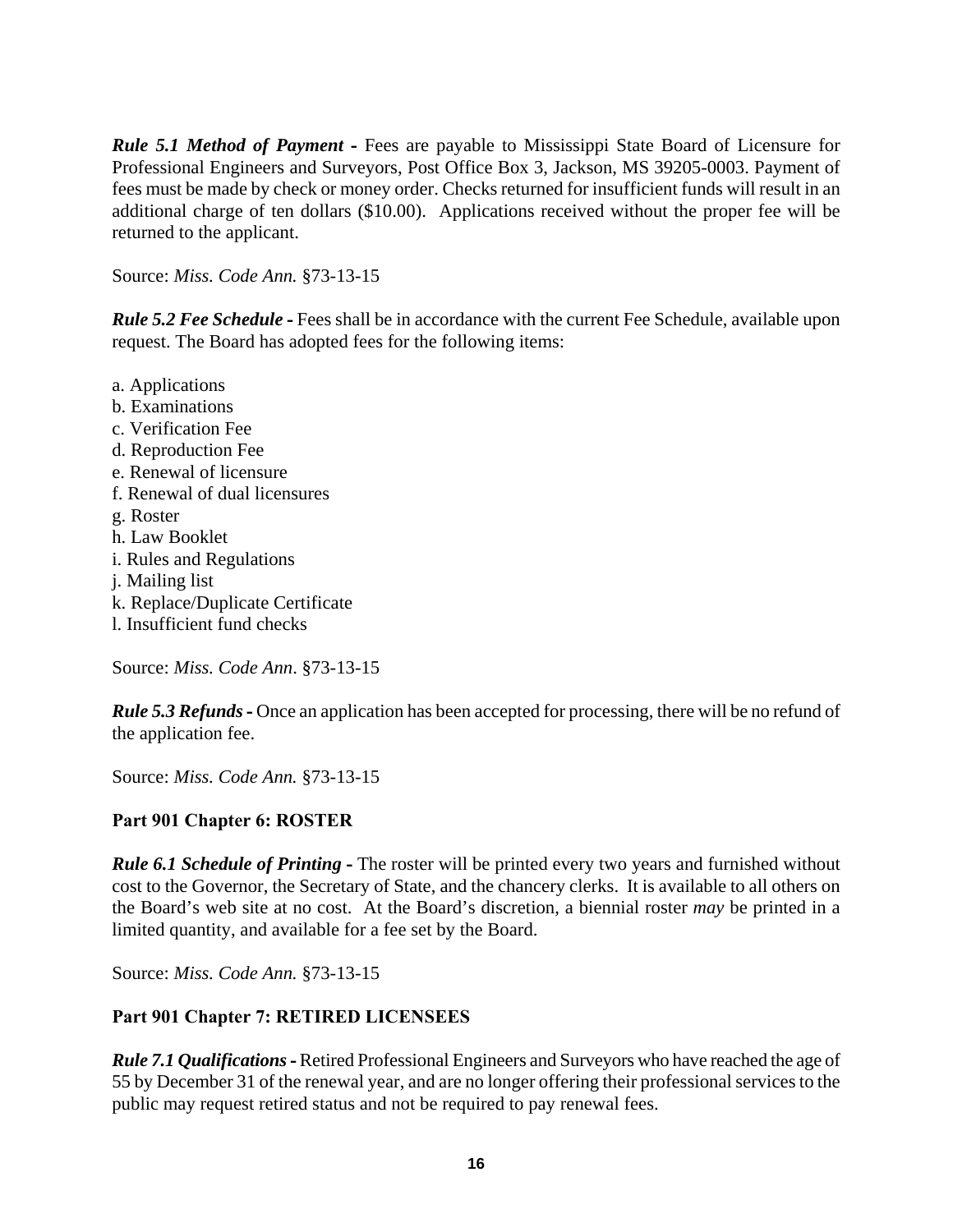*Rule 5.1 Method of Payment* - Fees are payable to Mississippi State Board of Licensure for Professional Engineers and Surveyors, Post Office Box 3, Jackson, MS 39205-0003. Payment of fees must be made by check or money order. Checks returned for insufficient funds will result in an additional charge of ten dollars (\$10.00). Applications received without the proper fee will be returned to the applicant.

Source: *Miss. Code Ann.* §73-13-15

*Rule 5.2 Fee Schedule* **-** Fees shall be in accordance with the current Fee Schedule, available upon request. The Board has adopted fees for the following items:

- a. Applications
- b. Examinations
- c. Verification Fee
- d. Reproduction Fee
- e. Renewal of licensure
- f. Renewal of dual licensures
- g. Roster
- h. Law Booklet
- i. Rules and Regulations
- j. Mailing list
- k. Replace/Duplicate Certificate
- l. Insufficient fund checks

Source: *Miss. Code Ann*. §73-13-15

*Rule 5.3 Refunds* - Once an application has been accepted for processing, there will be no refund of the application fee.

Source: *Miss. Code Ann.* §73-13-15

# **Part 901 Chapter 6: ROSTER**

*Rule 6.1 Schedule of Printing* **-** The roster will be printed every two years and furnished without cost to the Governor, the Secretary of State, and the chancery clerks. It is available to all others on the Board's web site at no cost. At the Board's discretion, a biennial roster *may* be printed in a limited quantity, and available for a fee set by the Board.

Source: *Miss. Code Ann.* §73-13-15

# **Part 901 Chapter 7: RETIRED LICENSEES**

*Rule 7.1 Qualifications* **-** Retired Professional Engineers and Surveyors who have reached the age of 55 by December 31 of the renewal year, and are no longer offering their professional services to the public may request retired status and not be required to pay renewal fees.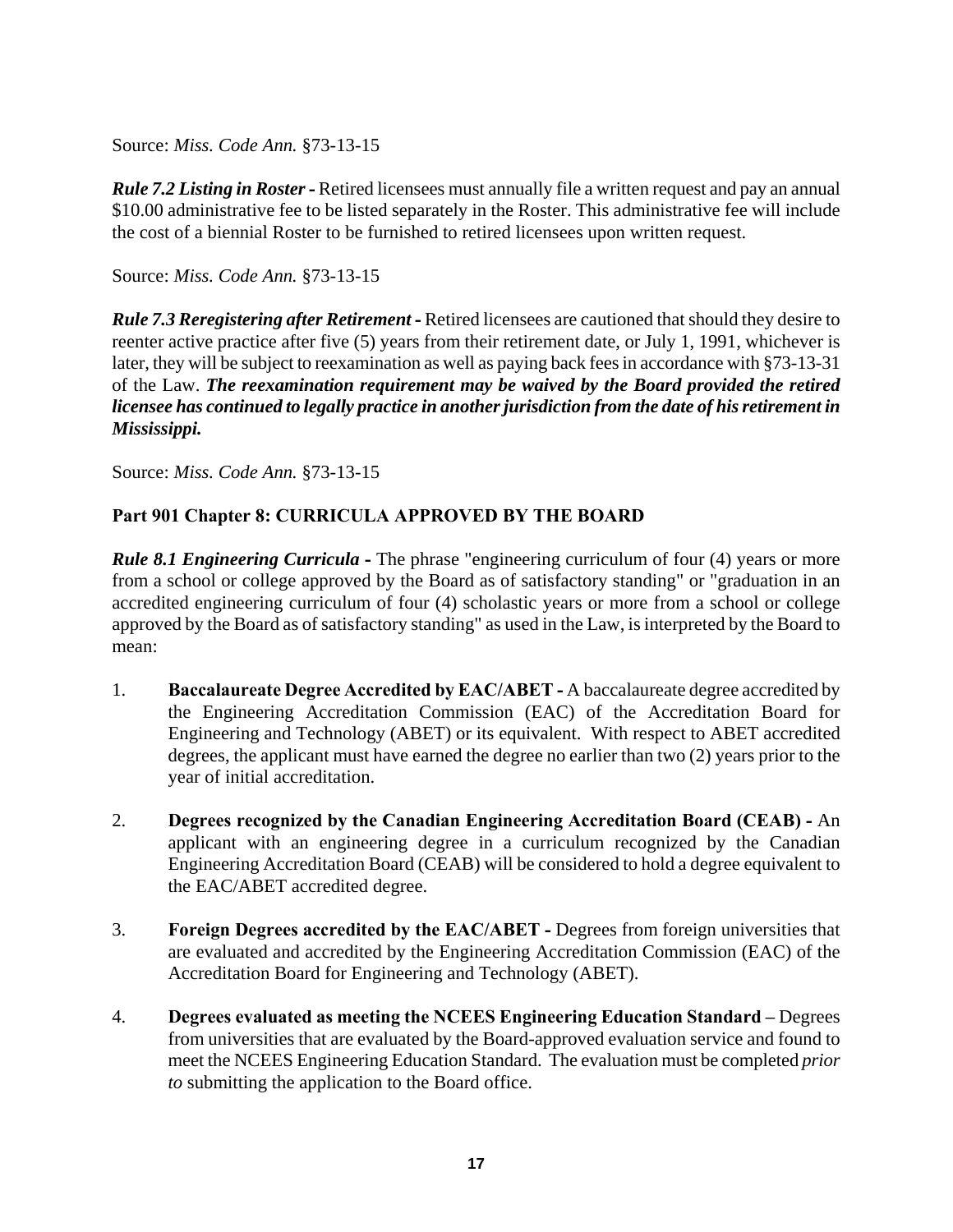*Rule 7.2 Listing in Roster* **-** Retired licensees must annually file a written request and pay an annual \$10.00 administrative fee to be listed separately in the Roster. This administrative fee will include the cost of a biennial Roster to be furnished to retired licensees upon written request.

Source: *Miss. Code Ann.* §73-13-15

*Rule 7.3 Reregistering after Retirement* **-** Retired licensees are cautioned that should they desire to reenter active practice after five (5) years from their retirement date, or July 1, 1991, whichever is later, they will be subject to reexamination as well as paying back fees in accordance with §73-13-31 of the Law. *The reexamination requirement may be waived by the Board provided the retired licensee has continued to legally practice in another jurisdiction from the date of his retirement in Mississippi.*

Source: *Miss. Code Ann.* §73-13-15

# **Part 901 Chapter 8: CURRICULA APPROVED BY THE BOARD**

*Rule 8.1 Engineering Curricula* - The phrase "engineering curriculum of four (4) years or more from a school or college approved by the Board as of satisfactory standing" or "graduation in an accredited engineering curriculum of four (4) scholastic years or more from a school or college approved by the Board as of satisfactory standing" as used in the Law, is interpreted by the Board to mean:

- 1. **Baccalaureate Degree Accredited by EAC/ABET -** A baccalaureate degree accredited by the Engineering Accreditation Commission (EAC) of the Accreditation Board for Engineering and Technology (ABET) or its equivalent. With respect to ABET accredited degrees, the applicant must have earned the degree no earlier than two (2) years prior to the year of initial accreditation.
- 2. **Degrees recognized by the Canadian Engineering Accreditation Board (CEAB) -** An applicant with an engineering degree in a curriculum recognized by the Canadian Engineering Accreditation Board (CEAB) will be considered to hold a degree equivalent to the EAC/ABET accredited degree.
- 3. **Foreign Degrees accredited by the EAC/ABET** Degrees from foreign universities that are evaluated and accredited by the Engineering Accreditation Commission (EAC) of the Accreditation Board for Engineering and Technology (ABET).
- 4. **Degrees evaluated as meeting the NCEES Engineering Education Standard** Degrees from universities that are evaluated by the Board-approved evaluation service and found to meet the NCEES Engineering Education Standard. The evaluation must be completed *prior to* submitting the application to the Board office.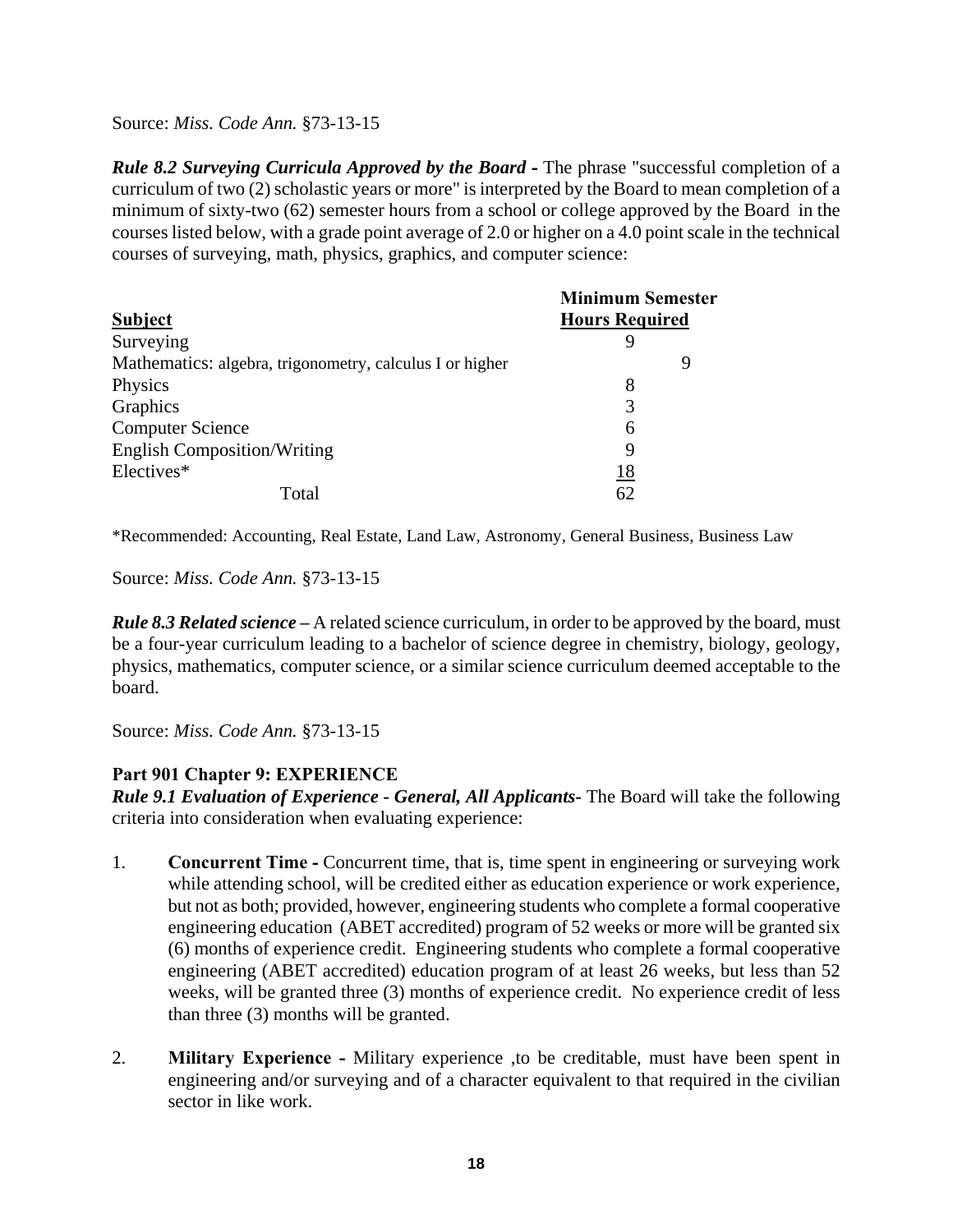*Rule 8.2 Surveying Curricula Approved by the Board* **-** The phrase "successful completion of a curriculum of two (2) scholastic years or more" is interpreted by the Board to mean completion of a minimum of sixty-two (62) semester hours from a school or college approved by the Board in the courses listed below, with a grade point average of 2.0 or higher on a 4.0 point scale in the technical courses of surveying, math, physics, graphics, and computer science:

|                                                          | <b>Minimum Semester</b> |  |
|----------------------------------------------------------|-------------------------|--|
| <b>Subject</b>                                           | <b>Hours Required</b>   |  |
| Surveying                                                |                         |  |
| Mathematics: algebra, trigonometry, calculus I or higher | g                       |  |
| Physics                                                  | 8                       |  |
| Graphics                                                 | 3                       |  |
| <b>Computer Science</b>                                  | 6                       |  |
| <b>English Composition/Writing</b>                       | 9                       |  |
| Electives*                                               | 18                      |  |
| Total                                                    | 62                      |  |

\*Recommended: Accounting, Real Estate, Land Law, Astronomy, General Business, Business Law

Source: *Miss. Code Ann.* §73-13-15

*Rule 8.3 Related science* **–** A related science curriculum, in order to be approved by the board, must be a four-year curriculum leading to a bachelor of science degree in chemistry, biology, geology, physics, mathematics, computer science, or a similar science curriculum deemed acceptable to the board.

Source: *Miss. Code Ann.* §73-13-15

# **Part 901 Chapter 9: EXPERIENCE**

*Rule 9.1 Evaluation of Experience - General, All Applicants-* The Board will take the following criteria into consideration when evaluating experience:

- 1. **Concurrent Time -** Concurrent time, that is, time spent in engineering or surveying work while attending school, will be credited either as education experience or work experience, but not as both; provided, however, engineering students who complete a formal cooperative engineering education (ABET accredited) program of 52 weeks or more will be granted six (6) months of experience credit. Engineering students who complete a formal cooperative engineering (ABET accredited) education program of at least 26 weeks, but less than 52 weeks, will be granted three (3) months of experience credit. No experience credit of less than three (3) months will be granted.
- 2. **Military Experience -** Military experience ,to be creditable, must have been spent in engineering and/or surveying and of a character equivalent to that required in the civilian sector in like work.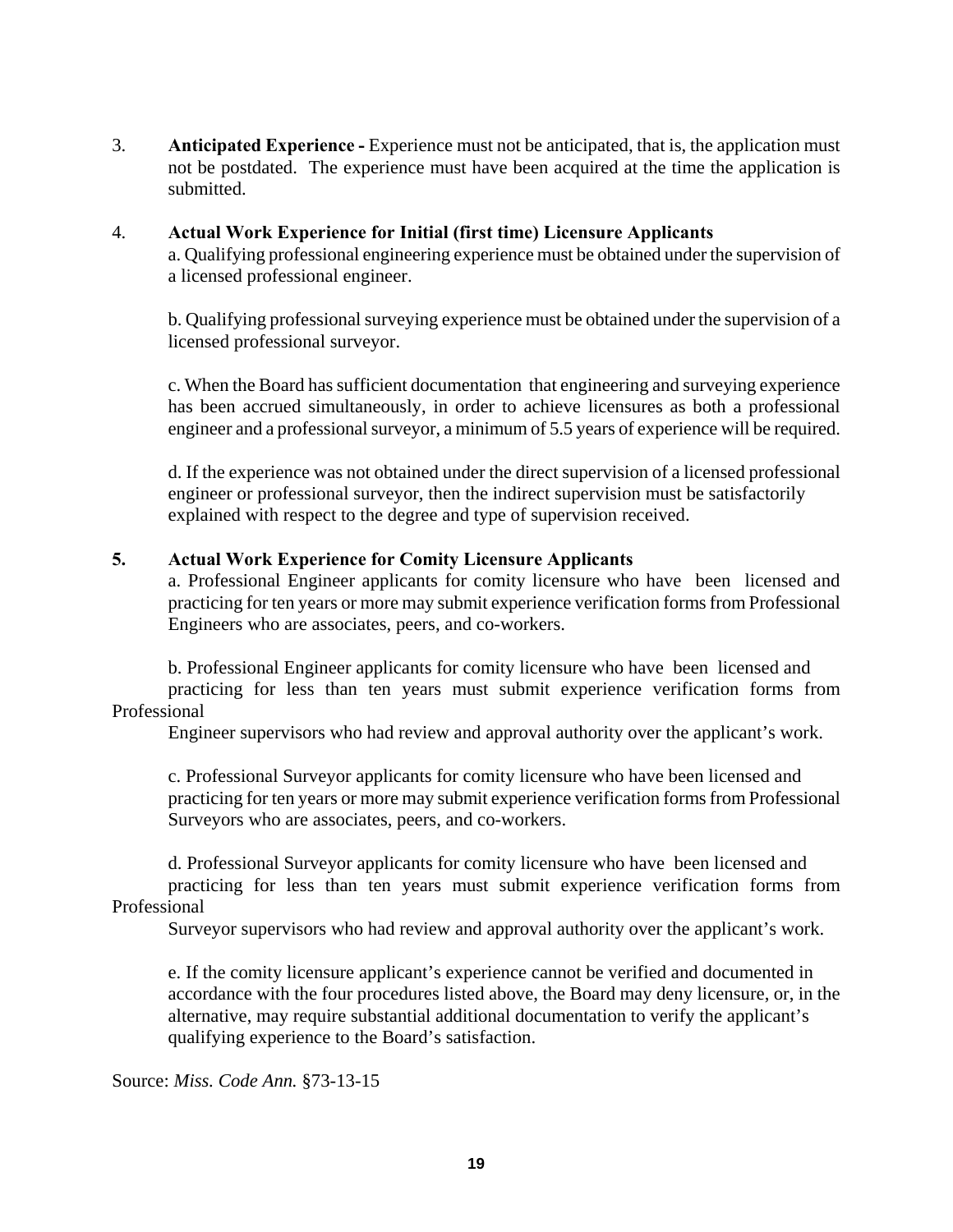3. **Anticipated Experience -** Experience must not be anticipated, that is, the application must not be postdated. The experience must have been acquired at the time the application is submitted.

### 4. **Actual Work Experience for Initial (first time) Licensure Applicants**  a. Qualifying professional engineering experience must be obtained under the supervision of a licensed professional engineer.

 b. Qualifying professional surveying experience must be obtained under the supervision of a licensed professional surveyor.

c. When the Board has sufficient documentation that engineering and surveying experience has been accrued simultaneously, in order to achieve licensures as both a professional engineer and a professional surveyor, a minimum of 5.5 years of experience will be required.

d. If the experience was not obtained under the direct supervision of a licensed professional engineer or professional surveyor, then the indirect supervision must be satisfactorily explained with respect to the degree and type of supervision received.

### **5. Actual Work Experience for Comity Licensure Applicants**

a. Professional Engineer applicants for comity licensure who have been licensed and practicing for ten years or more may submit experience verification forms from Professional Engineers who are associates, peers, and co-workers.

b. Professional Engineer applicants for comity licensure who have been licensed and practicing for less than ten years must submit experience verification forms from Professional

Engineer supervisors who had review and approval authority over the applicant's work.

 c. Professional Surveyor applicants for comity licensure who have been licensed and practicing for ten years or more may submit experience verification forms from Professional Surveyors who are associates, peers, and co-workers.

d. Professional Surveyor applicants for comity licensure who have been licensed and practicing for less than ten years must submit experience verification forms from Professional

Surveyor supervisors who had review and approval authority over the applicant's work.

e. If the comity licensure applicant's experience cannot be verified and documented in accordance with the four procedures listed above, the Board may deny licensure, or, in the alternative, may require substantial additional documentation to verify the applicant's qualifying experience to the Board's satisfaction.

Source: *Miss. Code Ann.* §73-13-15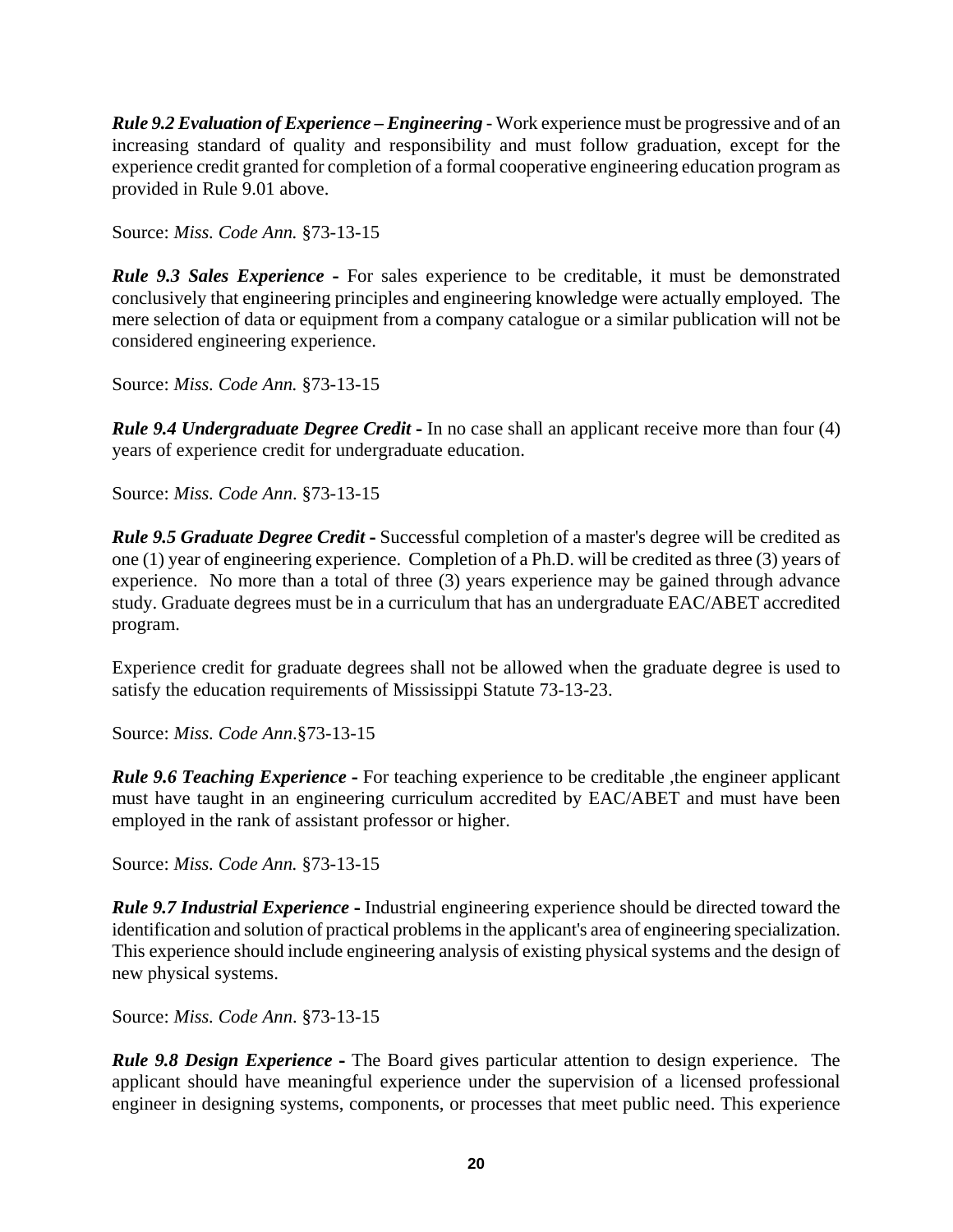*Rule 9.2 Evaluation of Experience – Engineering* - Work experience must be progressive and of an increasing standard of quality and responsibility and must follow graduation, except for the experience credit granted for completion of a formal cooperative engineering education program as provided in Rule 9.01 above.

Source: *Miss. Code Ann.* §73-13-15

*Rule 9.3 Sales Experience* **-** For sales experience to be creditable, it must be demonstrated conclusively that engineering principles and engineering knowledge were actually employed. The mere selection of data or equipment from a company catalogue or a similar publication will not be considered engineering experience.

Source: *Miss. Code Ann.* §73-13-15

*Rule 9.4 Undergraduate Degree Credit* **-** In no case shall an applicant receive more than four (4) years of experience credit for undergraduate education.

Source: *Miss. Code Ann*. §73-13-15

*Rule 9.5 Graduate Degree Credit* **-** Successful completion of a master's degree will be credited as one (1) year of engineering experience. Completion of a Ph.D. will be credited as three (3) years of experience. No more than a total of three (3) years experience may be gained through advance study. Graduate degrees must be in a curriculum that has an undergraduate EAC/ABET accredited program.

Experience credit for graduate degrees shall not be allowed when the graduate degree is used to satisfy the education requirements of Mississippi Statute 73-13-23.

Source: *Miss. Code Ann*.§73-13-15

*Rule 9.6 Teaching Experience* - For teaching experience to be creditable, the engineer applicant must have taught in an engineering curriculum accredited by EAC/ABET and must have been employed in the rank of assistant professor or higher.

Source: *Miss. Code Ann.* §73-13-15

*Rule 9.7 Industrial Experience* **-** Industrial engineering experience should be directed toward the identification and solution of practical problems in the applicant's area of engineering specialization. This experience should include engineering analysis of existing physical systems and the design of new physical systems.

Source: *Miss. Code Ann*. §73-13-15

*Rule 9.8 Design Experience* **-** The Board gives particular attention to design experience. The applicant should have meaningful experience under the supervision of a licensed professional engineer in designing systems, components, or processes that meet public need. This experience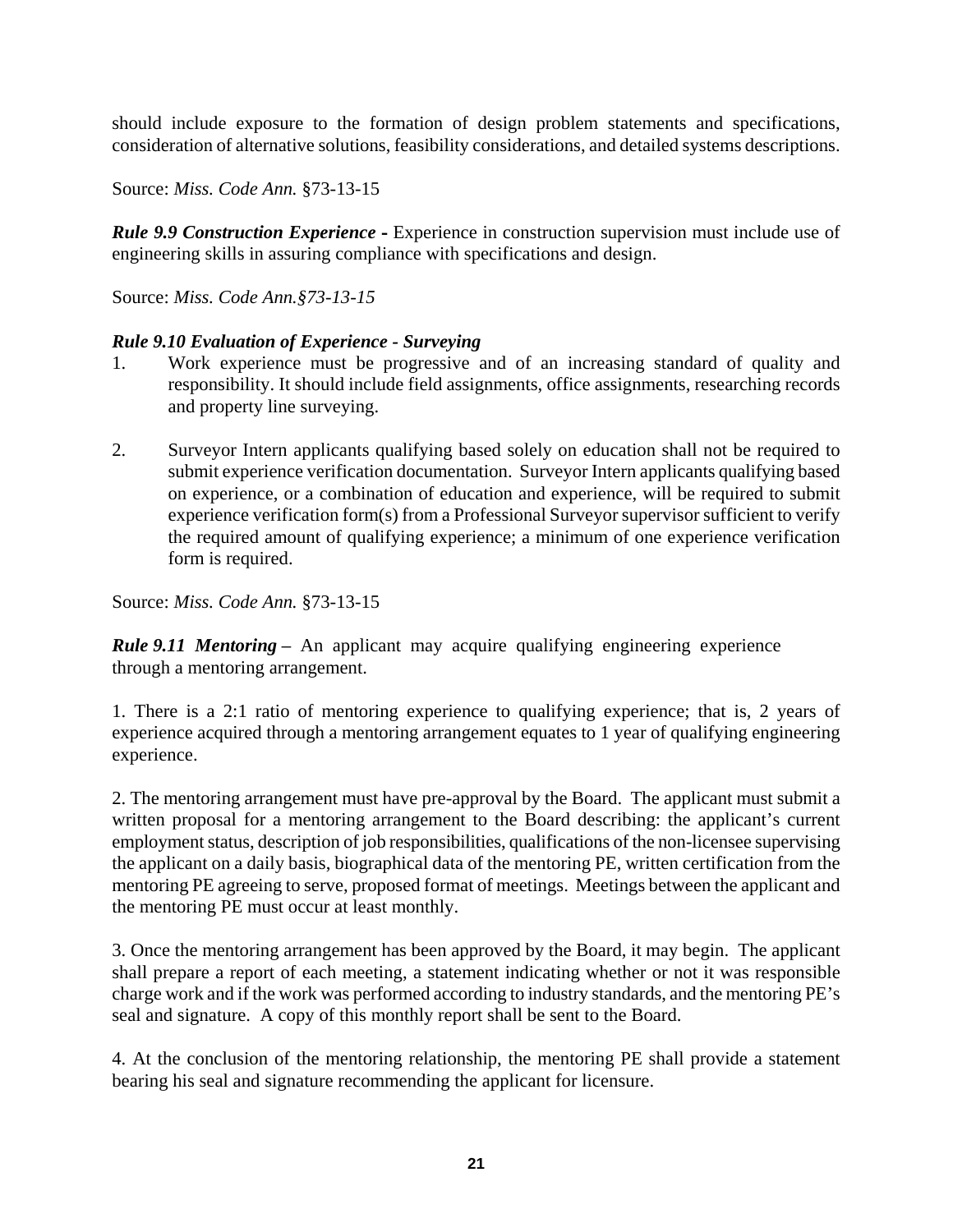should include exposure to the formation of design problem statements and specifications, consideration of alternative solutions, feasibility considerations, and detailed systems descriptions.

Source: *Miss. Code Ann.* §73-13-15

*Rule 9.9 Construction Experience* **-** Experience in construction supervision must include use of engineering skills in assuring compliance with specifications and design.

Source: *Miss. Code Ann.§73-13-15* 

### *Rule 9.10 Evaluation of Experience - Surveying*

- 1. Work experience must be progressive and of an increasing standard of quality and responsibility. It should include field assignments, office assignments, researching records and property line surveying.
- 2. Surveyor Intern applicants qualifying based solely on education shall not be required to submit experience verification documentation. Surveyor Intern applicants qualifying based on experience, or a combination of education and experience, will be required to submit experience verification form(s) from a Professional Surveyor supervisor sufficient to verify the required amount of qualifying experience; a minimum of one experience verification form is required.

Source: *Miss. Code Ann.* §73-13-15

*Rule 9.11 Mentoring* – An applicant may acquire qualifying engineering experience through a mentoring arrangement.

1. There is a 2:1 ratio of mentoring experience to qualifying experience; that is, 2 years of experience acquired through a mentoring arrangement equates to 1 year of qualifying engineering experience.

2. The mentoring arrangement must have pre-approval by the Board. The applicant must submit a written proposal for a mentoring arrangement to the Board describing: the applicant's current employment status, description of job responsibilities, qualifications of the non-licensee supervising the applicant on a daily basis, biographical data of the mentoring PE, written certification from the mentoring PE agreeing to serve, proposed format of meetings. Meetings between the applicant and the mentoring PE must occur at least monthly.

3. Once the mentoring arrangement has been approved by the Board, it may begin. The applicant shall prepare a report of each meeting, a statement indicating whether or not it was responsible charge work and if the work was performed according to industry standards, and the mentoring PE's seal and signature. A copy of this monthly report shall be sent to the Board.

4. At the conclusion of the mentoring relationship, the mentoring PE shall provide a statement bearing his seal and signature recommending the applicant for licensure.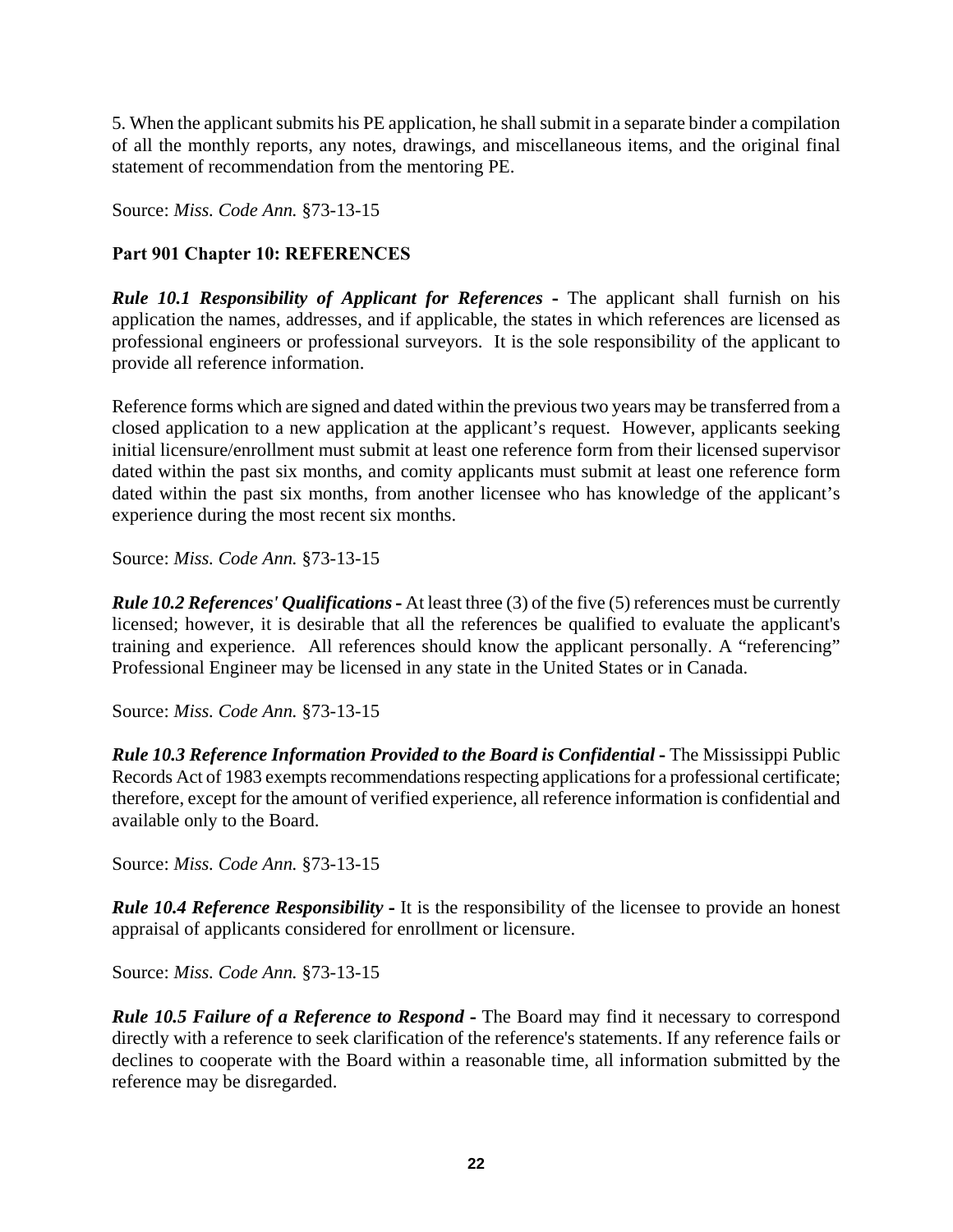5. When the applicant submits his PE application, he shall submit in a separate binder a compilation of all the monthly reports, any notes, drawings, and miscellaneous items, and the original final statement of recommendation from the mentoring PE.

Source: *Miss. Code Ann.* §73-13-15

# **Part 901 Chapter 10: REFERENCES**

*Rule 10.1 Responsibility of Applicant for References* **-** The applicant shall furnish on his application the names, addresses, and if applicable, the states in which references are licensed as professional engineers or professional surveyors. It is the sole responsibility of the applicant to provide all reference information.

Reference forms which are signed and dated within the previous two years may be transferred from a closed application to a new application at the applicant's request. However, applicants seeking initial licensure/enrollment must submit at least one reference form from their licensed supervisor dated within the past six months, and comity applicants must submit at least one reference form dated within the past six months, from another licensee who has knowledge of the applicant's experience during the most recent six months.

Source: *Miss. Code Ann.* §73-13-15

*Rule 10.2 References' Qualifications* **-** At least three (3) of the five (5) references must be currently licensed; however, it is desirable that all the references be qualified to evaluate the applicant's training and experience. All references should know the applicant personally. A "referencing" Professional Engineer may be licensed in any state in the United States or in Canada.

Source: *Miss. Code Ann.* §73-13-15

*Rule 10.3 Reference Information Provided to the Board is Confidential* **-** The Mississippi Public Records Act of 1983 exempts recommendations respecting applications for a professional certificate; therefore, except for the amount of verified experience, all reference information is confidential and available only to the Board.

Source: *Miss. Code Ann.* §73-13-15

*Rule 10.4 Reference Responsibility* **-** It is the responsibility of the licensee to provide an honest appraisal of applicants considered for enrollment or licensure.

Source: *Miss. Code Ann.* §73-13-15

*Rule 10.5 Failure of a Reference to Respond* - The Board may find it necessary to correspond directly with a reference to seek clarification of the reference's statements. If any reference fails or declines to cooperate with the Board within a reasonable time, all information submitted by the reference may be disregarded.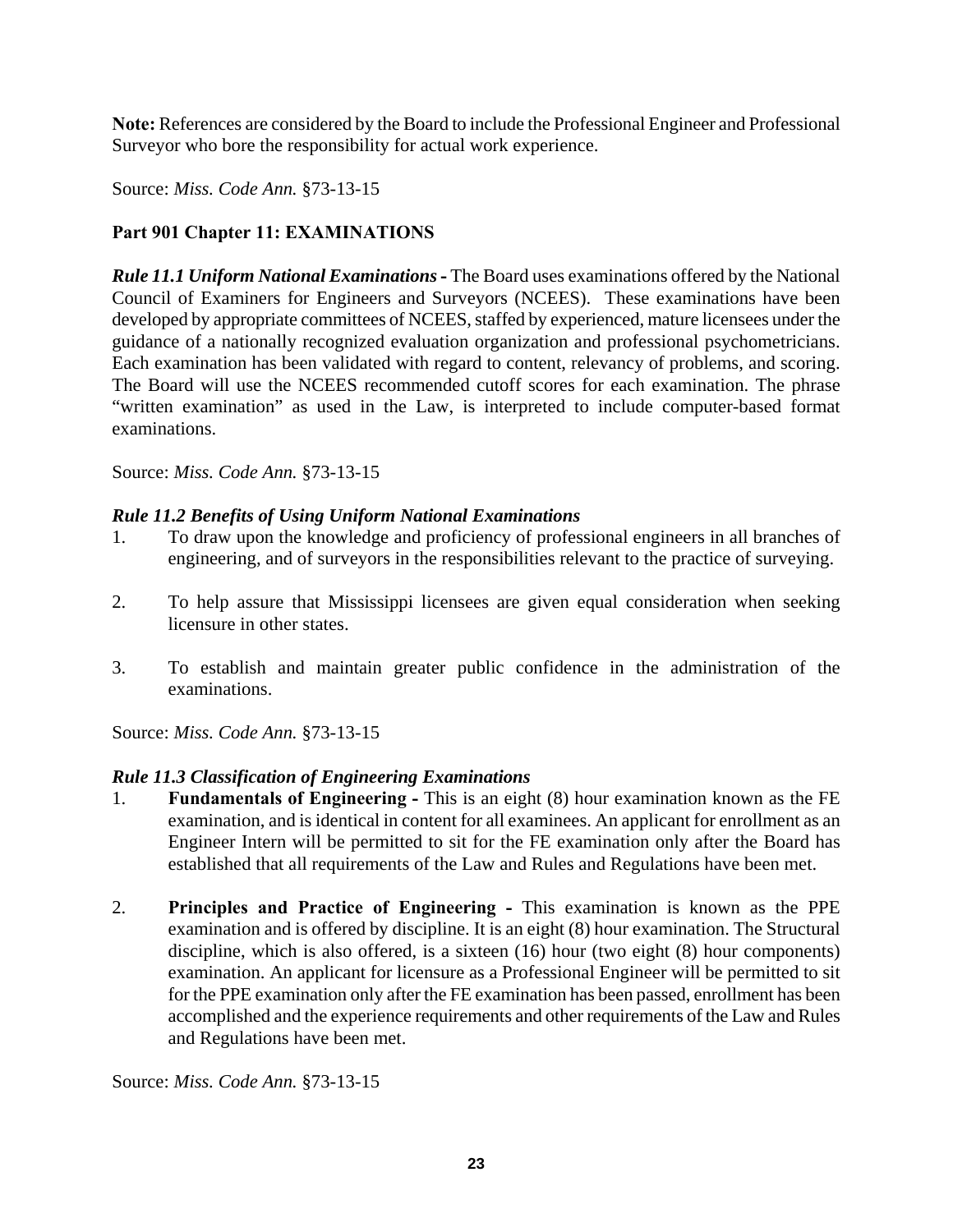**Note:** References are considered by the Board to include the Professional Engineer and Professional Surveyor who bore the responsibility for actual work experience.

Source: *Miss. Code Ann.* §73-13-15

# **Part 901 Chapter 11: EXAMINATIONS**

*Rule 11.1 Uniform National Examinations* **-** The Board uses examinations offered by the National Council of Examiners for Engineers and Surveyors (NCEES). These examinations have been developed by appropriate committees of NCEES, staffed by experienced, mature licensees under the guidance of a nationally recognized evaluation organization and professional psychometricians. Each examination has been validated with regard to content, relevancy of problems, and scoring. The Board will use the NCEES recommended cutoff scores for each examination. The phrase "written examination" as used in the Law, is interpreted to include computer-based format examinations.

Source: *Miss. Code Ann.* §73-13-15

# *Rule 11.2 Benefits of Using Uniform National Examinations*

- 1. To draw upon the knowledge and proficiency of professional engineers in all branches of engineering, and of surveyors in the responsibilities relevant to the practice of surveying.
- 2. To help assure that Mississippi licensees are given equal consideration when seeking licensure in other states.
- 3. To establish and maintain greater public confidence in the administration of the examinations.

Source: *Miss. Code Ann.* §73-13-15

# *Rule 11.3 Classification of Engineering Examinations*

- 1. **Fundamentals of Engineering -** This is an eight (8) hour examination known as the FE examination, and is identical in content for all examinees. An applicant for enrollment as an Engineer Intern will be permitted to sit for the FE examination only after the Board has established that all requirements of the Law and Rules and Regulations have been met.
- 2. **Principles and Practice of Engineering -** This examination is known as the PPE examination and is offered by discipline. It is an eight (8) hour examination. The Structural discipline, which is also offered, is a sixteen (16) hour (two eight (8) hour components) examination. An applicant for licensure as a Professional Engineer will be permitted to sit for the PPE examination only after the FE examination has been passed, enrollment has been accomplished and the experience requirements and other requirements of the Law and Rules and Regulations have been met.

Source: *Miss. Code Ann.* §73-13-15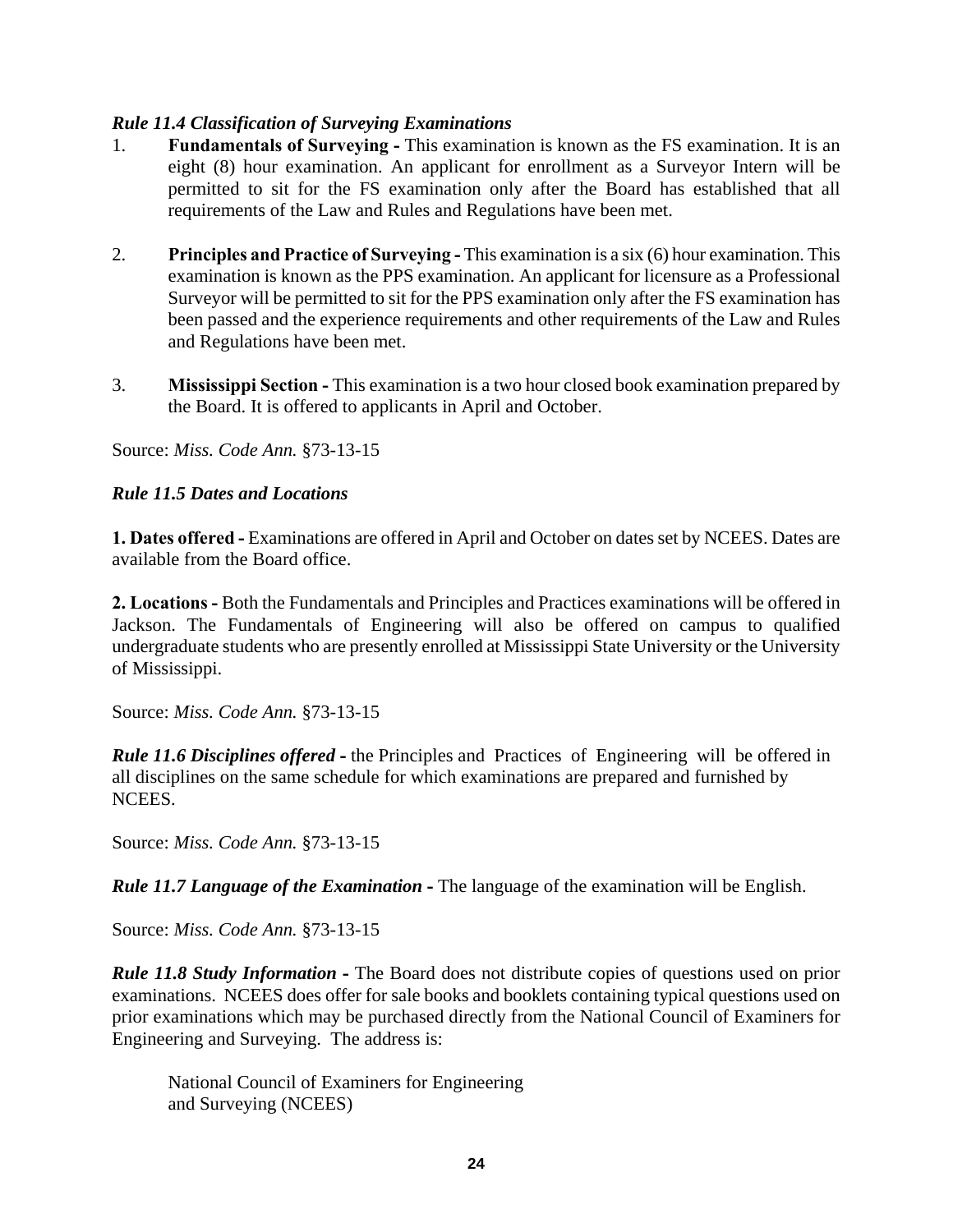### *Rule 11.4 Classification of Surveying Examinations*

- 1. **Fundamentals of Surveying -** This examination is known as the FS examination. It is an eight (8) hour examination. An applicant for enrollment as a Surveyor Intern will be permitted to sit for the FS examination only after the Board has established that all requirements of the Law and Rules and Regulations have been met.
- 2. **Principles and Practice of Surveying -** This examination is a six (6) hour examination. This examination is known as the PPS examination. An applicant for licensure as a Professional Surveyor will be permitted to sit for the PPS examination only after the FS examination has been passed and the experience requirements and other requirements of the Law and Rules and Regulations have been met.
- 3. **Mississippi Section** This examination is a two hour closed book examination prepared by the Board. It is offered to applicants in April and October.

Source: *Miss. Code Ann.* §73-13-15

### *Rule 11.5 Dates and Locations*

**1. Dates offered -** Examinations are offered in April and October on dates set by NCEES. Dates are available from the Board office.

**2. Locations -** Both the Fundamentals and Principles and Practices examinations will be offered in Jackson. The Fundamentals of Engineering will also be offered on campus to qualified undergraduate students who are presently enrolled at Mississippi State University or the University of Mississippi.

Source: *Miss. Code Ann.* §73-13-15

*Rule 11.6 Disciplines offered* **-** the Principles and Practices of Engineering will be offered in all disciplines on the same schedule for which examinations are prepared and furnished by NCEES.

Source: *Miss. Code Ann.* §73-13-15

*Rule 11.7 Language of the Examination* **-** The language of the examination will be English.

Source: *Miss. Code Ann.* §73-13-15

*Rule 11.8 Study Information* **-** The Board does not distribute copies of questions used on prior examinations. NCEES does offer for sale books and booklets containing typical questions used on prior examinations which may be purchased directly from the National Council of Examiners for Engineering and Surveying. The address is:

National Council of Examiners for Engineering and Surveying (NCEES)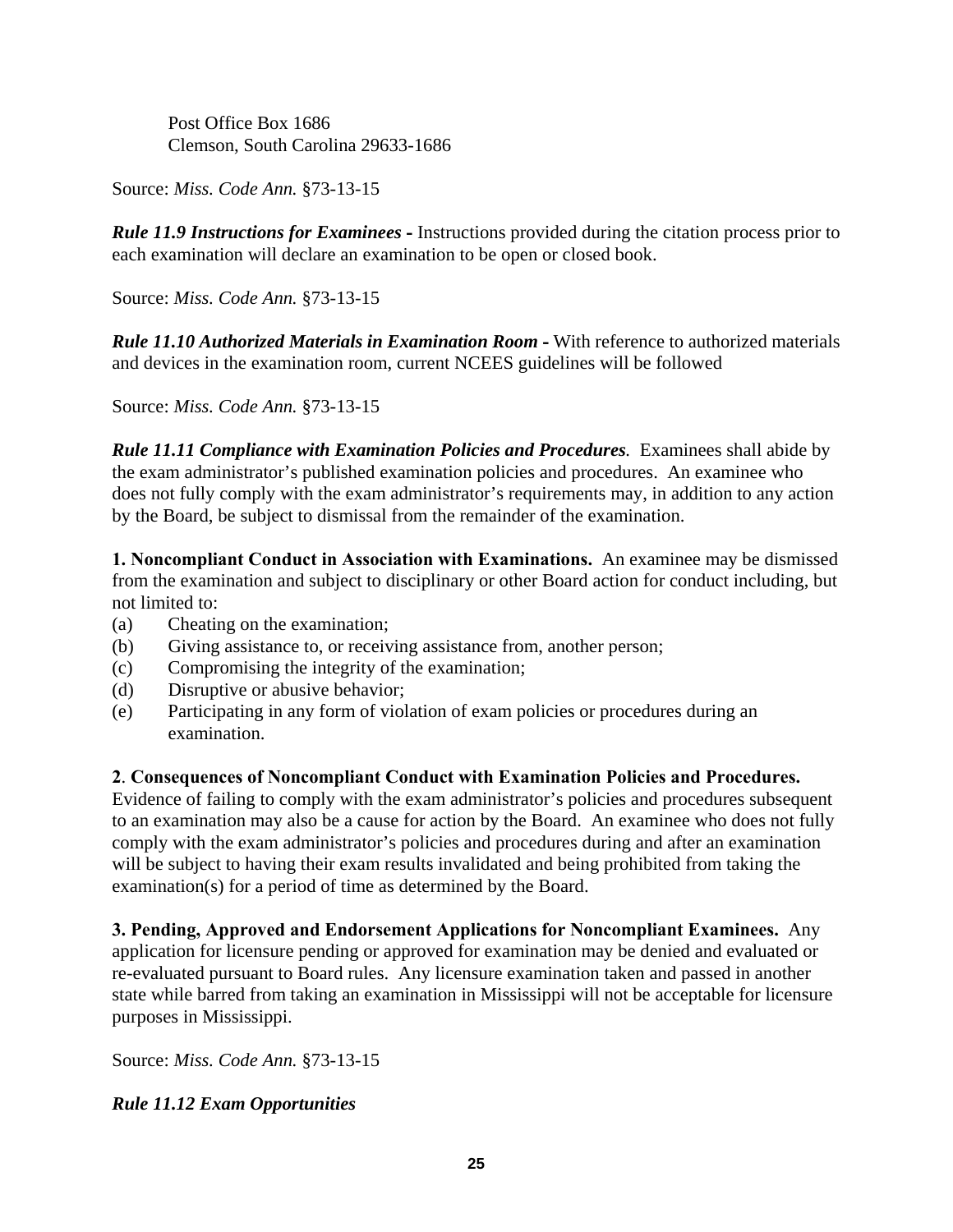Post Office Box 1686 Clemson, South Carolina 29633-1686

Source: *Miss. Code Ann.* §73-13-15

*Rule 11.9 Instructions for Examinees* **-** Instructions provided during the citation process prior to each examination will declare an examination to be open or closed book.

Source: *Miss. Code Ann.* §73-13-15

*Rule 11.10 Authorized Materials in Examination Room* **-** With reference to authorized materials and devices in the examination room, current NCEES guidelines will be followed

Source: *Miss. Code Ann.* §73-13-15

*Rule 11.11 Compliance with Examination Policies and Procedures.* Examinees shall abide by the exam administrator's published examination policies and procedures. An examinee who does not fully comply with the exam administrator's requirements may, in addition to any action by the Board, be subject to dismissal from the remainder of the examination.

**1. Noncompliant Conduct in Association with Examinations.** An examinee may be dismissed from the examination and subject to disciplinary or other Board action for conduct including, but not limited to:

- (a) Cheating on the examination;
- (b) Giving assistance to, or receiving assistance from, another person;
- (c) Compromising the integrity of the examination;
- (d) Disruptive or abusive behavior;
- (e) Participating in any form of violation of exam policies or procedures during an examination.

# **2**. **Consequences of Noncompliant Conduct with Examination Policies and Procedures.**

Evidence of failing to comply with the exam administrator's policies and procedures subsequent to an examination may also be a cause for action by the Board. An examinee who does not fully comply with the exam administrator's policies and procedures during and after an examination will be subject to having their exam results invalidated and being prohibited from taking the examination(s) for a period of time as determined by the Board.

**3. Pending, Approved and Endorsement Applications for Noncompliant Examinees.** Any application for licensure pending or approved for examination may be denied and evaluated or re-evaluated pursuant to Board rules. Any licensure examination taken and passed in another state while barred from taking an examination in Mississippi will not be acceptable for licensure purposes in Mississippi.

Source: *Miss. Code Ann.* §73-13-15

# *Rule 11.12 Exam Opportunities*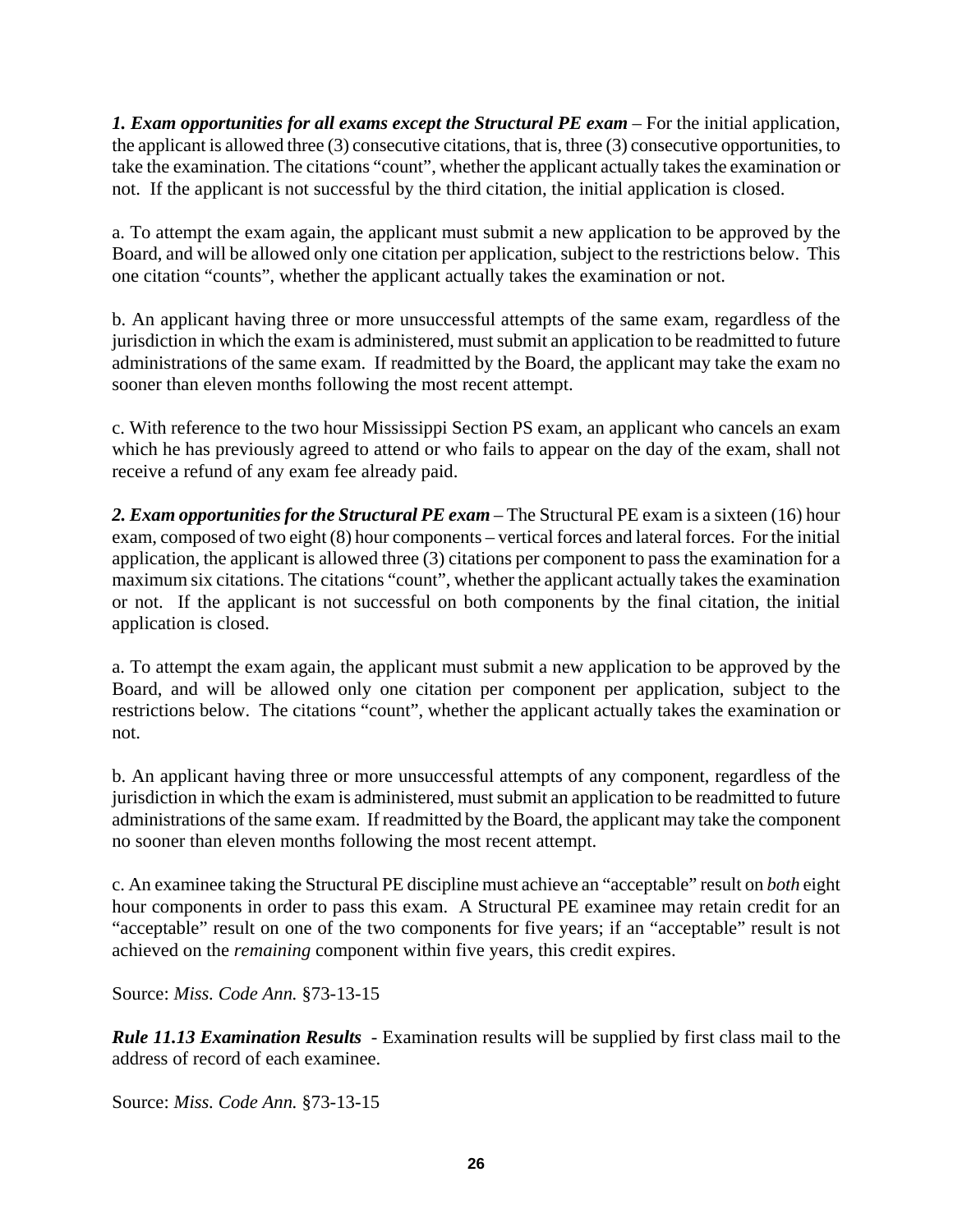*1. Exam opportunities for all exams except the Structural PE exam* – For the initial application, the applicant is allowed three (3) consecutive citations, that is, three (3) consecutive opportunities, to take the examination. The citations "count", whether the applicant actually takes the examination or not. If the applicant is not successful by the third citation, the initial application is closed.

a. To attempt the exam again, the applicant must submit a new application to be approved by the Board, and will be allowed only one citation per application, subject to the restrictions below. This one citation "counts", whether the applicant actually takes the examination or not.

b. An applicant having three or more unsuccessful attempts of the same exam, regardless of the jurisdiction in which the exam is administered, must submit an application to be readmitted to future administrations of the same exam. If readmitted by the Board, the applicant may take the exam no sooner than eleven months following the most recent attempt.

c. With reference to the two hour Mississippi Section PS exam, an applicant who cancels an exam which he has previously agreed to attend or who fails to appear on the day of the exam, shall not receive a refund of any exam fee already paid.

*2. Exam opportunities for the Structural PE exam* – The Structural PE exam is a sixteen (16) hour exam, composed of two eight (8) hour components – vertical forces and lateral forces. For the initial application, the applicant is allowed three (3) citations per component to pass the examination for a maximum six citations. The citations "count", whether the applicant actually takes the examination or not. If the applicant is not successful on both components by the final citation, the initial application is closed.

a. To attempt the exam again, the applicant must submit a new application to be approved by the Board, and will be allowed only one citation per component per application, subject to the restrictions below. The citations "count", whether the applicant actually takes the examination or not.

b. An applicant having three or more unsuccessful attempts of any component, regardless of the jurisdiction in which the exam is administered, must submit an application to be readmitted to future administrations of the same exam. If readmitted by the Board, the applicant may take the component no sooner than eleven months following the most recent attempt.

c. An examinee taking the Structural PE discipline must achieve an "acceptable" result on *both* eight hour components in order to pass this exam. A Structural PE examinee may retain credit for an "acceptable" result on one of the two components for five years; if an "acceptable" result is not achieved on the *remaining* component within five years, this credit expires.

Source: *Miss. Code Ann.* §73-13-15

*Rule 11.13 Examination Results* - Examination results will be supplied by first class mail to the address of record of each examinee.

Source: *Miss. Code Ann.* §73-13-15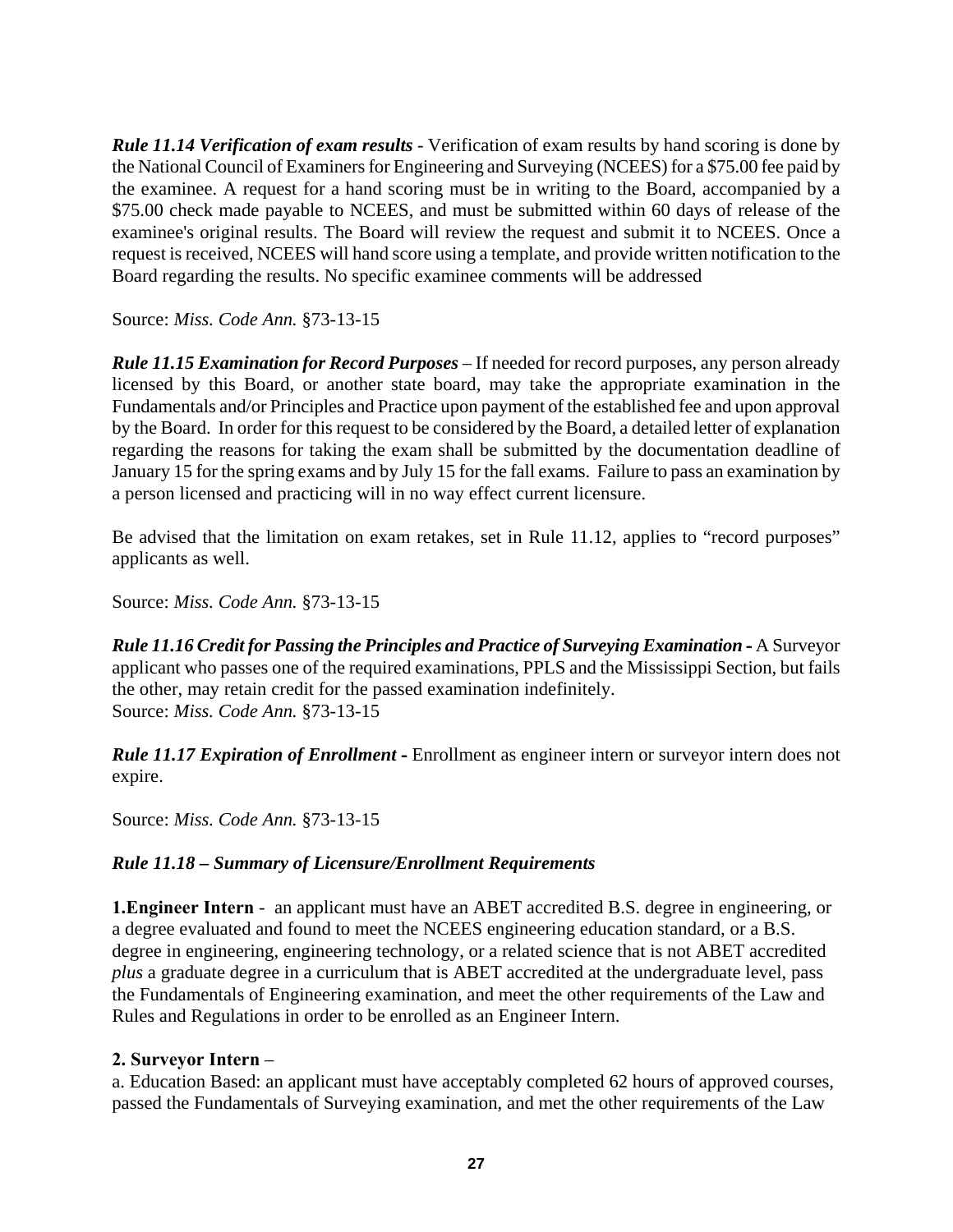*Rule 11.14 Verification of exam results* - Verification of exam results by hand scoring is done by the National Council of Examiners for Engineering and Surveying (NCEES) for a \$75.00 fee paid by the examinee. A request for a hand scoring must be in writing to the Board, accompanied by a \$75.00 check made payable to NCEES, and must be submitted within 60 days of release of the examinee's original results. The Board will review the request and submit it to NCEES. Once a request is received, NCEES will hand score using a template, and provide written notification to the Board regarding the results. No specific examinee comments will be addressed

Source: *Miss. Code Ann.* §73-13-15

*Rule 11.15 Examination for Record Purposes* – If needed for record purposes, any person already licensed by this Board, or another state board, may take the appropriate examination in the Fundamentals and/or Principles and Practice upon payment of the established fee and upon approval by the Board. In order for this request to be considered by the Board, a detailed letter of explanation regarding the reasons for taking the exam shall be submitted by the documentation deadline of January 15 for the spring exams and by July 15 for the fall exams. Failure to pass an examination by a person licensed and practicing will in no way effect current licensure.

Be advised that the limitation on exam retakes, set in Rule 11.12, applies to "record purposes" applicants as well.

Source: *Miss. Code Ann.* §73-13-15

*Rule 11.16 Credit for Passing the Principles and Practice of Surveying Examination* **-** A Surveyor applicant who passes one of the required examinations, PPLS and the Mississippi Section, but fails the other, may retain credit for the passed examination indefinitely. Source: *Miss. Code Ann.* §73-13-15

*Rule 11.17 Expiration of Enrollment* **-** Enrollment as engineer intern or surveyor intern does not expire.

Source: *Miss. Code Ann.* §73-13-15

# *Rule 11.18 – Summary of Licensure/Enrollment Requirements*

**1.Engineer Intern** - an applicant must have an ABET accredited B.S. degree in engineering, or a degree evaluated and found to meet the NCEES engineering education standard, or a B.S. degree in engineering, engineering technology, or a related science that is not ABET accredited *plus* a graduate degree in a curriculum that is ABET accredited at the undergraduate level, pass the Fundamentals of Engineering examination, and meet the other requirements of the Law and Rules and Regulations in order to be enrolled as an Engineer Intern.

#### **2. Surveyor Intern** –

a. Education Based: an applicant must have acceptably completed 62 hours of approved courses, passed the Fundamentals of Surveying examination, and met the other requirements of the Law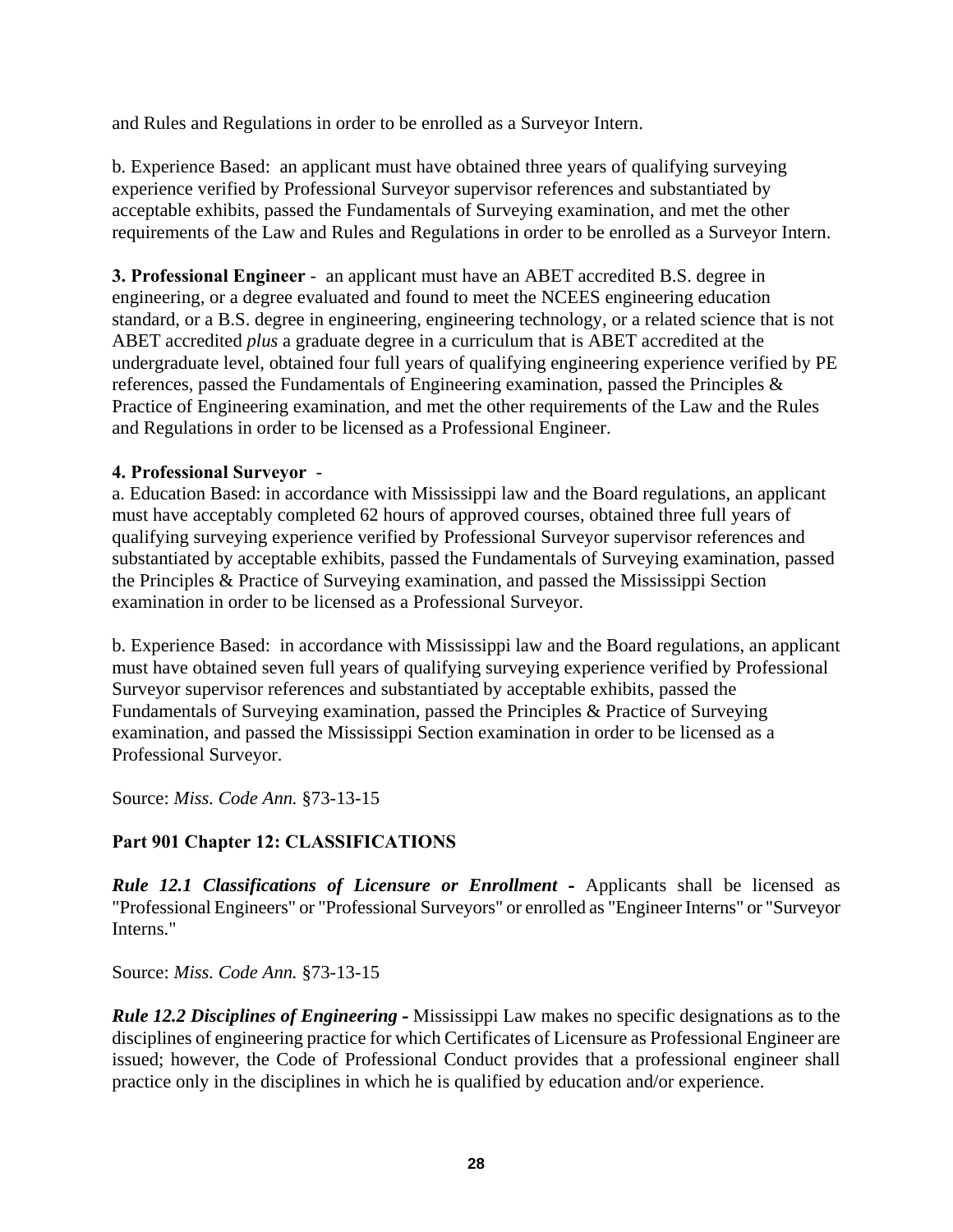and Rules and Regulations in order to be enrolled as a Surveyor Intern.

b. Experience Based: an applicant must have obtained three years of qualifying surveying experience verified by Professional Surveyor supervisor references and substantiated by acceptable exhibits, passed the Fundamentals of Surveying examination, and met the other requirements of the Law and Rules and Regulations in order to be enrolled as a Surveyor Intern.

**3. Professional Engineer** - an applicant must have an ABET accredited B.S. degree in engineering, or a degree evaluated and found to meet the NCEES engineering education standard, or a B.S. degree in engineering, engineering technology, or a related science that is not ABET accredited *plus* a graduate degree in a curriculum that is ABET accredited at the undergraduate level, obtained four full years of qualifying engineering experience verified by PE references, passed the Fundamentals of Engineering examination, passed the Principles & Practice of Engineering examination, and met the other requirements of the Law and the Rules and Regulations in order to be licensed as a Professional Engineer.

### **4. Professional Surveyor** -

a. Education Based: in accordance with Mississippi law and the Board regulations, an applicant must have acceptably completed 62 hours of approved courses, obtained three full years of qualifying surveying experience verified by Professional Surveyor supervisor references and substantiated by acceptable exhibits, passed the Fundamentals of Surveying examination, passed the Principles & Practice of Surveying examination, and passed the Mississippi Section examination in order to be licensed as a Professional Surveyor.

b. Experience Based: in accordance with Mississippi law and the Board regulations, an applicant must have obtained seven full years of qualifying surveying experience verified by Professional Surveyor supervisor references and substantiated by acceptable exhibits, passed the Fundamentals of Surveying examination, passed the Principles & Practice of Surveying examination, and passed the Mississippi Section examination in order to be licensed as a Professional Surveyor.

Source: *Miss. Code Ann.* §73-13-15

# **Part 901 Chapter 12: CLASSIFICATIONS**

*Rule 12.1 Classifications of Licensure or Enrollment* **-** Applicants shall be licensed as "Professional Engineers" or "Professional Surveyors" or enrolled as "Engineer Interns" or "Surveyor Interns."

Source: *Miss. Code Ann.* §73-13-15

*Rule 12.2 Disciplines of Engineering* **-** Mississippi Law makes no specific designations as to the disciplines of engineering practice for which Certificates of Licensure as Professional Engineer are issued; however, the Code of Professional Conduct provides that a professional engineer shall practice only in the disciplines in which he is qualified by education and/or experience.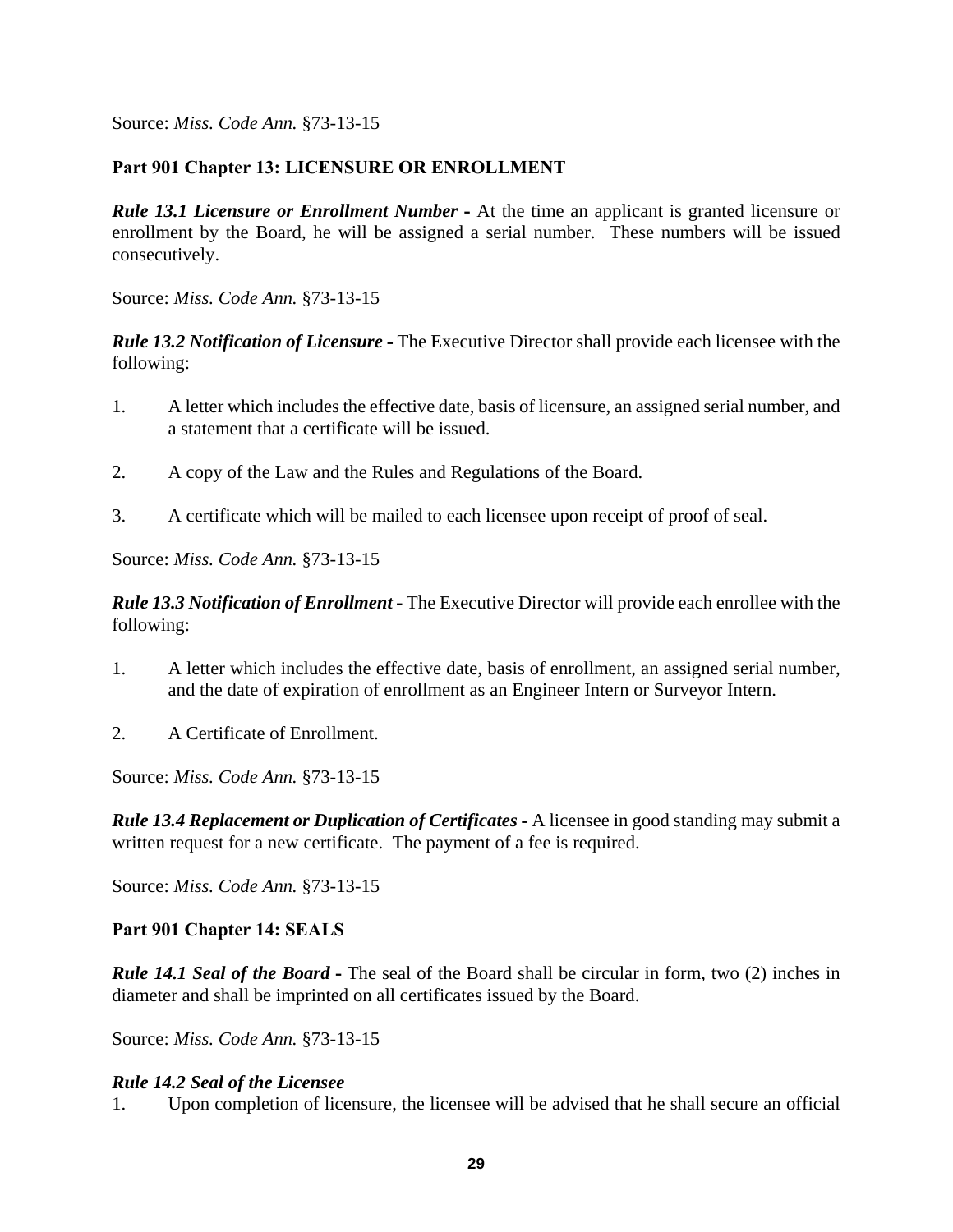### **Part 901 Chapter 13: LICENSURE OR ENROLLMENT**

*Rule 13.1 Licensure or Enrollment Number* **-** At the time an applicant is granted licensure or enrollment by the Board, he will be assigned a serial number. These numbers will be issued consecutively.

Source: *Miss. Code Ann.* §73-13-15

*Rule 13.2 Notification of Licensure* **-** The Executive Director shall provide each licensee with the following:

- 1. A letter which includes the effective date, basis of licensure, an assigned serial number, and a statement that a certificate will be issued.
- 2. A copy of the Law and the Rules and Regulations of the Board.
- 3. A certificate which will be mailed to each licensee upon receipt of proof of seal.

Source: *Miss. Code Ann.* §73-13-15

*Rule 13.3 Notification of Enrollment* **-** The Executive Director will provide each enrollee with the following:

- 1. A letter which includes the effective date, basis of enrollment, an assigned serial number, and the date of expiration of enrollment as an Engineer Intern or Surveyor Intern.
- 2. A Certificate of Enrollment.

Source: *Miss. Code Ann.* §73-13-15

*Rule 13.4 Replacement or Duplication of Certificates* **-** A licensee in good standing may submit a written request for a new certificate. The payment of a fee is required.

Source: *Miss. Code Ann.* §73-13-15

#### **Part 901 Chapter 14: SEALS**

*Rule 14.1 Seal of the Board* **-** The seal of the Board shall be circular in form, two (2) inches in diameter and shall be imprinted on all certificates issued by the Board.

Source: *Miss. Code Ann.* §73-13-15

#### *Rule 14.2 Seal of the Licensee*

1. Upon completion of licensure, the licensee will be advised that he shall secure an official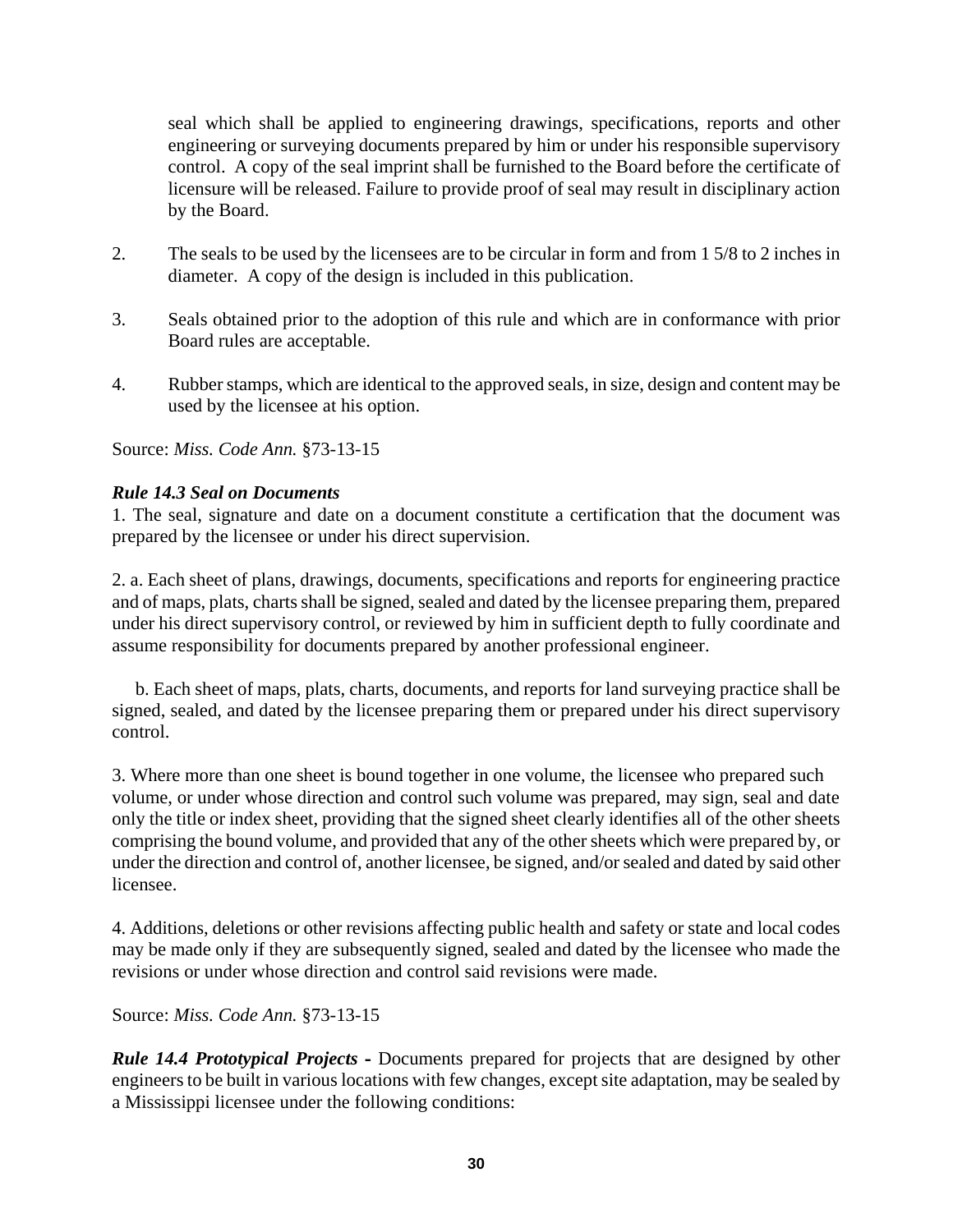seal which shall be applied to engineering drawings, specifications, reports and other engineering or surveying documents prepared by him or under his responsible supervisory control. A copy of the seal imprint shall be furnished to the Board before the certificate of licensure will be released. Failure to provide proof of seal may result in disciplinary action by the Board.

- 2. The seals to be used by the licensees are to be circular in form and from 1 5/8 to 2 inches in diameter. A copy of the design is included in this publication.
- 3. Seals obtained prior to the adoption of this rule and which are in conformance with prior Board rules are acceptable.
- 4. Rubber stamps, which are identical to the approved seals, in size, design and content may be used by the licensee at his option.

Source: *Miss. Code Ann.* §73-13-15

#### *Rule 14.3 Seal on Documents*

1. The seal, signature and date on a document constitute a certification that the document was prepared by the licensee or under his direct supervision.

2. a. Each sheet of plans, drawings, documents, specifications and reports for engineering practice and of maps, plats, charts shall be signed, sealed and dated by the licensee preparing them, prepared under his direct supervisory control, or reviewed by him in sufficient depth to fully coordinate and assume responsibility for documents prepared by another professional engineer.

 b. Each sheet of maps, plats, charts, documents, and reports for land surveying practice shall be signed, sealed, and dated by the licensee preparing them or prepared under his direct supervisory control.

3. Where more than one sheet is bound together in one volume, the licensee who prepared such volume, or under whose direction and control such volume was prepared, may sign, seal and date only the title or index sheet, providing that the signed sheet clearly identifies all of the other sheets comprising the bound volume, and provided that any of the other sheets which were prepared by, or under the direction and control of, another licensee, be signed, and/or sealed and dated by said other licensee.

4. Additions, deletions or other revisions affecting public health and safety or state and local codes may be made only if they are subsequently signed, sealed and dated by the licensee who made the revisions or under whose direction and control said revisions were made.

Source: *Miss. Code Ann.* §73-13-15

*Rule 14.4 Prototypical Projects* **-** Documents prepared for projects that are designed by other engineers to be built in various locations with few changes, except site adaptation, may be sealed by a Mississippi licensee under the following conditions: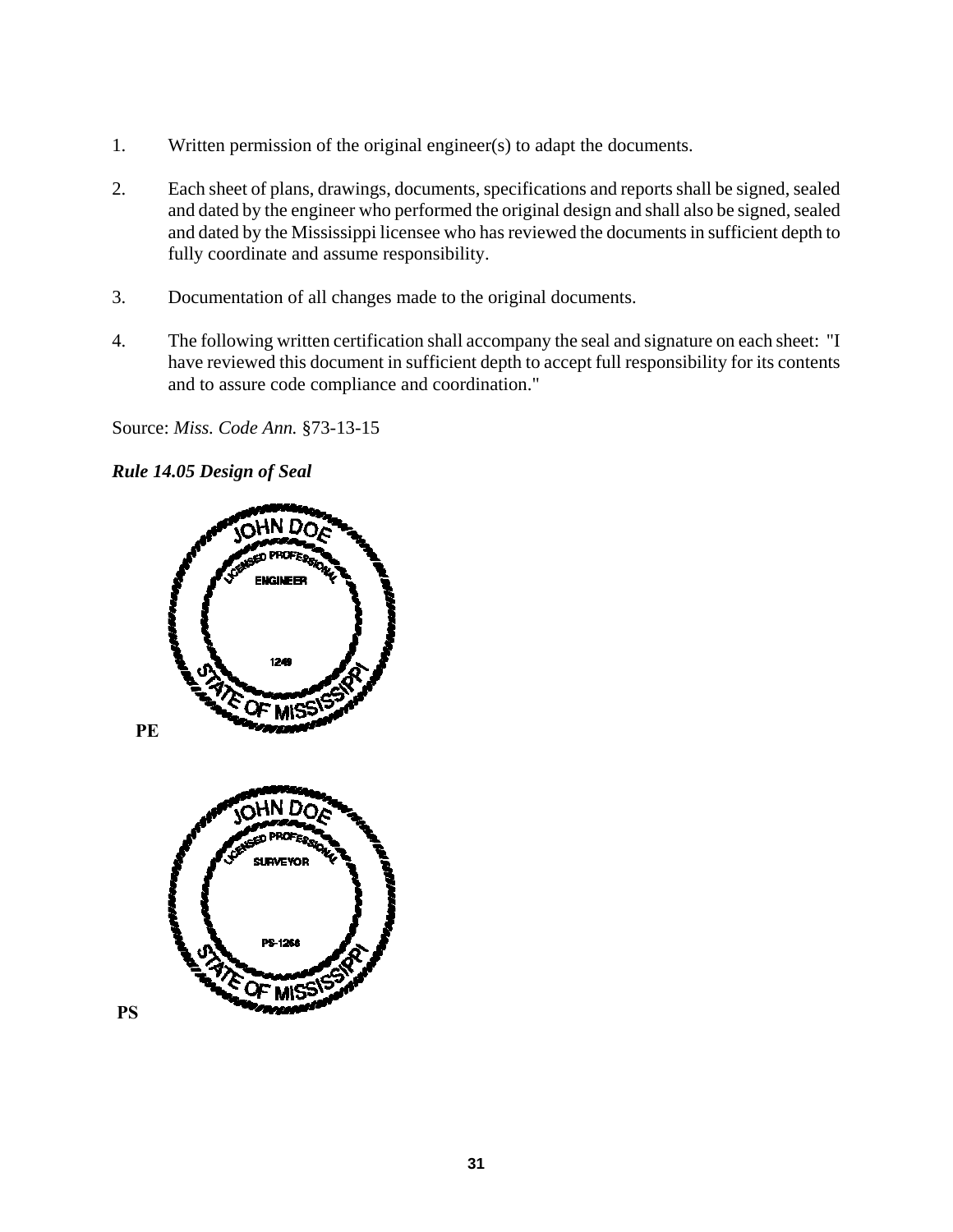- 1. Written permission of the original engineer(s) to adapt the documents.
- 2. Each sheet of plans, drawings, documents, specifications and reports shall be signed, sealed and dated by the engineer who performed the original design and shall also be signed, sealed and dated by the Mississippi licensee who has reviewed the documents in sufficient depth to fully coordinate and assume responsibility.
- 3. Documentation of all changes made to the original documents.
- 4. The following written certification shall accompany the seal and signature on each sheet: "I have reviewed this document in sufficient depth to accept full responsibility for its contents and to assure code compliance and coordination."

#### *Rule 14.05 Design of Seal*

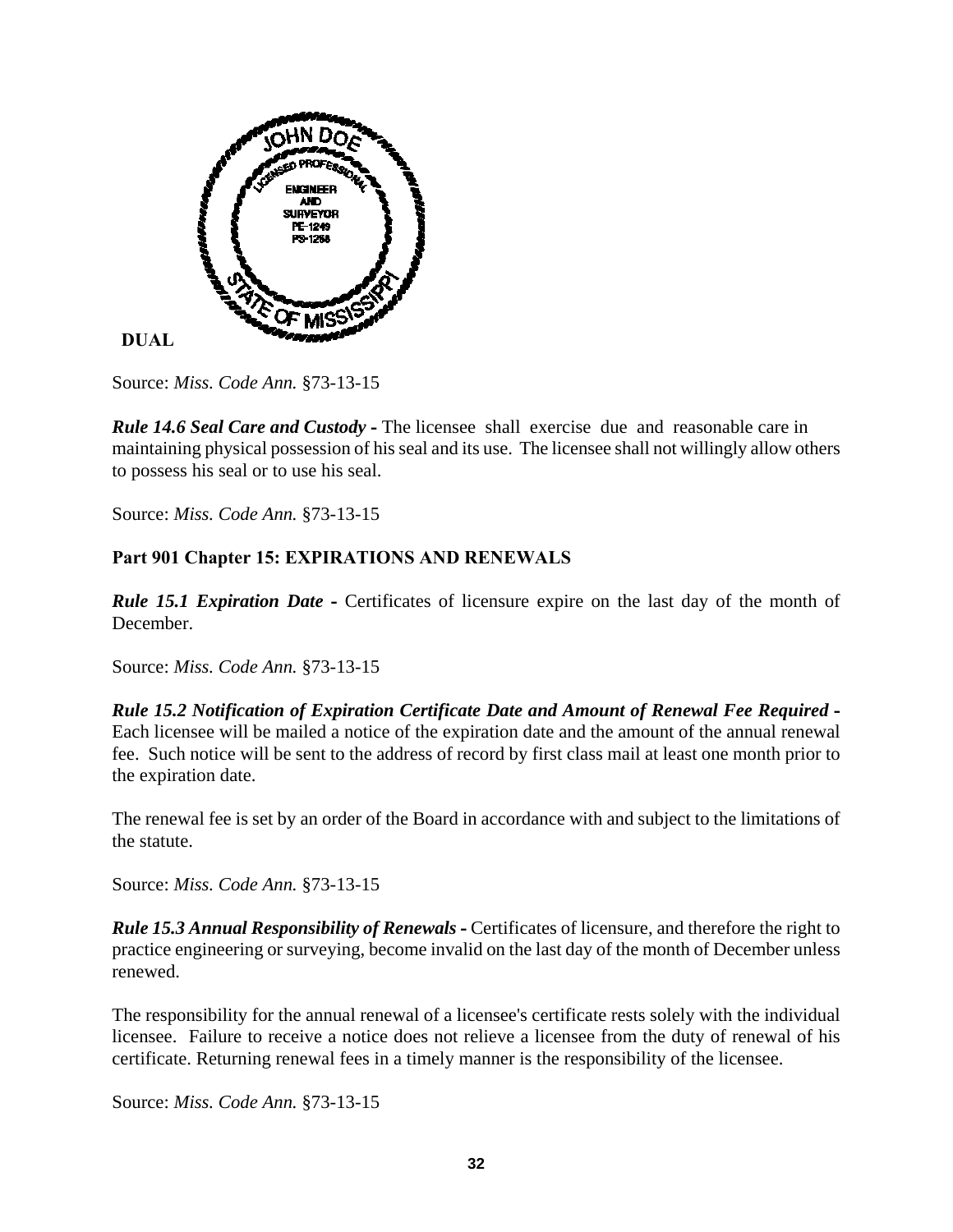

 **DUAL** 

Source: *Miss. Code Ann.* §73-13-15

*Rule 14.6 Seal Care and Custody* **-** The licensee shall exercise due and reasonable care in maintaining physical possession of his seal and its use. The licensee shall not willingly allow others to possess his seal or to use his seal.

Source: *Miss. Code Ann.* §73-13-15

# **Part 901 Chapter 15: EXPIRATIONS AND RENEWALS**

*Rule 15.1 Expiration Date* - Certificates of licensure expire on the last day of the month of December.

Source: *Miss. Code Ann.* §73-13-15

*Rule 15.2 Notification of Expiration Certificate Date and Amount of Renewal Fee Required* **-**  Each licensee will be mailed a notice of the expiration date and the amount of the annual renewal fee. Such notice will be sent to the address of record by first class mail at least one month prior to the expiration date.

The renewal fee is set by an order of the Board in accordance with and subject to the limitations of the statute.

Source: *Miss. Code Ann.* §73-13-15

*Rule 15.3 Annual Responsibility of Renewals* **-** Certificates of licensure, and therefore the right to practice engineering or surveying, become invalid on the last day of the month of December unless renewed.

The responsibility for the annual renewal of a licensee's certificate rests solely with the individual licensee. Failure to receive a notice does not relieve a licensee from the duty of renewal of his certificate. Returning renewal fees in a timely manner is the responsibility of the licensee.

Source: *Miss. Code Ann.* §73-13-15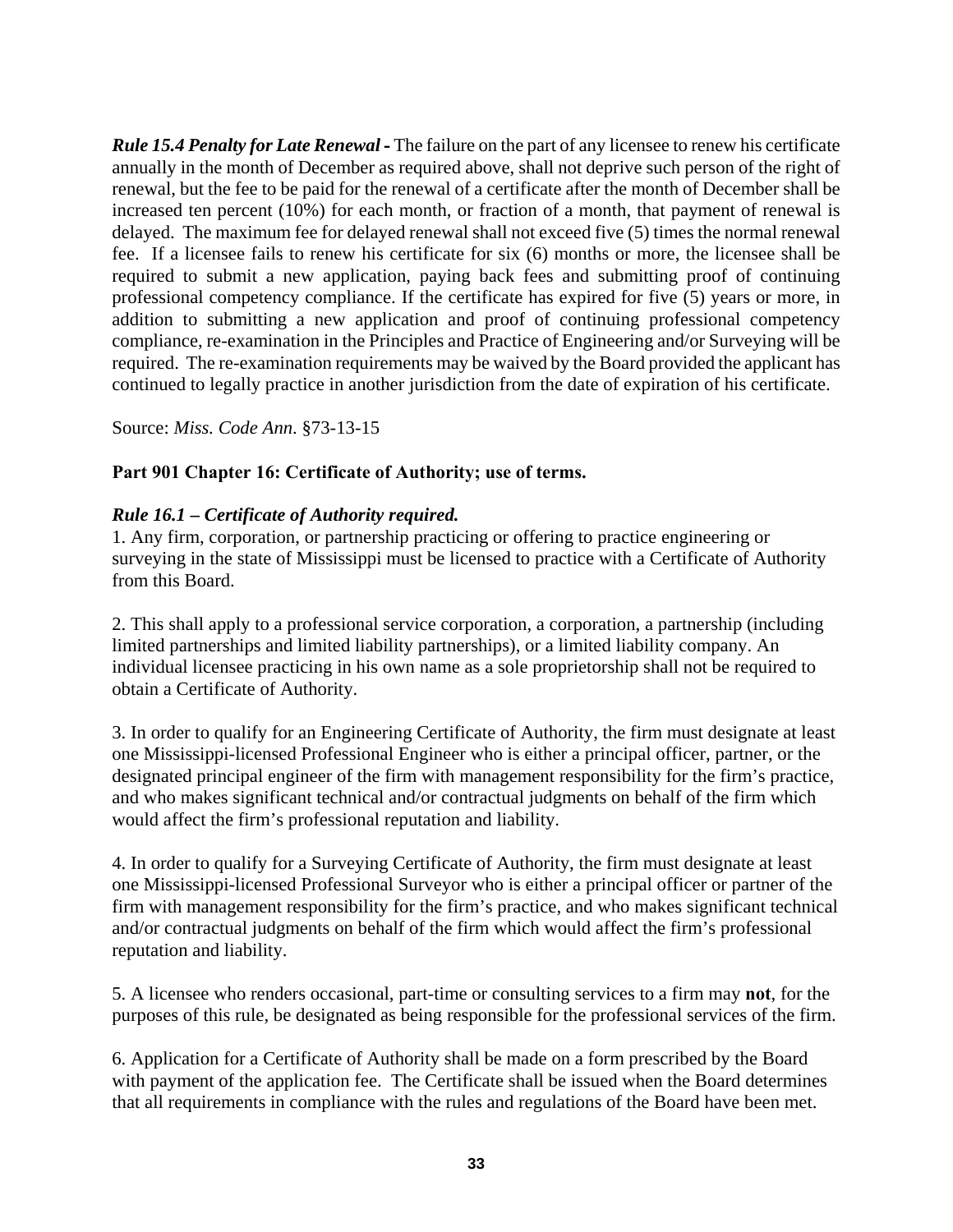*Rule 15.4 Penalty for Late Renewal* **-** The failure on the part of any licensee to renew his certificate annually in the month of December as required above, shall not deprive such person of the right of renewal, but the fee to be paid for the renewal of a certificate after the month of December shall be increased ten percent (10%) for each month, or fraction of a month, that payment of renewal is delayed. The maximum fee for delayed renewal shall not exceed five (5) times the normal renewal fee. If a licensee fails to renew his certificate for six (6) months or more, the licensee shall be required to submit a new application, paying back fees and submitting proof of continuing professional competency compliance. If the certificate has expired for five (5) years or more, in addition to submitting a new application and proof of continuing professional competency compliance, re-examination in the Principles and Practice of Engineering and/or Surveying will be required. The re-examination requirements may be waived by the Board provided the applicant has continued to legally practice in another jurisdiction from the date of expiration of his certificate.

Source: *Miss. Code Ann*. §73-13-15

### **Part 901 Chapter 16: Certificate of Authority; use of terms.**

### *Rule 16.1 – Certificate of Authority required.*

1. Any firm, corporation, or partnership practicing or offering to practice engineering or surveying in the state of Mississippi must be licensed to practice with a Certificate of Authority from this Board.

2. This shall apply to a professional service corporation, a corporation, a partnership (including limited partnerships and limited liability partnerships), or a limited liability company. An individual licensee practicing in his own name as a sole proprietorship shall not be required to obtain a Certificate of Authority.

3. In order to qualify for an Engineering Certificate of Authority, the firm must designate at least one Mississippi-licensed Professional Engineer who is either a principal officer, partner, or the designated principal engineer of the firm with management responsibility for the firm's practice, and who makes significant technical and/or contractual judgments on behalf of the firm which would affect the firm's professional reputation and liability.

4. In order to qualify for a Surveying Certificate of Authority, the firm must designate at least one Mississippi-licensed Professional Surveyor who is either a principal officer or partner of the firm with management responsibility for the firm's practice, and who makes significant technical and/or contractual judgments on behalf of the firm which would affect the firm's professional reputation and liability.

5. A licensee who renders occasional, part-time or consulting services to a firm may **not**, for the purposes of this rule, be designated as being responsible for the professional services of the firm.

6. Application for a Certificate of Authority shall be made on a form prescribed by the Board with payment of the application fee. The Certificate shall be issued when the Board determines that all requirements in compliance with the rules and regulations of the Board have been met.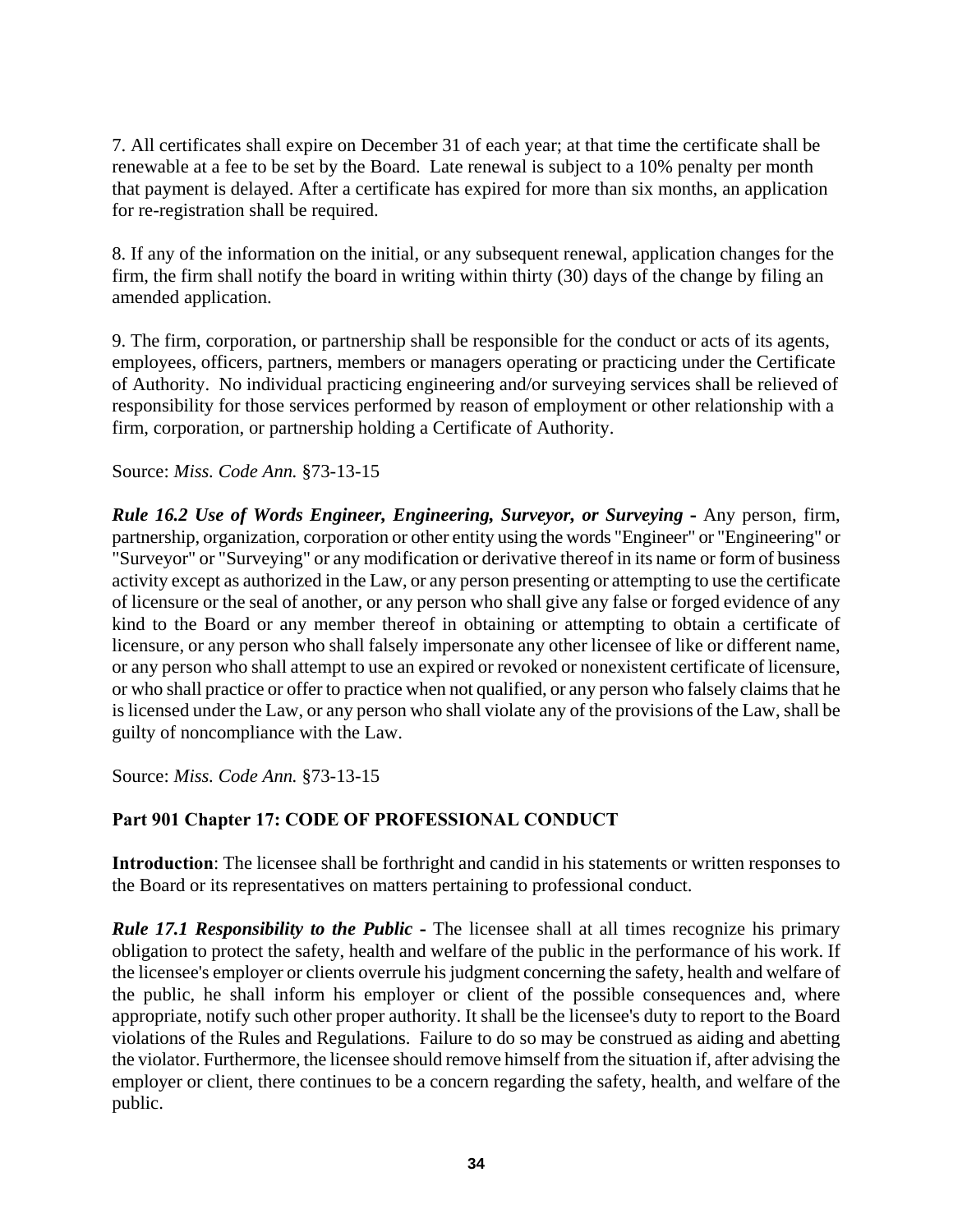7. All certificates shall expire on December 31 of each year; at that time the certificate shall be renewable at a fee to be set by the Board. Late renewal is subject to a 10% penalty per month that payment is delayed. After a certificate has expired for more than six months, an application for re-registration shall be required.

8. If any of the information on the initial, or any subsequent renewal, application changes for the firm, the firm shall notify the board in writing within thirty (30) days of the change by filing an amended application.

9. The firm, corporation, or partnership shall be responsible for the conduct or acts of its agents, employees, officers, partners, members or managers operating or practicing under the Certificate of Authority. No individual practicing engineering and/or surveying services shall be relieved of responsibility for those services performed by reason of employment or other relationship with a firm, corporation, or partnership holding a Certificate of Authority.

Source: *Miss. Code Ann.* §73-13-15

*Rule 16.2 Use of Words Engineer, Engineering, Surveyor, or Surveying* **-** Any person, firm, partnership, organization, corporation or other entity using the words "Engineer" or "Engineering" or "Surveyor" or "Surveying" or any modification or derivative thereof in its name or form of business activity except as authorized in the Law, or any person presenting or attempting to use the certificate of licensure or the seal of another, or any person who shall give any false or forged evidence of any kind to the Board or any member thereof in obtaining or attempting to obtain a certificate of licensure, or any person who shall falsely impersonate any other licensee of like or different name, or any person who shall attempt to use an expired or revoked or nonexistent certificate of licensure, or who shall practice or offer to practice when not qualified, or any person who falsely claims that he is licensed under the Law, or any person who shall violate any of the provisions of the Law, shall be guilty of noncompliance with the Law.

Source: *Miss. Code Ann.* §73-13-15

# **Part 901 Chapter 17: CODE OF PROFESSIONAL CONDUCT**

**Introduction**: The licensee shall be forthright and candid in his statements or written responses to the Board or its representatives on matters pertaining to professional conduct.

*Rule 17.1 Responsibility to the Public* - The licensee shall at all times recognize his primary obligation to protect the safety, health and welfare of the public in the performance of his work. If the licensee's employer or clients overrule his judgment concerning the safety, health and welfare of the public, he shall inform his employer or client of the possible consequences and, where appropriate, notify such other proper authority. It shall be the licensee's duty to report to the Board violations of the Rules and Regulations. Failure to do so may be construed as aiding and abetting the violator. Furthermore, the licensee should remove himself from the situation if, after advising the employer or client, there continues to be a concern regarding the safety, health, and welfare of the public.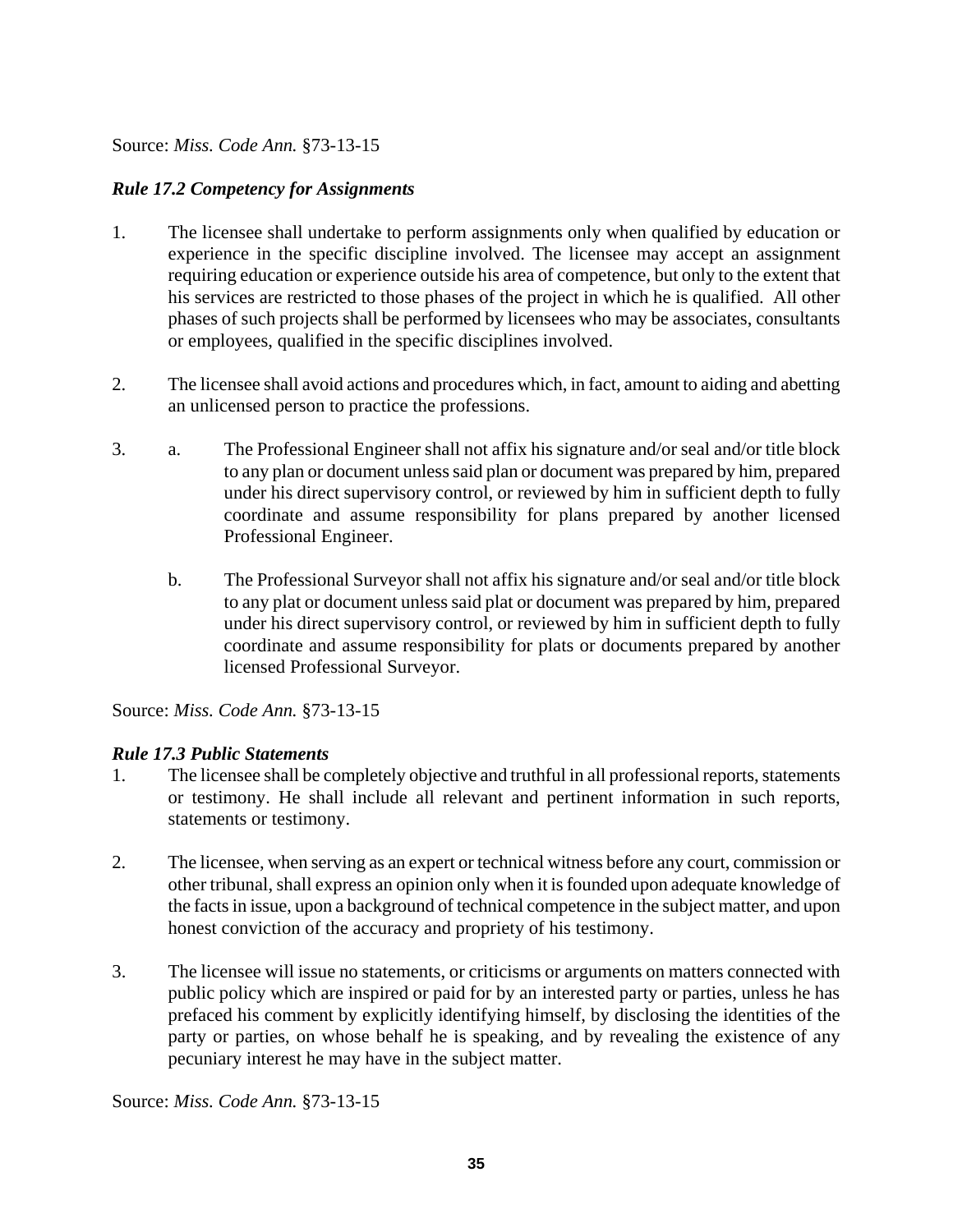### *Rule 17.2 Competency for Assignments*

- 1. The licensee shall undertake to perform assignments only when qualified by education or experience in the specific discipline involved. The licensee may accept an assignment requiring education or experience outside his area of competence, but only to the extent that his services are restricted to those phases of the project in which he is qualified. All other phases of such projects shall be performed by licensees who may be associates, consultants or employees, qualified in the specific disciplines involved.
- 2. The licensee shall avoid actions and procedures which, in fact, amount to aiding and abetting an unlicensed person to practice the professions.
- 3. a. The Professional Engineer shall not affix his signature and/or seal and/or title block to any plan or document unless said plan or document was prepared by him, prepared under his direct supervisory control, or reviewed by him in sufficient depth to fully coordinate and assume responsibility for plans prepared by another licensed Professional Engineer.
	- b. The Professional Surveyor shall not affix his signature and/or seal and/or title block to any plat or document unless said plat or document was prepared by him, prepared under his direct supervisory control, or reviewed by him in sufficient depth to fully coordinate and assume responsibility for plats or documents prepared by another licensed Professional Surveyor.

Source: *Miss. Code Ann.* §73-13-15

# *Rule 17.3 Public Statements*

- 1. The licensee shall be completely objective and truthful in all professional reports, statements or testimony. He shall include all relevant and pertinent information in such reports, statements or testimony.
- 2. The licensee, when serving as an expert or technical witness before any court, commission or other tribunal, shall express an opinion only when it is founded upon adequate knowledge of the facts in issue, upon a background of technical competence in the subject matter, and upon honest conviction of the accuracy and propriety of his testimony.
- 3. The licensee will issue no statements, or criticisms or arguments on matters connected with public policy which are inspired or paid for by an interested party or parties, unless he has prefaced his comment by explicitly identifying himself, by disclosing the identities of the party or parties, on whose behalf he is speaking, and by revealing the existence of any pecuniary interest he may have in the subject matter.

Source: *Miss. Code Ann.* §73-13-15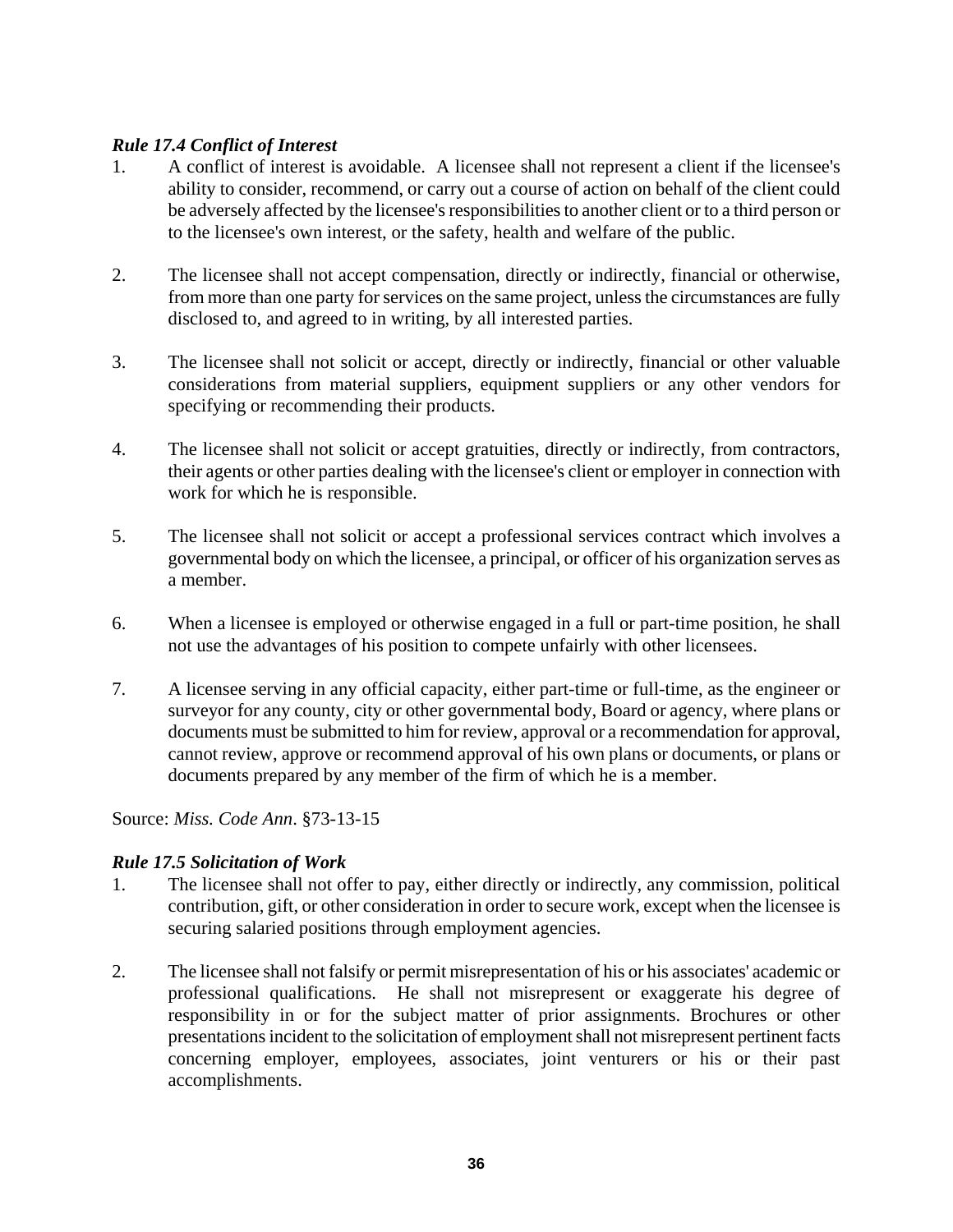# *Rule 17.4 Conflict of Interest*

- 1. A conflict of interest is avoidable. A licensee shall not represent a client if the licensee's ability to consider, recommend, or carry out a course of action on behalf of the client could be adversely affected by the licensee's responsibilities to another client or to a third person or to the licensee's own interest, or the safety, health and welfare of the public.
- 2. The licensee shall not accept compensation, directly or indirectly, financial or otherwise, from more than one party for services on the same project, unless the circumstances are fully disclosed to, and agreed to in writing, by all interested parties.
- 3. The licensee shall not solicit or accept, directly or indirectly, financial or other valuable considerations from material suppliers, equipment suppliers or any other vendors for specifying or recommending their products.
- 4. The licensee shall not solicit or accept gratuities, directly or indirectly, from contractors, their agents or other parties dealing with the licensee's client or employer in connection with work for which he is responsible.
- 5. The licensee shall not solicit or accept a professional services contract which involves a governmental body on which the licensee, a principal, or officer of his organization serves as a member.
- 6. When a licensee is employed or otherwise engaged in a full or part-time position, he shall not use the advantages of his position to compete unfairly with other licensees.
- 7. A licensee serving in any official capacity, either part-time or full-time, as the engineer or surveyor for any county, city or other governmental body, Board or agency, where plans or documents must be submitted to him for review, approval or a recommendation for approval, cannot review, approve or recommend approval of his own plans or documents, or plans or documents prepared by any member of the firm of which he is a member.

Source: *Miss. Code Ann*. §73-13-15

# *Rule 17.5 Solicitation of Work*

- 1. The licensee shall not offer to pay, either directly or indirectly, any commission, political contribution, gift, or other consideration in order to secure work, except when the licensee is securing salaried positions through employment agencies.
- 2. The licensee shall not falsify or permit misrepresentation of his or his associates' academic or professional qualifications. He shall not misrepresent or exaggerate his degree of responsibility in or for the subject matter of prior assignments. Brochures or other presentations incident to the solicitation of employment shall not misrepresent pertinent facts concerning employer, employees, associates, joint venturers or his or their past accomplishments.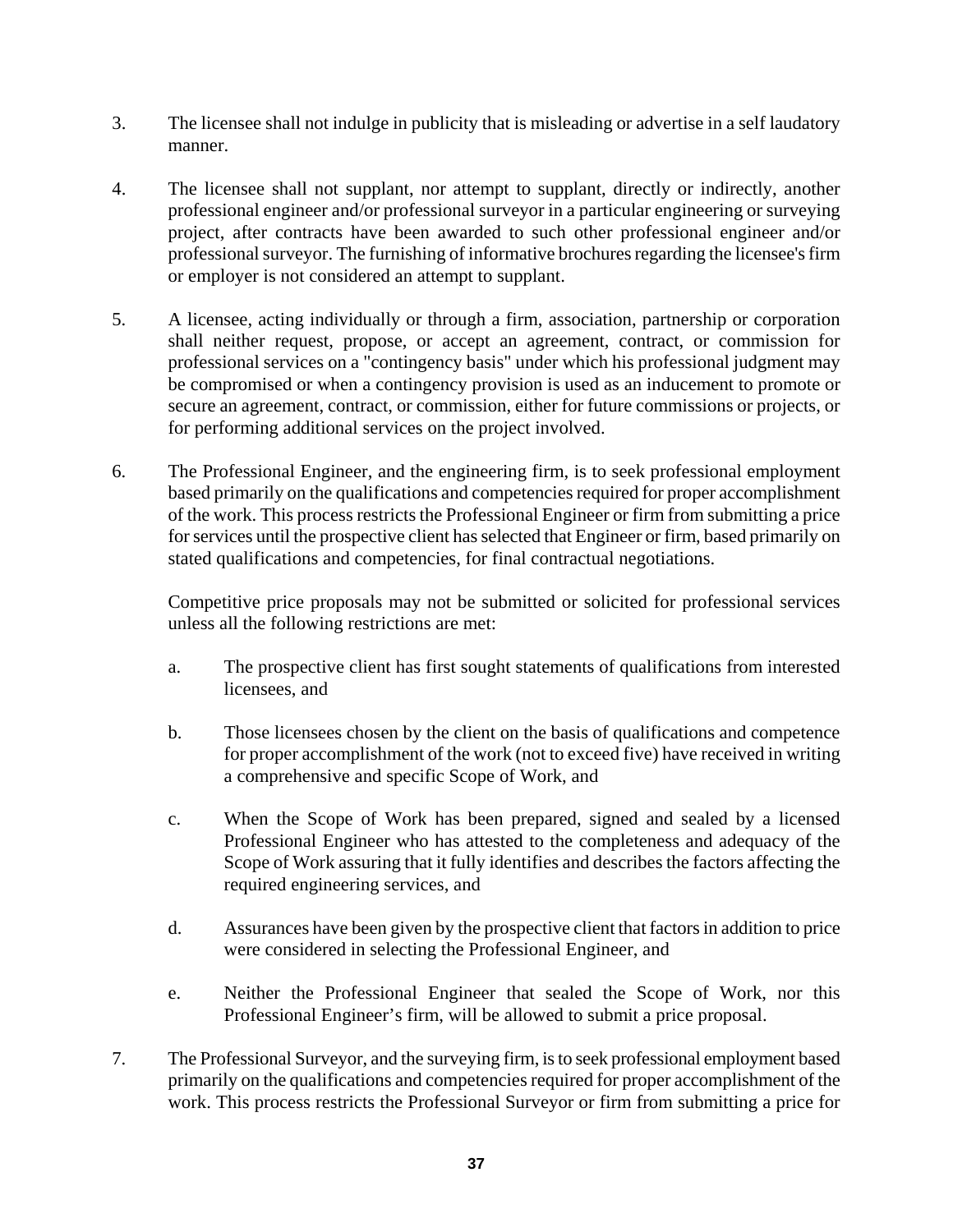- 3. The licensee shall not indulge in publicity that is misleading or advertise in a self laudatory manner.
- 4. The licensee shall not supplant, nor attempt to supplant, directly or indirectly, another professional engineer and/or professional surveyor in a particular engineering or surveying project, after contracts have been awarded to such other professional engineer and/or professional surveyor. The furnishing of informative brochures regarding the licensee's firm or employer is not considered an attempt to supplant.
- 5. A licensee, acting individually or through a firm, association, partnership or corporation shall neither request, propose, or accept an agreement, contract, or commission for professional services on a "contingency basis" under which his professional judgment may be compromised or when a contingency provision is used as an inducement to promote or secure an agreement, contract, or commission, either for future commissions or projects, or for performing additional services on the project involved.
- 6. The Professional Engineer, and the engineering firm, is to seek professional employment based primarily on the qualifications and competencies required for proper accomplishment of the work. This process restricts the Professional Engineer or firm from submitting a price for services until the prospective client has selected that Engineer or firm, based primarily on stated qualifications and competencies, for final contractual negotiations.

 Competitive price proposals may not be submitted or solicited for professional services unless all the following restrictions are met:

- a. The prospective client has first sought statements of qualifications from interested licensees, and
- b. Those licensees chosen by the client on the basis of qualifications and competence for proper accomplishment of the work (not to exceed five) have received in writing a comprehensive and specific Scope of Work, and
- c. When the Scope of Work has been prepared, signed and sealed by a licensed Professional Engineer who has attested to the completeness and adequacy of the Scope of Work assuring that it fully identifies and describes the factors affecting the required engineering services, and
- d. Assurances have been given by the prospective client that factors in addition to price were considered in selecting the Professional Engineer, and
- e. Neither the Professional Engineer that sealed the Scope of Work, nor this Professional Engineer's firm, will be allowed to submit a price proposal.
- 7. The Professional Surveyor, and the surveying firm, is to seek professional employment based primarily on the qualifications and competencies required for proper accomplishment of the work. This process restricts the Professional Surveyor or firm from submitting a price for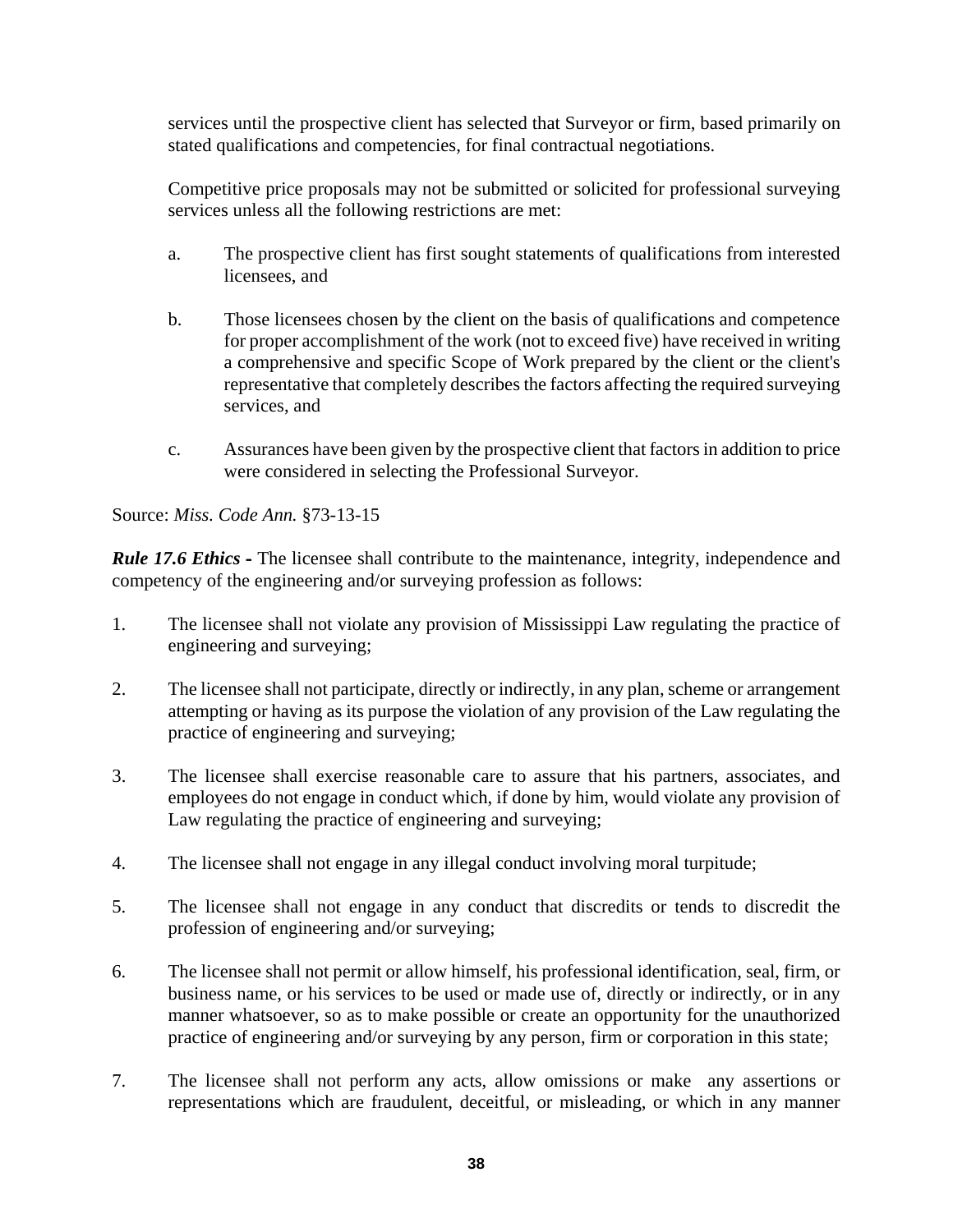services until the prospective client has selected that Surveyor or firm, based primarily on stated qualifications and competencies, for final contractual negotiations.

 Competitive price proposals may not be submitted or solicited for professional surveying services unless all the following restrictions are met:

- a. The prospective client has first sought statements of qualifications from interested licensees, and
- b. Those licensees chosen by the client on the basis of qualifications and competence for proper accomplishment of the work (not to exceed five) have received in writing a comprehensive and specific Scope of Work prepared by the client or the client's representative that completely describes the factors affecting the required surveying services, and
- c. Assurances have been given by the prospective client that factors in addition to price were considered in selecting the Professional Surveyor.

Source: *Miss. Code Ann.* §73-13-15

*Rule 17.6 Ethics* - The licensee shall contribute to the maintenance, integrity, independence and competency of the engineering and/or surveying profession as follows:

- 1. The licensee shall not violate any provision of Mississippi Law regulating the practice of engineering and surveying;
- 2. The licensee shall not participate, directly or indirectly, in any plan, scheme or arrangement attempting or having as its purpose the violation of any provision of the Law regulating the practice of engineering and surveying;
- 3. The licensee shall exercise reasonable care to assure that his partners, associates, and employees do not engage in conduct which, if done by him, would violate any provision of Law regulating the practice of engineering and surveying;
- 4. The licensee shall not engage in any illegal conduct involving moral turpitude;
- 5. The licensee shall not engage in any conduct that discredits or tends to discredit the profession of engineering and/or surveying;
- 6. The licensee shall not permit or allow himself, his professional identification, seal, firm, or business name, or his services to be used or made use of, directly or indirectly, or in any manner whatsoever, so as to make possible or create an opportunity for the unauthorized practice of engineering and/or surveying by any person, firm or corporation in this state;
- 7. The licensee shall not perform any acts, allow omissions or make any assertions or representations which are fraudulent, deceitful, or misleading, or which in any manner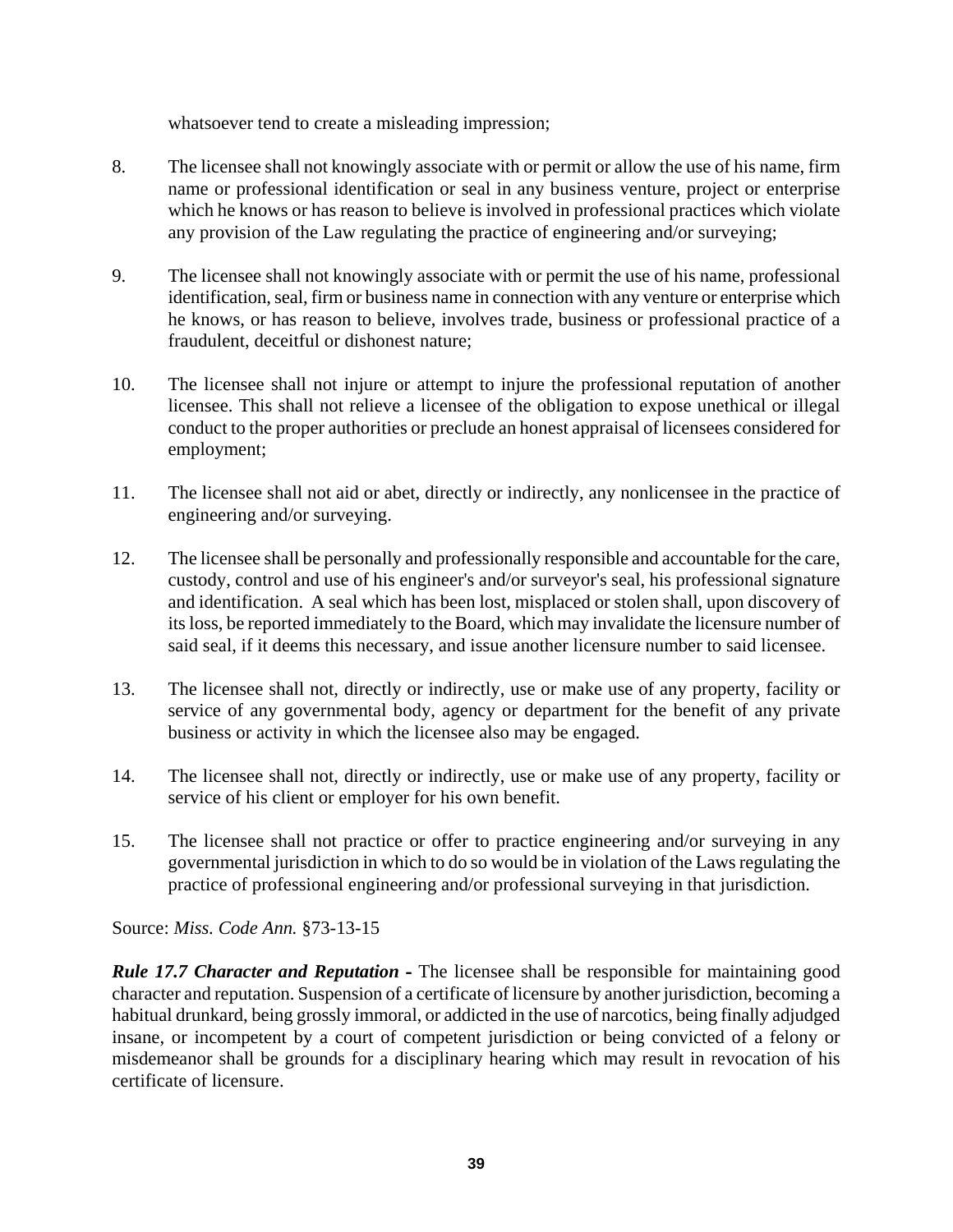whatsoever tend to create a misleading impression;

- 8. The licensee shall not knowingly associate with or permit or allow the use of his name, firm name or professional identification or seal in any business venture, project or enterprise which he knows or has reason to believe is involved in professional practices which violate any provision of the Law regulating the practice of engineering and/or surveying;
- 9. The licensee shall not knowingly associate with or permit the use of his name, professional identification, seal, firm or business name in connection with any venture or enterprise which he knows, or has reason to believe, involves trade, business or professional practice of a fraudulent, deceitful or dishonest nature;
- 10. The licensee shall not injure or attempt to injure the professional reputation of another licensee. This shall not relieve a licensee of the obligation to expose unethical or illegal conduct to the proper authorities or preclude an honest appraisal of licensees considered for employment;
- 11. The licensee shall not aid or abet, directly or indirectly, any nonlicensee in the practice of engineering and/or surveying.
- 12. The licensee shall be personally and professionally responsible and accountable for the care, custody, control and use of his engineer's and/or surveyor's seal, his professional signature and identification. A seal which has been lost, misplaced or stolen shall, upon discovery of its loss, be reported immediately to the Board, which may invalidate the licensure number of said seal, if it deems this necessary, and issue another licensure number to said licensee.
- 13. The licensee shall not, directly or indirectly, use or make use of any property, facility or service of any governmental body, agency or department for the benefit of any private business or activity in which the licensee also may be engaged.
- 14. The licensee shall not, directly or indirectly, use or make use of any property, facility or service of his client or employer for his own benefit.
- 15. The licensee shall not practice or offer to practice engineering and/or surveying in any governmental jurisdiction in which to do so would be in violation of the Laws regulating the practice of professional engineering and/or professional surveying in that jurisdiction.

Source: *Miss. Code Ann.* §73-13-15

*Rule 17.7 Character and Reputation* **-** The licensee shall be responsible for maintaining good character and reputation. Suspension of a certificate of licensure by another jurisdiction, becoming a habitual drunkard, being grossly immoral, or addicted in the use of narcotics, being finally adjudged insane, or incompetent by a court of competent jurisdiction or being convicted of a felony or misdemeanor shall be grounds for a disciplinary hearing which may result in revocation of his certificate of licensure.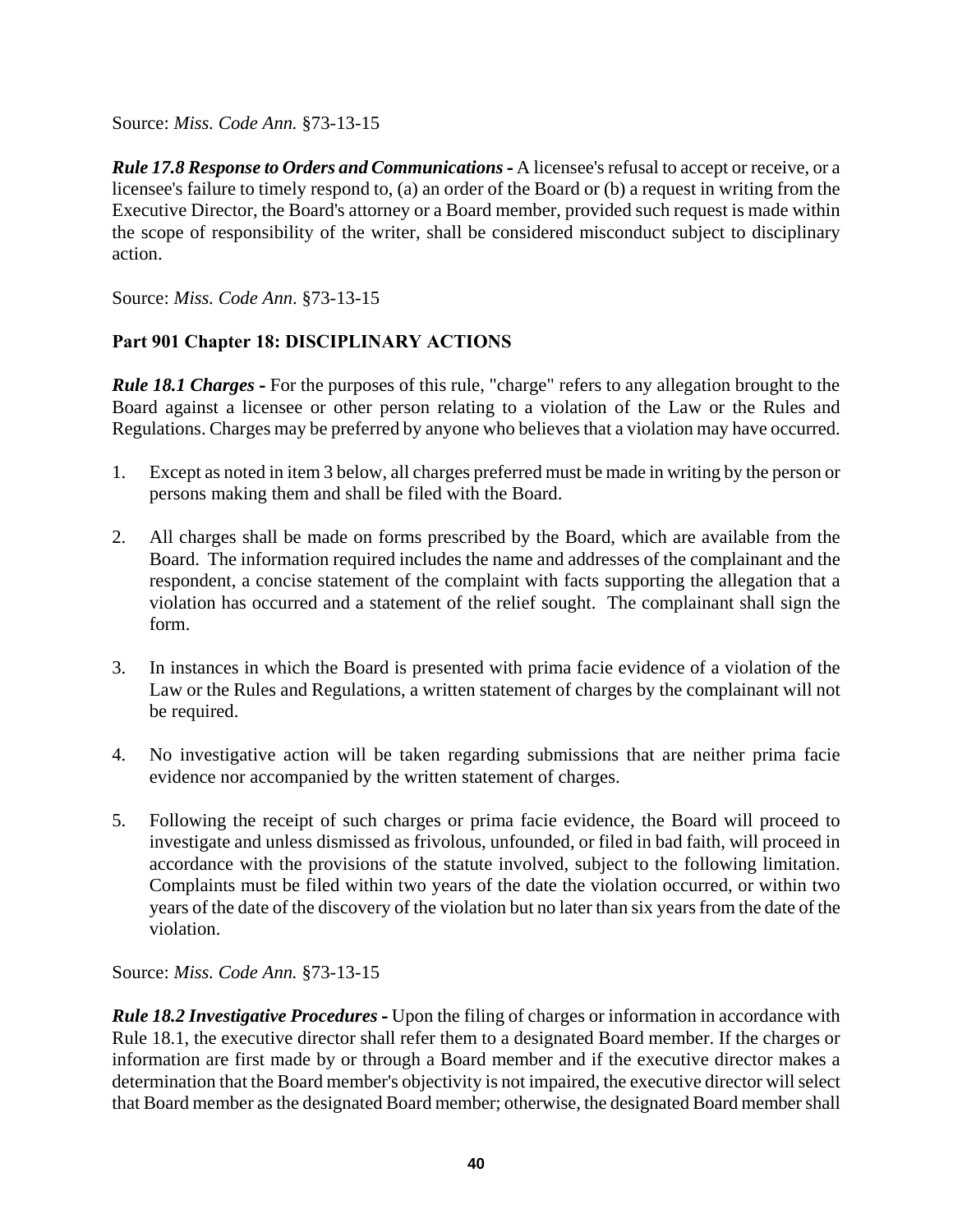*Rule 17.8 Response to Orders and Communications* **-** A licensee's refusal to accept or receive, or a licensee's failure to timely respond to, (a) an order of the Board or (b) a request in writing from the Executive Director, the Board's attorney or a Board member, provided such request is made within the scope of responsibility of the writer, shall be considered misconduct subject to disciplinary action.

Source: *Miss. Code Ann*. §73-13-15

# **Part 901 Chapter 18: DISCIPLINARY ACTIONS**

*Rule 18.1 Charges* **-** For the purposes of this rule, "charge" refers to any allegation brought to the Board against a licensee or other person relating to a violation of the Law or the Rules and Regulations. Charges may be preferred by anyone who believes that a violation may have occurred.

- 1. Except as noted in item 3 below, all charges preferred must be made in writing by the person or persons making them and shall be filed with the Board.
- 2. All charges shall be made on forms prescribed by the Board, which are available from the Board. The information required includes the name and addresses of the complainant and the respondent, a concise statement of the complaint with facts supporting the allegation that a violation has occurred and a statement of the relief sought. The complainant shall sign the form.
- 3. In instances in which the Board is presented with prima facie evidence of a violation of the Law or the Rules and Regulations, a written statement of charges by the complainant will not be required.
- 4. No investigative action will be taken regarding submissions that are neither prima facie evidence nor accompanied by the written statement of charges.
- 5. Following the receipt of such charges or prima facie evidence, the Board will proceed to investigate and unless dismissed as frivolous, unfounded, or filed in bad faith, will proceed in accordance with the provisions of the statute involved, subject to the following limitation. Complaints must be filed within two years of the date the violation occurred, or within two years of the date of the discovery of the violation but no later than six years from the date of the violation.

Source: *Miss. Code Ann.* §73-13-15

*Rule 18.2 Investigative Procedures* **-** Upon the filing of charges or information in accordance with Rule 18.1, the executive director shall refer them to a designated Board member. If the charges or information are first made by or through a Board member and if the executive director makes a determination that the Board member's objectivity is not impaired, the executive director will select that Board member as the designated Board member; otherwise, the designated Board member shall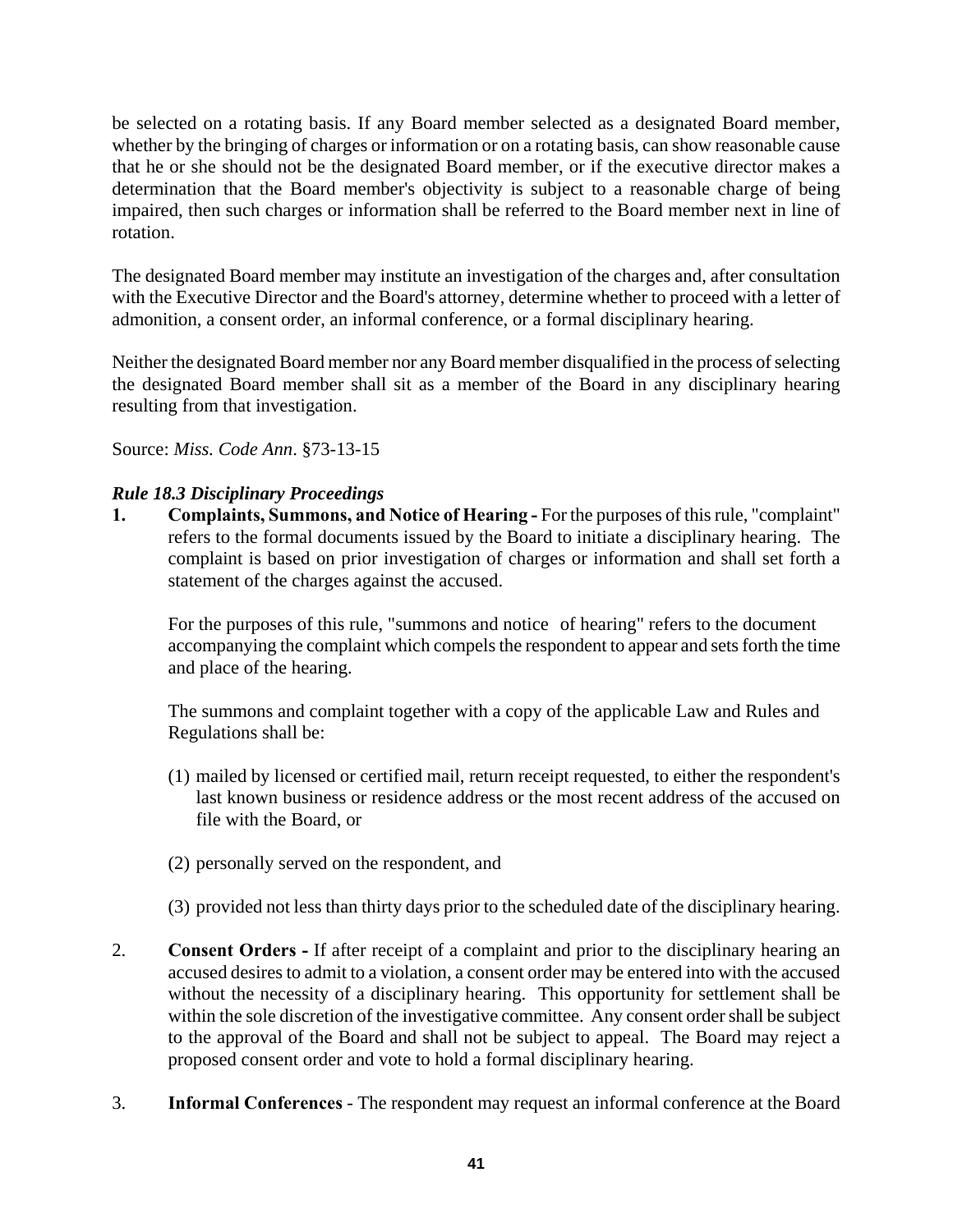be selected on a rotating basis. If any Board member selected as a designated Board member, whether by the bringing of charges or information or on a rotating basis, can show reasonable cause that he or she should not be the designated Board member, or if the executive director makes a determination that the Board member's objectivity is subject to a reasonable charge of being impaired, then such charges or information shall be referred to the Board member next in line of rotation.

The designated Board member may institute an investigation of the charges and, after consultation with the Executive Director and the Board's attorney, determine whether to proceed with a letter of admonition, a consent order, an informal conference, or a formal disciplinary hearing.

Neither the designated Board member nor any Board member disqualified in the process of selecting the designated Board member shall sit as a member of the Board in any disciplinary hearing resulting from that investigation.

Source: *Miss. Code Ann*. §73-13-15

# *Rule 18.3 Disciplinary Proceedings*

**1. Complaints, Summons, and Notice of Hearing -** For the purposes of this rule, "complaint" refers to the formal documents issued by the Board to initiate a disciplinary hearing. The complaint is based on prior investigation of charges or information and shall set forth a statement of the charges against the accused.

For the purposes of this rule, "summons and notice of hearing" refers to the document accompanying the complaint which compels the respondent to appear and sets forth the time and place of the hearing.

The summons and complaint together with a copy of the applicable Law and Rules and Regulations shall be:

- (1) mailed by licensed or certified mail, return receipt requested, to either the respondent's last known business or residence address or the most recent address of the accused on file with the Board, or
- (2) personally served on the respondent, and
- (3) provided not less than thirty days prior to the scheduled date of the disciplinary hearing.
- 2. **Consent Orders -** If after receipt of a complaint and prior to the disciplinary hearing an accused desires to admit to a violation, a consent order may be entered into with the accused without the necessity of a disciplinary hearing. This opportunity for settlement shall be within the sole discretion of the investigative committee. Any consent order shall be subject to the approval of the Board and shall not be subject to appeal. The Board may reject a proposed consent order and vote to hold a formal disciplinary hearing.
- 3. **Informal Conferences** The respondent may request an informal conference at the Board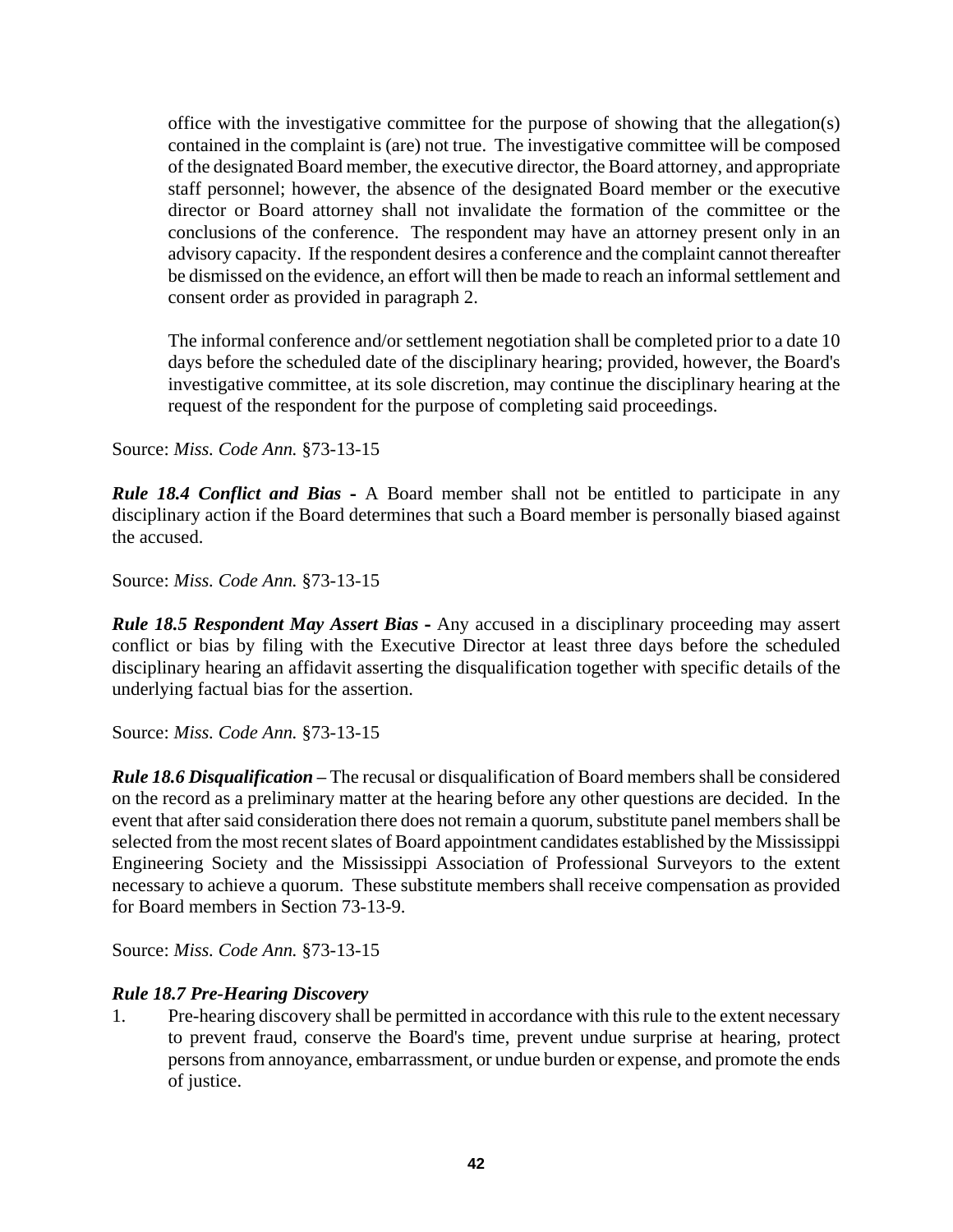office with the investigative committee for the purpose of showing that the allegation(s) contained in the complaint is (are) not true. The investigative committee will be composed of the designated Board member, the executive director, the Board attorney, and appropriate staff personnel; however, the absence of the designated Board member or the executive director or Board attorney shall not invalidate the formation of the committee or the conclusions of the conference. The respondent may have an attorney present only in an advisory capacity. If the respondent desires a conference and the complaint cannot thereafter be dismissed on the evidence, an effort will then be made to reach an informal settlement and consent order as provided in paragraph 2.

The informal conference and/or settlement negotiation shall be completed prior to a date 10 days before the scheduled date of the disciplinary hearing; provided, however, the Board's investigative committee, at its sole discretion, may continue the disciplinary hearing at the request of the respondent for the purpose of completing said proceedings.

Source: *Miss. Code Ann.* §73-13-15

*Rule 18.4 Conflict and Bias* - A Board member shall not be entitled to participate in any disciplinary action if the Board determines that such a Board member is personally biased against the accused.

Source: *Miss. Code Ann.* §73-13-15

*Rule 18.5 Respondent May Assert Bias* **-** Any accused in a disciplinary proceeding may assert conflict or bias by filing with the Executive Director at least three days before the scheduled disciplinary hearing an affidavit asserting the disqualification together with specific details of the underlying factual bias for the assertion.

Source: *Miss. Code Ann.* §73-13-15

*Rule 18.6 Disqualification* **–** The recusal or disqualification of Board members shall be considered on the record as a preliminary matter at the hearing before any other questions are decided. In the event that after said consideration there does not remain a quorum, substitute panel members shall be selected from the most recent slates of Board appointment candidates established by the Mississippi Engineering Society and the Mississippi Association of Professional Surveyors to the extent necessary to achieve a quorum. These substitute members shall receive compensation as provided for Board members in Section 73-13-9.

Source: *Miss. Code Ann.* §73-13-15

# *Rule 18.7 Pre-Hearing Discovery*

1. Pre-hearing discovery shall be permitted in accordance with this rule to the extent necessary to prevent fraud, conserve the Board's time, prevent undue surprise at hearing, protect persons from annoyance, embarrassment, or undue burden or expense, and promote the ends of justice.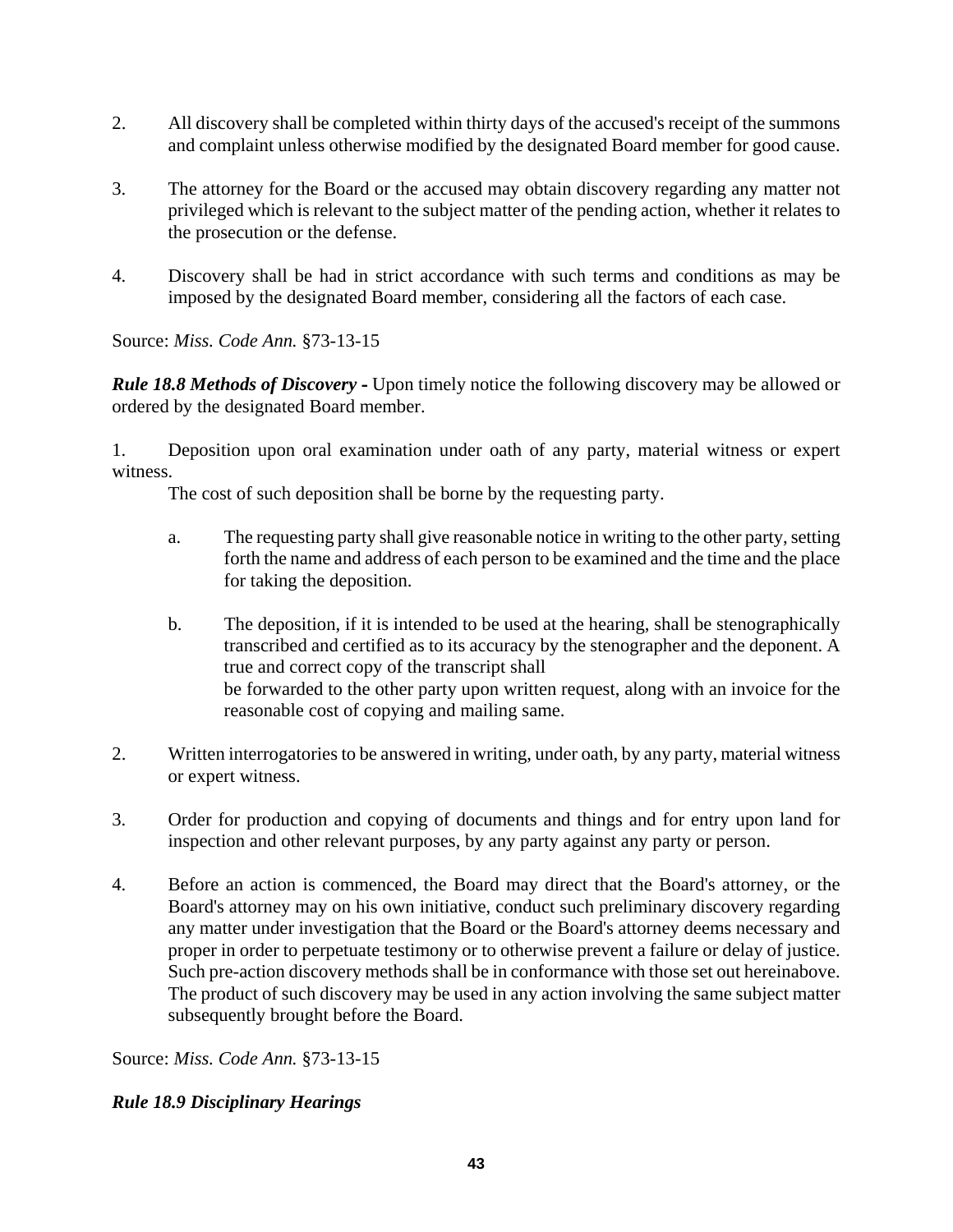- 2. All discovery shall be completed within thirty days of the accused's receipt of the summons and complaint unless otherwise modified by the designated Board member for good cause.
- 3. The attorney for the Board or the accused may obtain discovery regarding any matter not privileged which is relevant to the subject matter of the pending action, whether it relates to the prosecution or the defense.
- 4. Discovery shall be had in strict accordance with such terms and conditions as may be imposed by the designated Board member, considering all the factors of each case.

*Rule 18.8 Methods of Discovery* **-** Upon timely notice the following discovery may be allowed or ordered by the designated Board member.

1. Deposition upon oral examination under oath of any party, material witness or expert witness.

The cost of such deposition shall be borne by the requesting party.

- a. The requesting party shall give reasonable notice in writing to the other party, setting forth the name and address of each person to be examined and the time and the place for taking the deposition.
- b. The deposition, if it is intended to be used at the hearing, shall be stenographically transcribed and certified as to its accuracy by the stenographer and the deponent. A true and correct copy of the transcript shall be forwarded to the other party upon written request, along with an invoice for the reasonable cost of copying and mailing same.
- 2. Written interrogatories to be answered in writing, under oath, by any party, material witness or expert witness.
- 3. Order for production and copying of documents and things and for entry upon land for inspection and other relevant purposes, by any party against any party or person.
- 4. Before an action is commenced, the Board may direct that the Board's attorney, or the Board's attorney may on his own initiative, conduct such preliminary discovery regarding any matter under investigation that the Board or the Board's attorney deems necessary and proper in order to perpetuate testimony or to otherwise prevent a failure or delay of justice. Such pre-action discovery methods shall be in conformance with those set out hereinabove. The product of such discovery may be used in any action involving the same subject matter subsequently brought before the Board.

Source: *Miss. Code Ann.* §73-13-15

# *Rule 18.9 Disciplinary Hearings*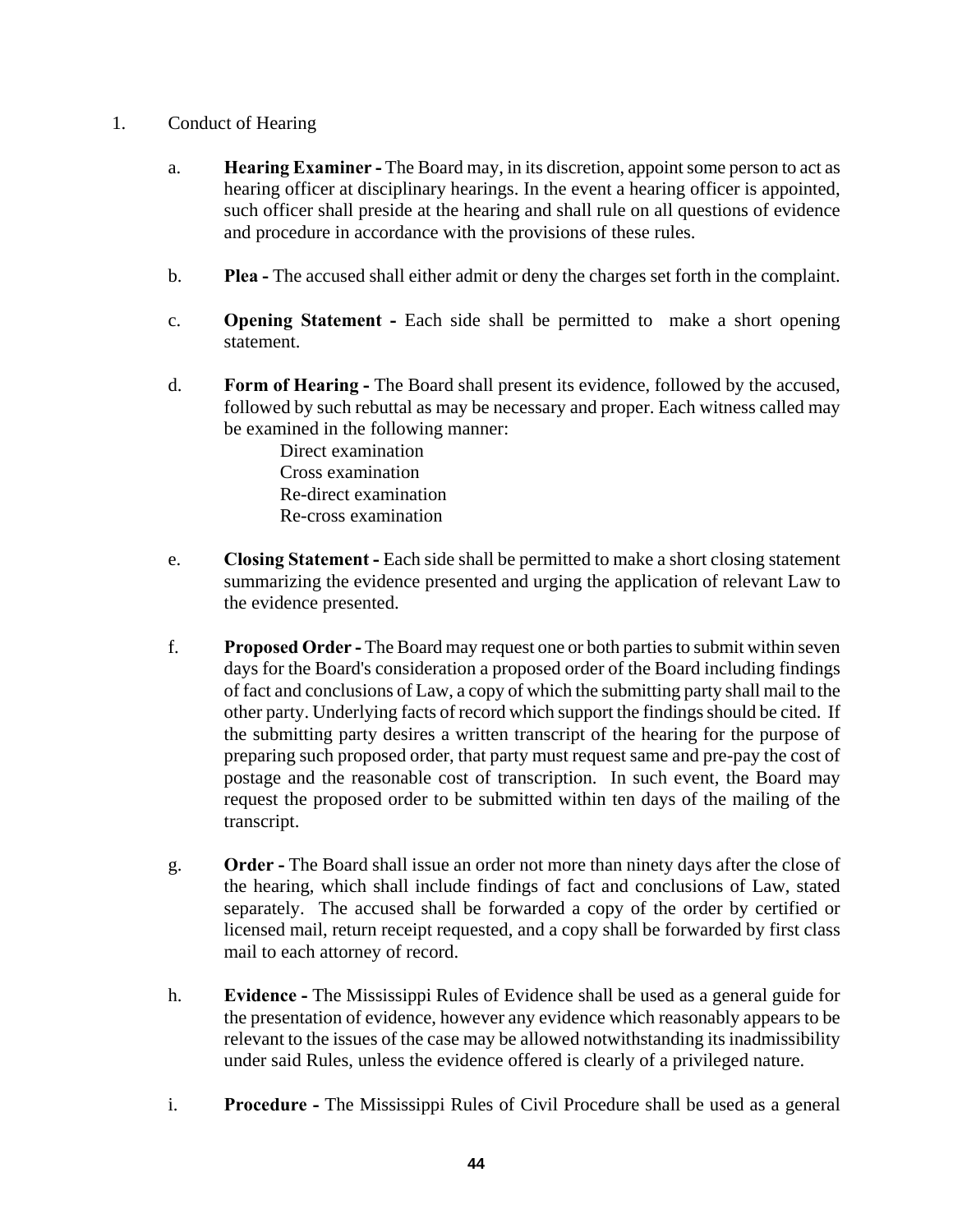- 1. Conduct of Hearing
	- a. **Hearing Examiner** The Board may, in its discretion, appoint some person to act as hearing officer at disciplinary hearings. In the event a hearing officer is appointed, such officer shall preside at the hearing and shall rule on all questions of evidence and procedure in accordance with the provisions of these rules.
	- b. **Plea -** The accused shall either admit or deny the charges set forth in the complaint.
	- c. **Opening Statement -** Each side shall be permitted to make a short opening statement.
	- d. **Form of Hearing -** The Board shall present its evidence, followed by the accused, followed by such rebuttal as may be necessary and proper. Each witness called may be examined in the following manner:

Direct examination Cross examination Re-direct examination Re-cross examination

- e. **Closing Statement -** Each side shall be permitted to make a short closing statement summarizing the evidence presented and urging the application of relevant Law to the evidence presented.
- f. **Proposed Order -** The Board may request one or both parties to submit within seven days for the Board's consideration a proposed order of the Board including findings of fact and conclusions of Law, a copy of which the submitting party shall mail to the other party. Underlying facts of record which support the findings should be cited. If the submitting party desires a written transcript of the hearing for the purpose of preparing such proposed order, that party must request same and pre-pay the cost of postage and the reasonable cost of transcription. In such event, the Board may request the proposed order to be submitted within ten days of the mailing of the transcript.
- g. **Order -** The Board shall issue an order not more than ninety days after the close of the hearing, which shall include findings of fact and conclusions of Law, stated separately. The accused shall be forwarded a copy of the order by certified or licensed mail, return receipt requested, and a copy shall be forwarded by first class mail to each attorney of record.
- h. **Evidence -** The Mississippi Rules of Evidence shall be used as a general guide for the presentation of evidence, however any evidence which reasonably appears to be relevant to the issues of the case may be allowed notwithstanding its inadmissibility under said Rules, unless the evidence offered is clearly of a privileged nature.
- i. **Procedure -** The Mississippi Rules of Civil Procedure shall be used as a general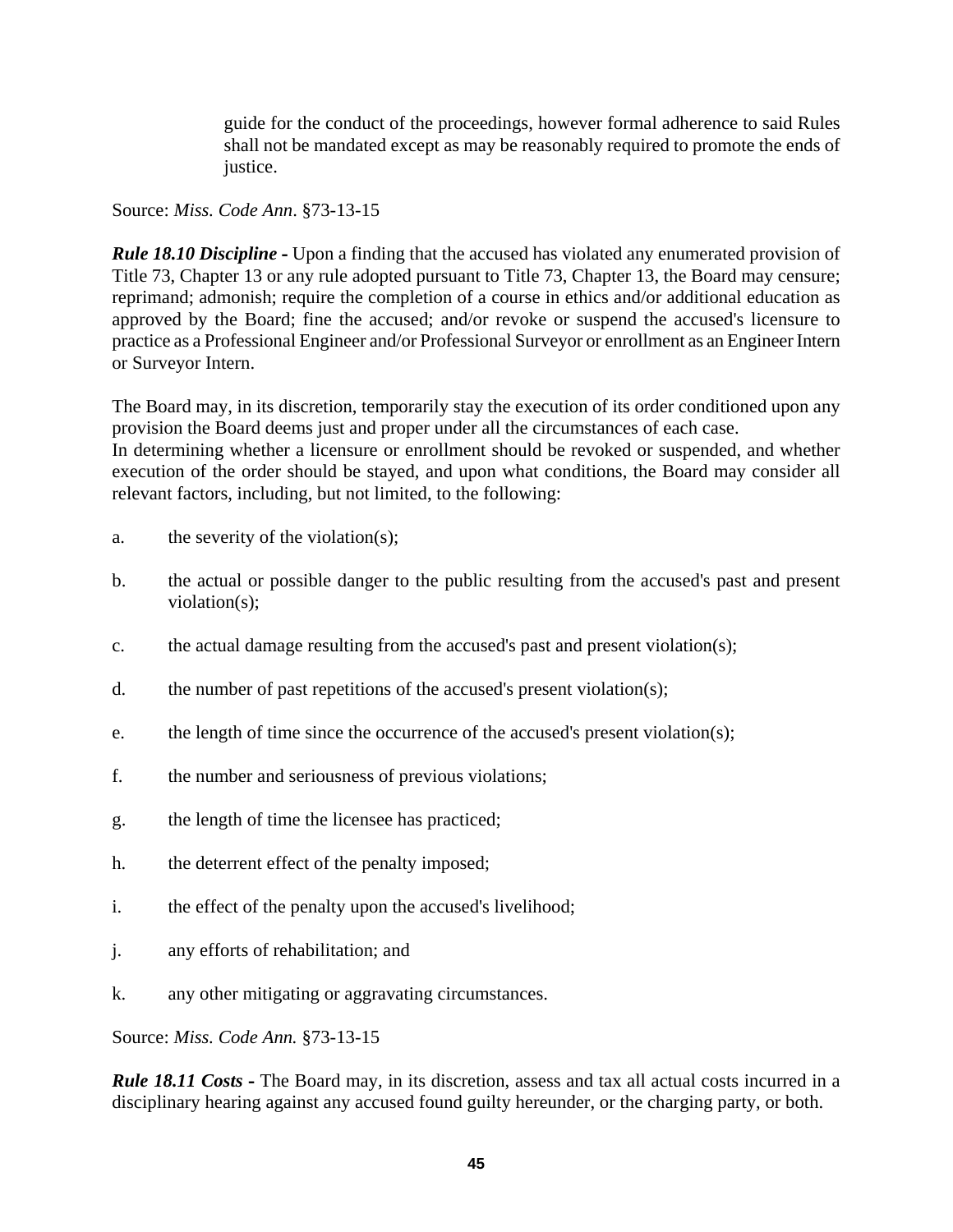guide for the conduct of the proceedings, however formal adherence to said Rules shall not be mandated except as may be reasonably required to promote the ends of justice.

Source: *Miss. Code Ann*. §73-13-15

*Rule 18.10 Discipline* - Upon a finding that the accused has violated any enumerated provision of Title 73, Chapter 13 or any rule adopted pursuant to Title 73, Chapter 13, the Board may censure; reprimand; admonish; require the completion of a course in ethics and/or additional education as approved by the Board; fine the accused; and/or revoke or suspend the accused's licensure to practice as a Professional Engineer and/or Professional Surveyor or enrollment as an Engineer Intern or Surveyor Intern.

The Board may, in its discretion, temporarily stay the execution of its order conditioned upon any provision the Board deems just and proper under all the circumstances of each case.

In determining whether a licensure or enrollment should be revoked or suspended, and whether execution of the order should be stayed, and upon what conditions, the Board may consider all relevant factors, including, but not limited, to the following:

- a. the severity of the violation(s);
- b. the actual or possible danger to the public resulting from the accused's past and present violation(s);
- c. the actual damage resulting from the accused's past and present violation(s);
- d. the number of past repetitions of the accused's present violation(s);
- e. the length of time since the occurrence of the accused's present violation(s);
- f. the number and seriousness of previous violations;
- g. the length of time the licensee has practiced;
- h. the deterrent effect of the penalty imposed;
- i. the effect of the penalty upon the accused's livelihood;
- j. any efforts of rehabilitation; and
- k. any other mitigating or aggravating circumstances.

Source: *Miss. Code Ann.* §73-13-15

*Rule 18.11 Costs* - The Board may, in its discretion, assess and tax all actual costs incurred in a disciplinary hearing against any accused found guilty hereunder, or the charging party, or both.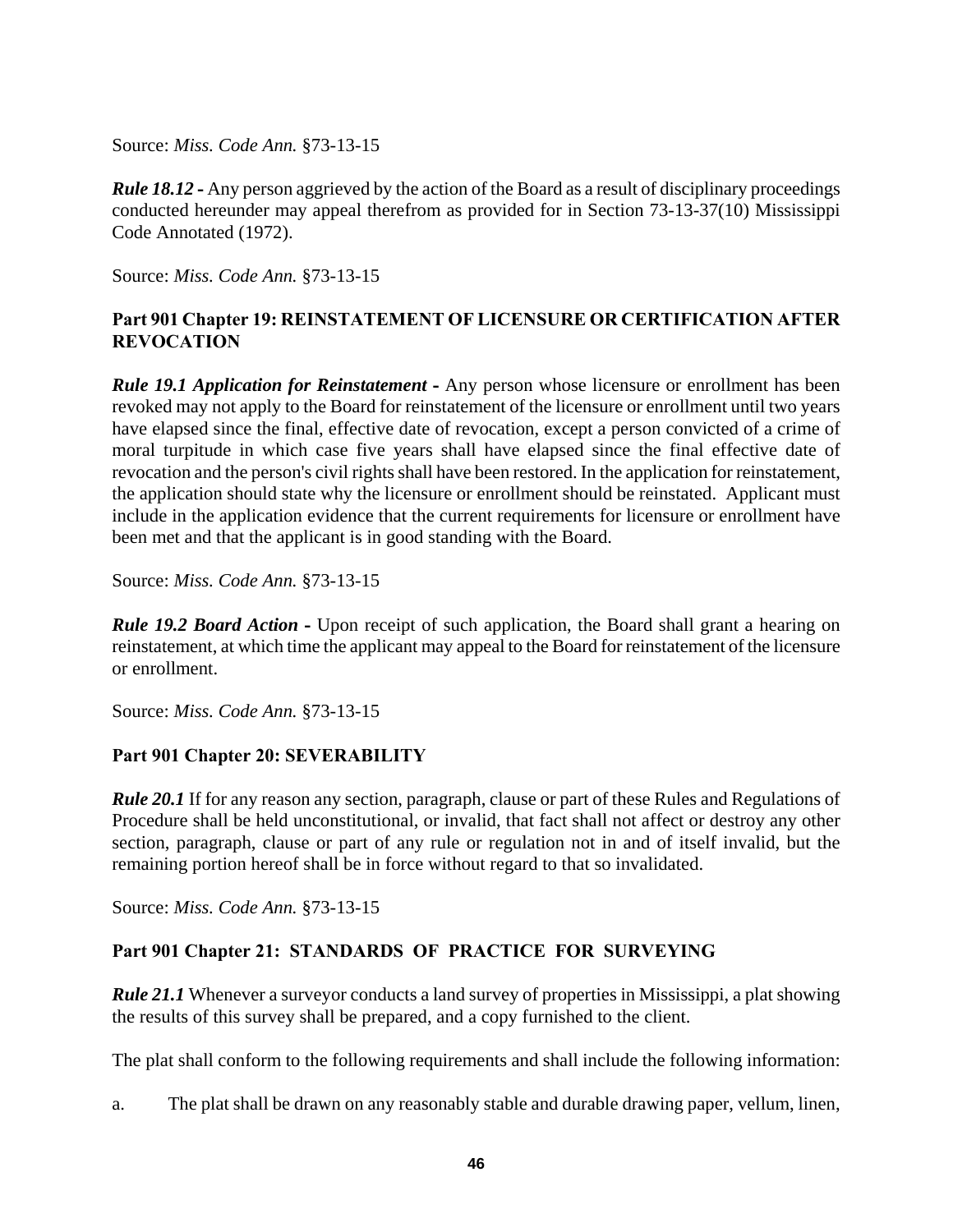*Rule 18.12* - Any person aggrieved by the action of the Board as a result of disciplinary proceedings conducted hereunder may appeal therefrom as provided for in Section 73-13-37(10) Mississippi Code Annotated (1972).

Source: *Miss. Code Ann.* §73-13-15

# **Part 901 Chapter 19: REINSTATEMENT OF LICENSURE OR CERTIFICATION AFTER REVOCATION**

*Rule 19.1 Application for Reinstatement* - Any person whose licensure or enrollment has been revoked may not apply to the Board for reinstatement of the licensure or enrollment until two years have elapsed since the final, effective date of revocation, except a person convicted of a crime of moral turpitude in which case five years shall have elapsed since the final effective date of revocation and the person's civil rights shall have been restored. In the application for reinstatement, the application should state why the licensure or enrollment should be reinstated. Applicant must include in the application evidence that the current requirements for licensure or enrollment have been met and that the applicant is in good standing with the Board.

Source: *Miss. Code Ann.* §73-13-15

*Rule 19.2 Board Action* - Upon receipt of such application, the Board shall grant a hearing on reinstatement, at which time the applicant may appeal to the Board for reinstatement of the licensure or enrollment.

Source: *Miss. Code Ann.* §73-13-15

# **Part 901 Chapter 20: SEVERABILITY**

*Rule 20.1* If for any reason any section, paragraph, clause or part of these Rules and Regulations of Procedure shall be held unconstitutional, or invalid, that fact shall not affect or destroy any other section, paragraph, clause or part of any rule or regulation not in and of itself invalid, but the remaining portion hereof shall be in force without regard to that so invalidated.

Source: *Miss. Code Ann.* §73-13-15

# **Part 901 Chapter 21: STANDARDS OF PRACTICE FOR SURVEYING**

*Rule 21.1* Whenever a surveyor conducts a land survey of properties in Mississippi, a plat showing the results of this survey shall be prepared, and a copy furnished to the client.

The plat shall conform to the following requirements and shall include the following information:

a. The plat shall be drawn on any reasonably stable and durable drawing paper, vellum, linen,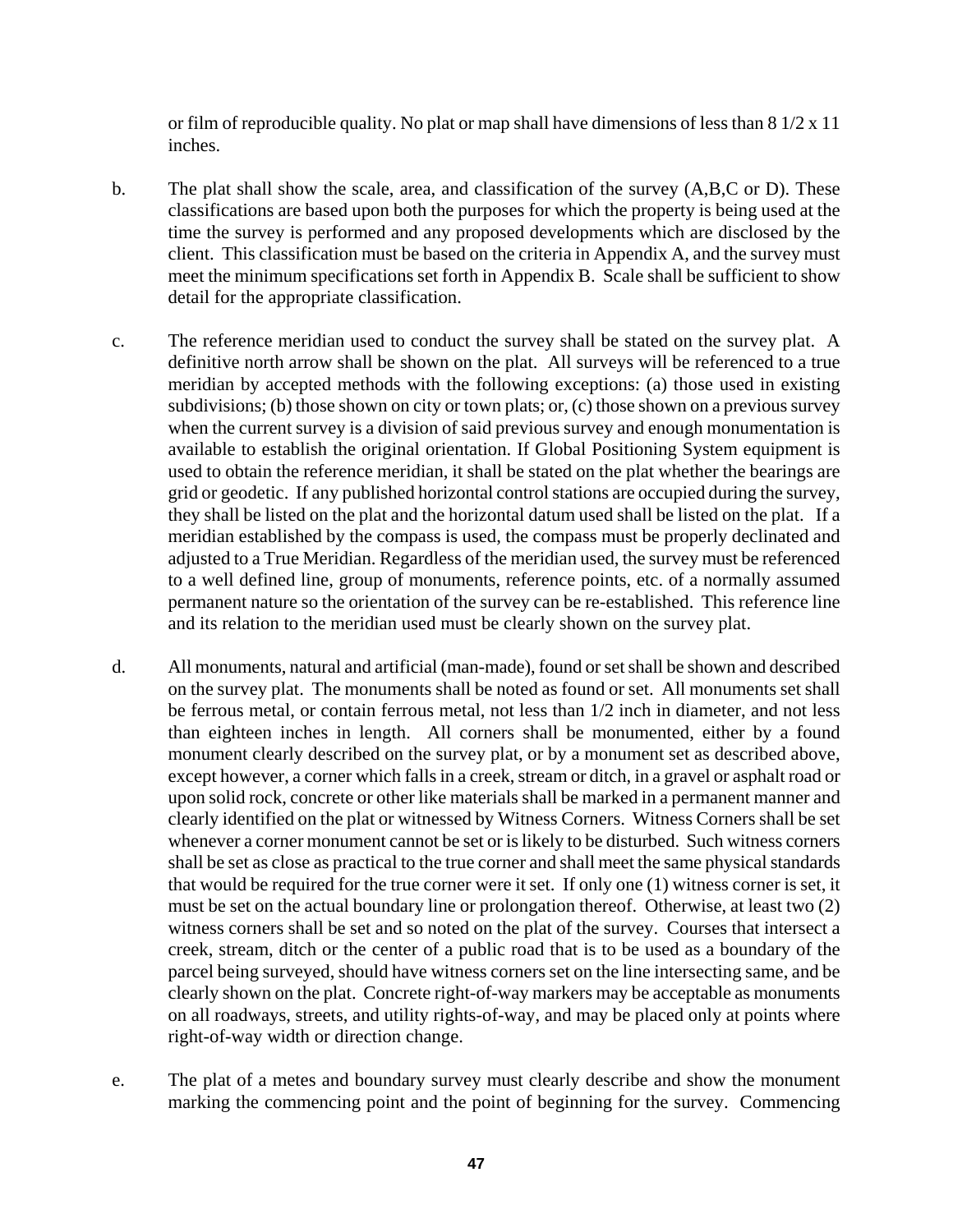or film of reproducible quality. No plat or map shall have dimensions of less than 8 1/2 x 11 inches.

- b. The plat shall show the scale, area, and classification of the survey (A,B,C or D). These classifications are based upon both the purposes for which the property is being used at the time the survey is performed and any proposed developments which are disclosed by the client. This classification must be based on the criteria in Appendix A, and the survey must meet the minimum specifications set forth in Appendix B. Scale shall be sufficient to show detail for the appropriate classification.
- c. The reference meridian used to conduct the survey shall be stated on the survey plat. A definitive north arrow shall be shown on the plat. All surveys will be referenced to a true meridian by accepted methods with the following exceptions: (a) those used in existing subdivisions; (b) those shown on city or town plats; or, (c) those shown on a previous survey when the current survey is a division of said previous survey and enough monumentation is available to establish the original orientation. If Global Positioning System equipment is used to obtain the reference meridian, it shall be stated on the plat whether the bearings are grid or geodetic. If any published horizontal control stations are occupied during the survey, they shall be listed on the plat and the horizontal datum used shall be listed on the plat. If a meridian established by the compass is used, the compass must be properly declinated and adjusted to a True Meridian. Regardless of the meridian used, the survey must be referenced to a well defined line, group of monuments, reference points, etc. of a normally assumed permanent nature so the orientation of the survey can be re-established. This reference line and its relation to the meridian used must be clearly shown on the survey plat.
- d. All monuments, natural and artificial (man-made), found or set shall be shown and described on the survey plat. The monuments shall be noted as found or set. All monuments set shall be ferrous metal, or contain ferrous metal, not less than 1/2 inch in diameter, and not less than eighteen inches in length. All corners shall be monumented, either by a found monument clearly described on the survey plat, or by a monument set as described above, except however, a corner which falls in a creek, stream or ditch, in a gravel or asphalt road or upon solid rock, concrete or other like materials shall be marked in a permanent manner and clearly identified on the plat or witnessed by Witness Corners. Witness Corners shall be set whenever a corner monument cannot be set or is likely to be disturbed. Such witness corners shall be set as close as practical to the true corner and shall meet the same physical standards that would be required for the true corner were it set. If only one (1) witness corner is set, it must be set on the actual boundary line or prolongation thereof. Otherwise, at least two (2) witness corners shall be set and so noted on the plat of the survey. Courses that intersect a creek, stream, ditch or the center of a public road that is to be used as a boundary of the parcel being surveyed, should have witness corners set on the line intersecting same, and be clearly shown on the plat. Concrete right-of-way markers may be acceptable as monuments on all roadways, streets, and utility rights-of-way, and may be placed only at points where right-of-way width or direction change.
- e. The plat of a metes and boundary survey must clearly describe and show the monument marking the commencing point and the point of beginning for the survey. Commencing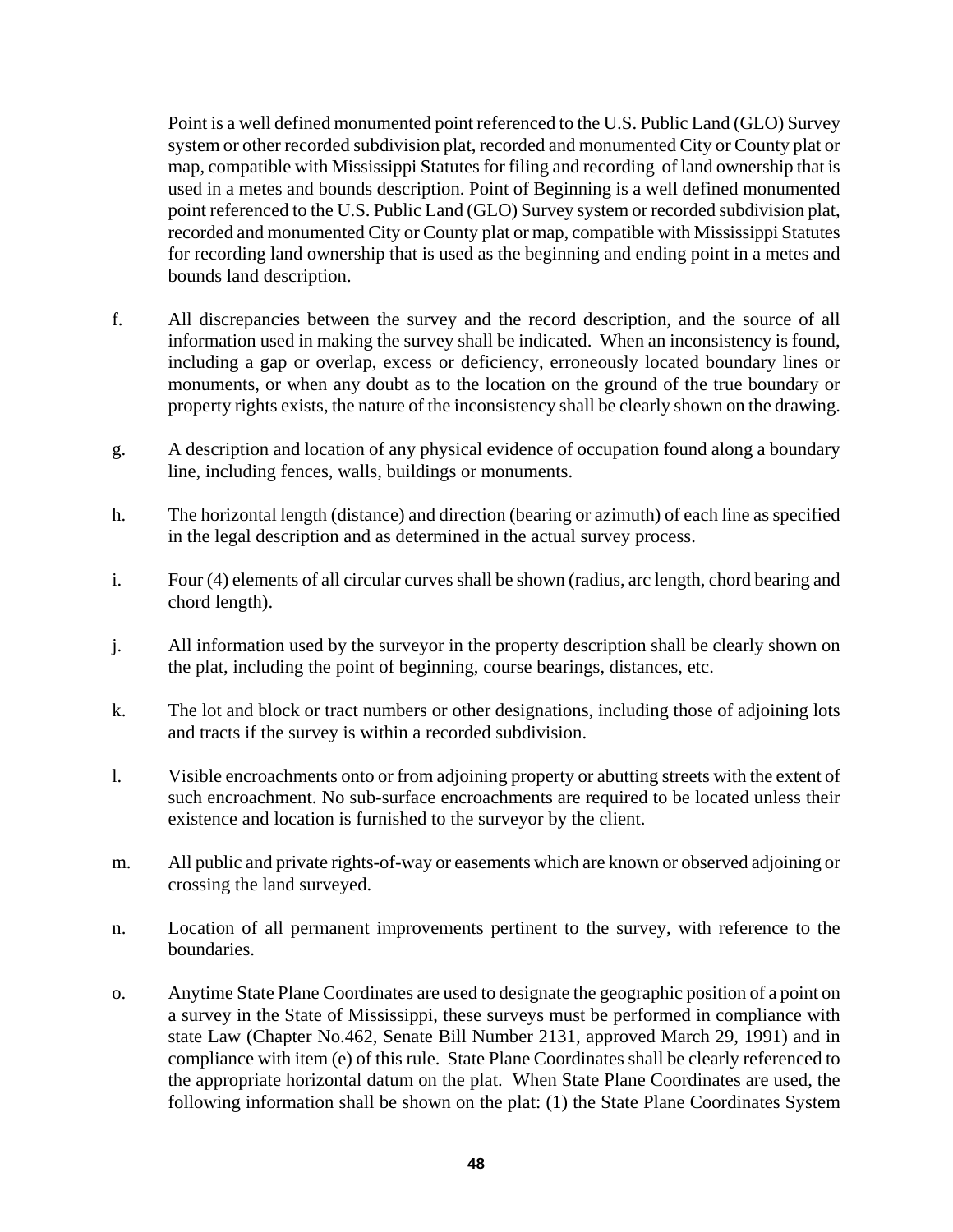Point is a well defined monumented point referenced to the U.S. Public Land (GLO) Survey system or other recorded subdivision plat, recorded and monumented City or County plat or map, compatible with Mississippi Statutes for filing and recording of land ownership that is used in a metes and bounds description. Point of Beginning is a well defined monumented point referenced to the U.S. Public Land (GLO) Survey system or recorded subdivision plat, recorded and monumented City or County plat or map, compatible with Mississippi Statutes for recording land ownership that is used as the beginning and ending point in a metes and bounds land description.

- f. All discrepancies between the survey and the record description, and the source of all information used in making the survey shall be indicated. When an inconsistency is found, including a gap or overlap, excess or deficiency, erroneously located boundary lines or monuments, or when any doubt as to the location on the ground of the true boundary or property rights exists, the nature of the inconsistency shall be clearly shown on the drawing.
- g. A description and location of any physical evidence of occupation found along a boundary line, including fences, walls, buildings or monuments.
- h. The horizontal length (distance) and direction (bearing or azimuth) of each line as specified in the legal description and as determined in the actual survey process.
- i. Four (4) elements of all circular curves shall be shown (radius, arc length, chord bearing and chord length).
- j. All information used by the surveyor in the property description shall be clearly shown on the plat, including the point of beginning, course bearings, distances, etc.
- k. The lot and block or tract numbers or other designations, including those of adjoining lots and tracts if the survey is within a recorded subdivision.
- l. Visible encroachments onto or from adjoining property or abutting streets with the extent of such encroachment. No sub-surface encroachments are required to be located unless their existence and location is furnished to the surveyor by the client.
- m. All public and private rights-of-way or easements which are known or observed adjoining or crossing the land surveyed.
- n. Location of all permanent improvements pertinent to the survey, with reference to the boundaries.
- o. Anytime State Plane Coordinates are used to designate the geographic position of a point on a survey in the State of Mississippi, these surveys must be performed in compliance with state Law (Chapter No.462, Senate Bill Number 2131, approved March 29, 1991) and in compliance with item (e) of this rule. State Plane Coordinates shall be clearly referenced to the appropriate horizontal datum on the plat. When State Plane Coordinates are used, the following information shall be shown on the plat: (1) the State Plane Coordinates System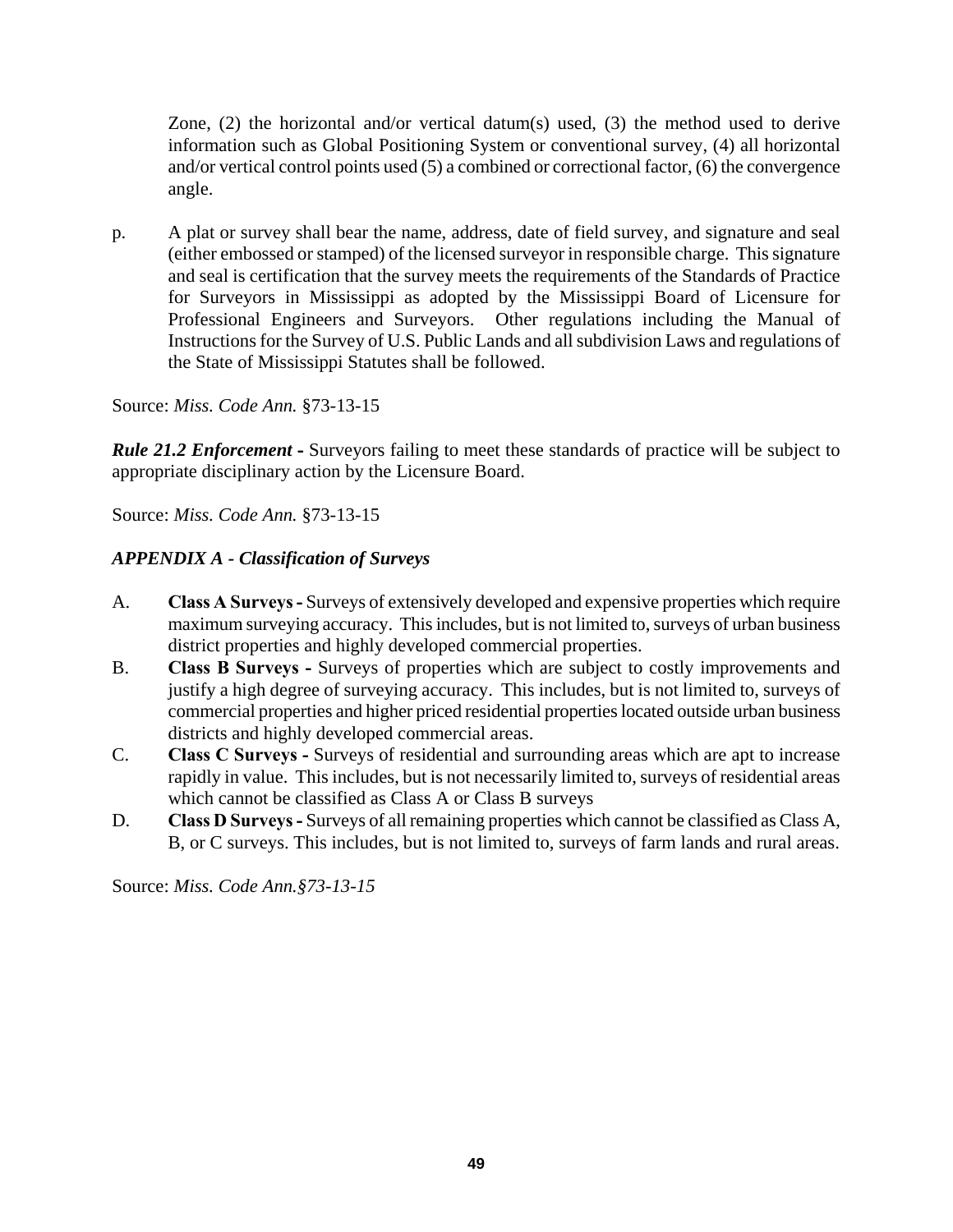Zone, (2) the horizontal and/or vertical datum(s) used, (3) the method used to derive information such as Global Positioning System or conventional survey, (4) all horizontal and/or vertical control points used (5) a combined or correctional factor, (6) the convergence angle.

p. A plat or survey shall bear the name, address, date of field survey, and signature and seal (either embossed or stamped) of the licensed surveyor in responsible charge. This signature and seal is certification that the survey meets the requirements of the Standards of Practice for Surveyors in Mississippi as adopted by the Mississippi Board of Licensure for Professional Engineers and Surveyors. Other regulations including the Manual of Instructions for the Survey of U.S. Public Lands and all subdivision Laws and regulations of the State of Mississippi Statutes shall be followed.

Source: *Miss. Code Ann.* §73-13-15

*Rule 21.2 Enforcement* **-** Surveyors failing to meet these standards of practice will be subject to appropriate disciplinary action by the Licensure Board.

Source: *Miss. Code Ann.* §73-13-15

# *APPENDIX A - Classification of Surveys*

- A. **Class A Surveys** Surveys of extensively developed and expensive properties which require maximum surveying accuracy. This includes, but is not limited to, surveys of urban business district properties and highly developed commercial properties.
- B. **Class B Surveys -** Surveys of properties which are subject to costly improvements and justify a high degree of surveying accuracy. This includes, but is not limited to, surveys of commercial properties and higher priced residential properties located outside urban business districts and highly developed commercial areas.
- C. **Class C Surveys -** Surveys of residential and surrounding areas which are apt to increase rapidly in value. This includes, but is not necessarily limited to, surveys of residential areas which cannot be classified as Class A or Class B surveys
- D. **Class D Surveys -** Surveys of all remaining properties which cannot be classified as Class A, B, or C surveys. This includes, but is not limited to, surveys of farm lands and rural areas.

Source: *Miss. Code Ann.§73-13-15*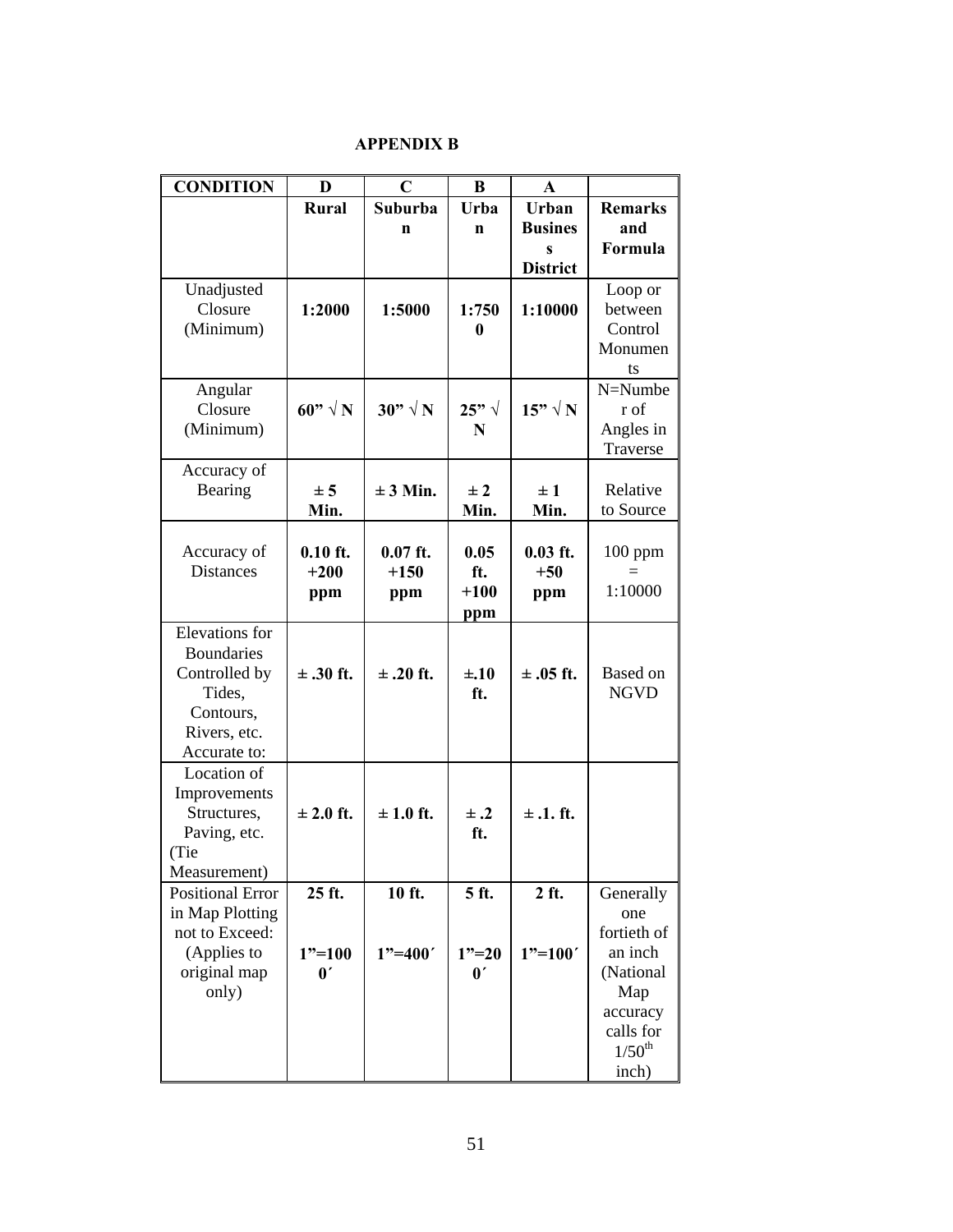### **APPENDIX B**

| <b>CONDITION</b>                | D                     | $\mathbf C$    | B                     | A                   |                    |
|---------------------------------|-----------------------|----------------|-----------------------|---------------------|--------------------|
|                                 | <b>Rural</b>          | Suburba        | Urba                  | Urban               | <b>Remarks</b>     |
|                                 |                       | n              | n                     | <b>Busines</b>      | and                |
|                                 |                       |                |                       | S                   | Formula            |
|                                 |                       |                |                       | <b>District</b>     |                    |
| Unadjusted                      |                       |                |                       |                     | Loop or            |
| Closure                         | 1:2000                | 1:5000         | 1:750                 | 1:10000             | between            |
| (Minimum)                       |                       |                | 0                     |                     | Control<br>Monumen |
|                                 |                       |                |                       |                     | ts                 |
| Angular                         |                       |                |                       |                     | N=Numbe            |
| Closure                         | 60" $\sqrt{N}$        | $30" \sqrt{N}$ | 25" $\sqrt{ }$        | $15" \sqrt{N}$      | r of               |
| (Minimum)                       |                       |                | N                     |                     | Angles in          |
|                                 |                       |                |                       |                     | Traverse           |
| Accuracy of                     |                       |                |                       |                     |                    |
| Bearing                         | ± 5                   | $\pm 3$ Min.   | $\pm 2$               | $\pm 1$             | Relative           |
|                                 | Min.                  |                | Min.                  | Min.                | to Source          |
|                                 |                       | $0.07$ ft.     |                       |                     |                    |
| Accuracy of<br><b>Distances</b> | $0.10$ ft.<br>$+200$  | $+150$         | 0.05<br>ft.           | $0.03$ ft.<br>$+50$ | $100$ ppm<br>$=$   |
|                                 |                       |                | $+100$                |                     | 1:10000            |
|                                 | ppm                   | ppm            | ppm                   | ppm                 |                    |
| <b>Elevations</b> for           |                       |                |                       |                     |                    |
| <b>Boundaries</b>               |                       |                |                       |                     |                    |
| Controlled by                   | $\pm$ .30 ft.         | $\pm$ .20 ft.  | $\pm .10$             | $\pm$ .05 ft.       | Based on           |
| Tides,                          |                       |                | ft.                   |                     | <b>NGVD</b>        |
| Contours,                       |                       |                |                       |                     |                    |
| Rivers, etc.                    |                       |                |                       |                     |                    |
| Accurate to:                    |                       |                |                       |                     |                    |
| Location of                     |                       |                |                       |                     |                    |
| Improvements                    |                       |                |                       |                     |                    |
| Structures,                     | $\pm 2.0$ ft.         | $\pm 1.0$ ft.  | $\pm .2$              | $\pm$ .1. ft.       |                    |
| Paving, etc.                    |                       |                | ft.                   |                     |                    |
| (Tie<br>Measurement)            |                       |                |                       |                     |                    |
| <b>Positional Error</b>         | 25 ft.                | 10 ft.         | 5 ft.                 | 2 ft.               | Generally          |
| in Map Plotting                 |                       |                |                       |                     | one                |
| not to Exceed:                  |                       |                |                       |                     | fortieth of        |
| (Applies to                     | $1"=100$              | $1"=400'$      | $1"=20$               | $1"=100'$           | an inch            |
| original map                    | $\mathbf{0}^{\prime}$ |                | $\mathbf{0}^{\prime}$ |                     | (National          |
| only)                           |                       |                |                       |                     | Map                |
|                                 |                       |                |                       |                     | accuracy           |
|                                 |                       |                |                       |                     | calls for          |
|                                 |                       |                |                       |                     | $1/50^{th}$        |
|                                 |                       |                |                       |                     | inch)              |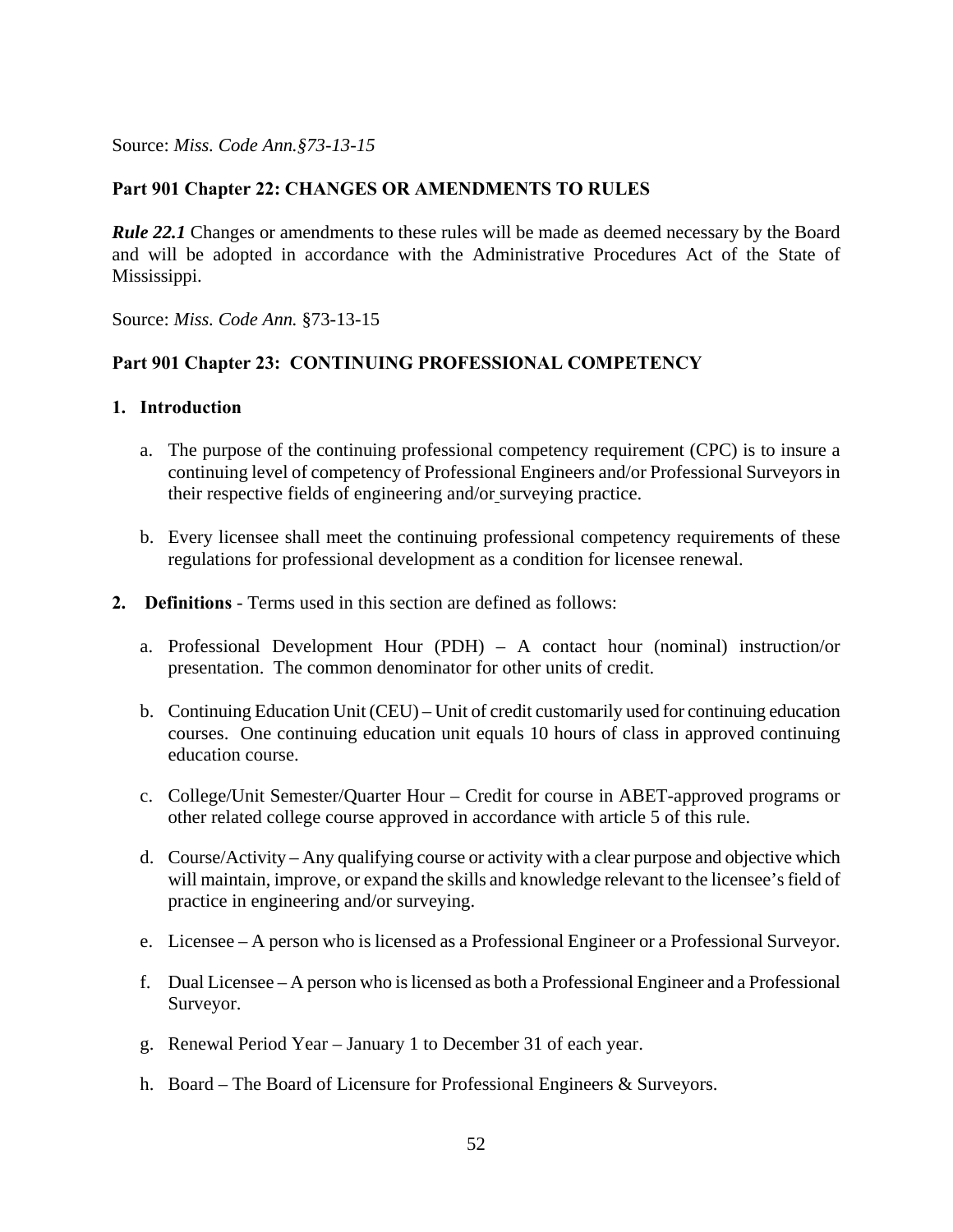### **Part 901 Chapter 22: CHANGES OR AMENDMENTS TO RULES**

*Rule 22.1* Changes or amendments to these rules will be made as deemed necessary by the Board and will be adopted in accordance with the Administrative Procedures Act of the State of Mississippi.

Source: *Miss. Code Ann.* §73-13-15

#### **Part 901 Chapter 23: CONTINUING PROFESSIONAL COMPETENCY**

#### **1. Introduction**

- a. The purpose of the continuing professional competency requirement (CPC) is to insure a continuing level of competency of Professional Engineers and/or Professional Surveyors in their respective fields of engineering and/or surveying practice.
- b. Every licensee shall meet the continuing professional competency requirements of these regulations for professional development as a condition for licensee renewal.
- **2. Definitions** Terms used in this section are defined as follows:
	- a. Professional Development Hour (PDH) A contact hour (nominal) instruction/or presentation. The common denominator for other units of credit.
	- b. Continuing Education Unit (CEU) Unit of credit customarily used for continuing education courses. One continuing education unit equals 10 hours of class in approved continuing education course.
	- c. College/Unit Semester/Quarter Hour Credit for course in ABET-approved programs or other related college course approved in accordance with article 5 of this rule.
	- d. Course/Activity Any qualifying course or activity with a clear purpose and objective which will maintain, improve, or expand the skills and knowledge relevant to the licensee's field of practice in engineering and/or surveying.
	- e. Licensee A person who is licensed as a Professional Engineer or a Professional Surveyor.
	- f. Dual Licensee A person who is licensed as both a Professional Engineer and a Professional Surveyor.
	- g. Renewal Period Year January 1 to December 31 of each year.
	- h. Board The Board of Licensure for Professional Engineers & Surveyors.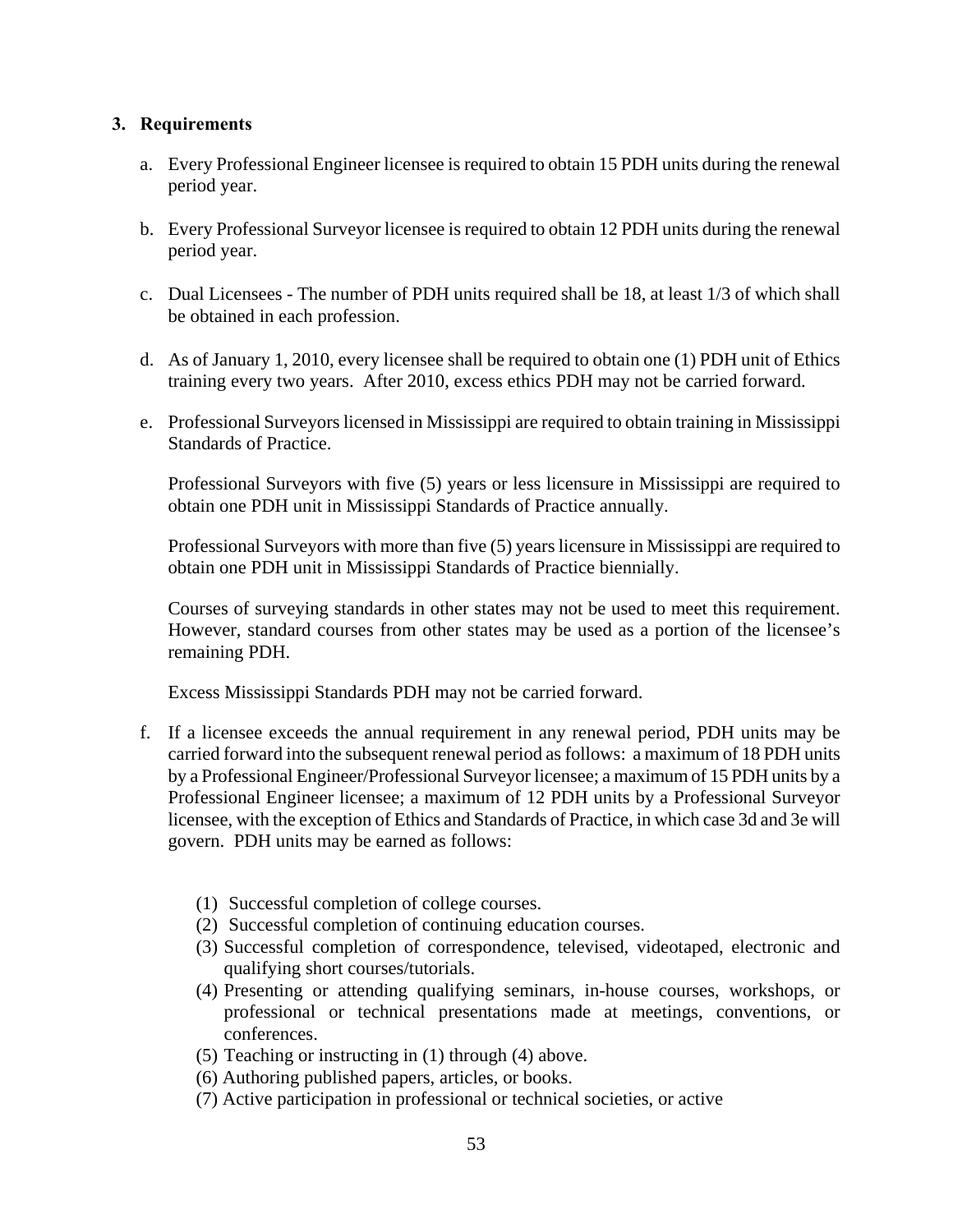### **3. Requirements**

- a. Every Professional Engineer licensee is required to obtain 15 PDH units during the renewal period year.
- b. Every Professional Surveyor licensee is required to obtain 12 PDH units during the renewal period year.
- c. Dual Licensees The number of PDH units required shall be 18, at least 1/3 of which shall be obtained in each profession.
- d. As of January 1, 2010, every licensee shall be required to obtain one (1) PDH unit of Ethics training every two years. After 2010, excess ethics PDH may not be carried forward.
- e. Professional Surveyors licensed in Mississippi are required to obtain training in Mississippi Standards of Practice.

Professional Surveyors with five (5) years or less licensure in Mississippi are required to obtain one PDH unit in Mississippi Standards of Practice annually.

Professional Surveyors with more than five (5) years licensure in Mississippi are required to obtain one PDH unit in Mississippi Standards of Practice biennially.

Courses of surveying standards in other states may not be used to meet this requirement. However, standard courses from other states may be used as a portion of the licensee's remaining PDH.

Excess Mississippi Standards PDH may not be carried forward.

- f. If a licensee exceeds the annual requirement in any renewal period, PDH units may be carried forward into the subsequent renewal period as follows: a maximum of 18 PDH units by a Professional Engineer/Professional Surveyor licensee; a maximum of 15 PDH units by a Professional Engineer licensee; a maximum of 12 PDH units by a Professional Surveyor licensee, with the exception of Ethics and Standards of Practice, in which case 3d and 3e will govern. PDH units may be earned as follows:
	- (1) Successful completion of college courses.
	- (2) Successful completion of continuing education courses.
	- (3) Successful completion of correspondence, televised, videotaped, electronic and qualifying short courses/tutorials.
	- (4) Presenting or attending qualifying seminars, in-house courses, workshops, or professional or technical presentations made at meetings, conventions, or conferences.
	- (5) Teaching or instructing in (1) through (4) above.
	- (6) Authoring published papers, articles, or books.
	- (7) Active participation in professional or technical societies, or active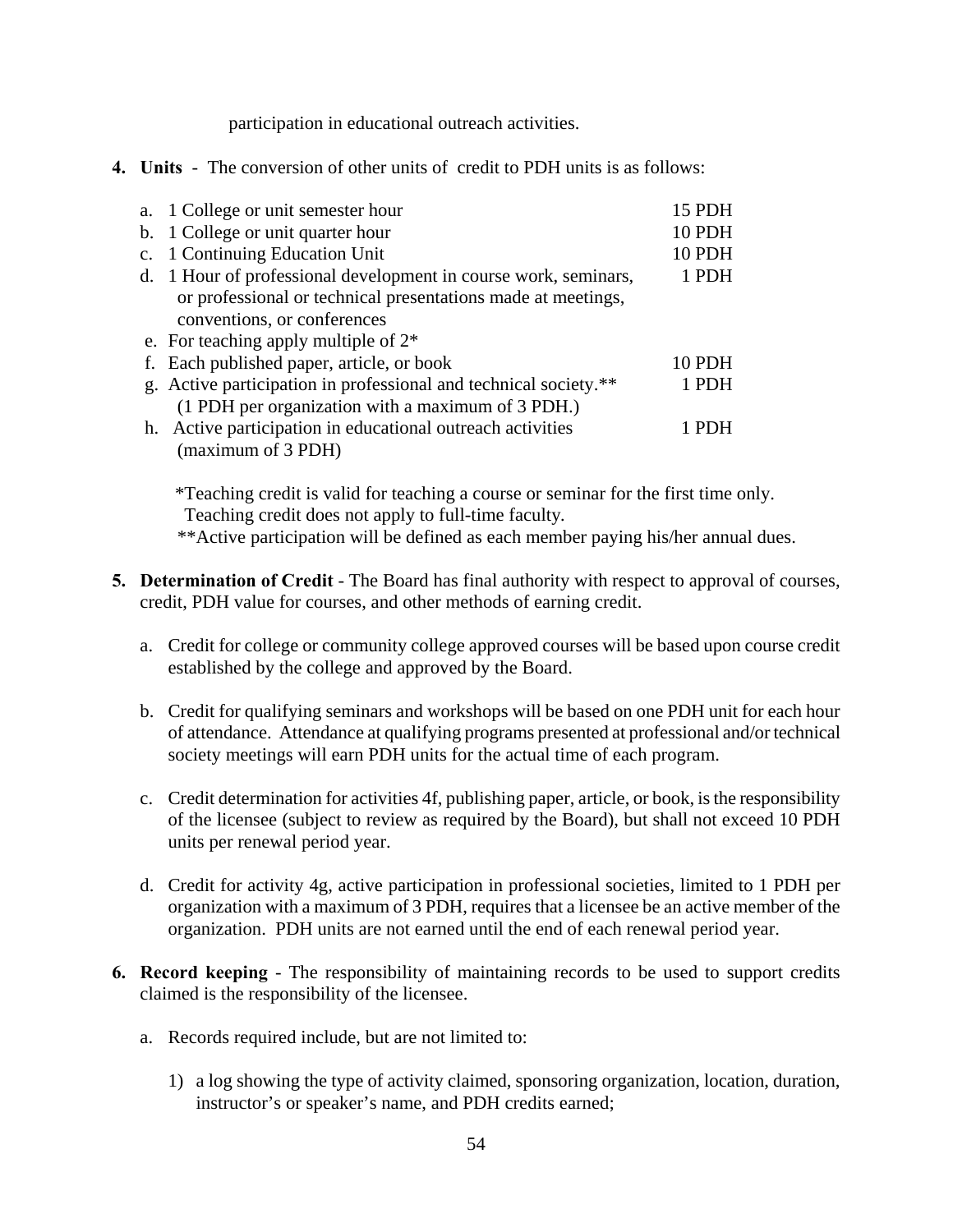participation in educational outreach activities.

**4. Units** - The conversion of other units of credit to PDH units is as follows:

| a. 1 College or unit semester hour                               | 15 PDH |
|------------------------------------------------------------------|--------|
| b. 1 College or unit quarter hour                                | 10 PDH |
| c. 1 Continuing Education Unit                                   | 10 PDH |
| d. 1 Hour of professional development in course work, seminars,  | 1 PDH  |
| or professional or technical presentations made at meetings,     |        |
| conventions, or conferences                                      |        |
| e. For teaching apply multiple of $2^*$                          |        |
| f. Each published paper, article, or book                        | 10 PDH |
| g. Active participation in professional and technical society.** | 1 PDH  |
| (1 PDH per organization with a maximum of 3 PDH.)                |        |
| h. Active participation in educational outreach activities       |        |
| (maximum of 3 PDH)                                               |        |

 \*Teaching credit is valid for teaching a course or seminar for the first time only. Teaching credit does not apply to full-time faculty*.*

\*\*Active participation will be defined as each member paying his/her annual dues.

- **5. Determination of Credit** The Board has final authority with respect to approval of courses, credit, PDH value for courses, and other methods of earning credit.
	- a. Credit for college or community college approved courses will be based upon course credit established by the college and approved by the Board.
	- b. Credit for qualifying seminars and workshops will be based on one PDH unit for each hour of attendance. Attendance at qualifying programs presented at professional and/or technical society meetings will earn PDH units for the actual time of each program.
	- c. Credit determination for activities 4f, publishing paper, article, or book, is the responsibility of the licensee (subject to review as required by the Board), but shall not exceed 10 PDH units per renewal period year.
	- d. Credit for activity 4g, active participation in professional societies, limited to 1 PDH per organization with a maximum of 3 PDH, requires that a licensee be an active member of the organization. PDH units are not earned until the end of each renewal period year.
- **6. Record keeping** The responsibility of maintaining records to be used to support credits claimed is the responsibility of the licensee.
	- a. Records required include, but are not limited to:
		- 1) a log showing the type of activity claimed, sponsoring organization, location, duration, instructor's or speaker's name, and PDH credits earned;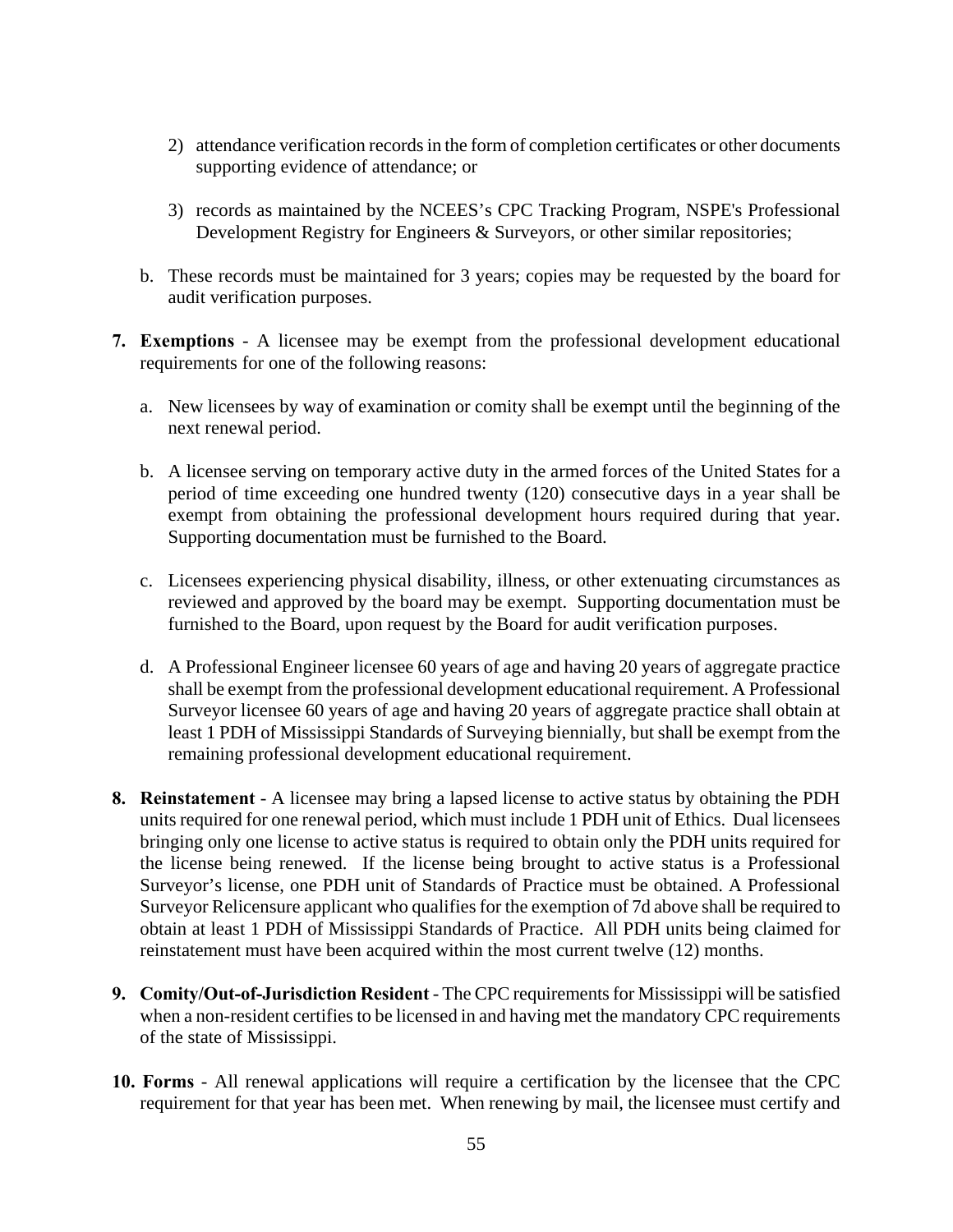- 2) attendance verification records in the form of completion certificates or other documents supporting evidence of attendance; or
- 3) records as maintained by the NCEES's CPC Tracking Program, NSPE's Professional Development Registry for Engineers & Surveyors, or other similar repositories;
- b. These records must be maintained for 3 years; copies may be requested by the board for audit verification purposes.
- **7. Exemptions** A licensee may be exempt from the professional development educational requirements for one of the following reasons:
	- a. New licensees by way of examination or comity shall be exempt until the beginning of the next renewal period.
	- b. A licensee serving on temporary active duty in the armed forces of the United States for a period of time exceeding one hundred twenty (120) consecutive days in a year shall be exempt from obtaining the professional development hours required during that year. Supporting documentation must be furnished to the Board.
	- c. Licensees experiencing physical disability, illness, or other extenuating circumstances as reviewed and approved by the board may be exempt. Supporting documentation must be furnished to the Board, upon request by the Board for audit verification purposes.
	- d. A Professional Engineer licensee 60 years of age and having 20 years of aggregate practice shall be exempt from the professional development educational requirement. A Professional Surveyor licensee 60 years of age and having 20 years of aggregate practice shall obtain at least 1 PDH of Mississippi Standards of Surveying biennially, but shall be exempt from the remaining professional development educational requirement.
- **8. Reinstatement** A licensee may bring a lapsed license to active status by obtaining the PDH units required for one renewal period, which must include 1 PDH unit of Ethics. Dual licensees bringing only one license to active status is required to obtain only the PDH units required for the license being renewed. If the license being brought to active status is a Professional Surveyor's license, one PDH unit of Standards of Practice must be obtained. A Professional Surveyor Relicensure applicant who qualifies for the exemption of 7d above shall be required to obtain at least 1 PDH of Mississippi Standards of Practice. All PDH units being claimed for reinstatement must have been acquired within the most current twelve (12) months.
- **9. Comity/Out-of-Jurisdiction Resident** The CPC requirements for Mississippi will be satisfied when a non-resident certifies to be licensed in and having met the mandatory CPC requirements of the state of Mississippi.
- **10. Forms** All renewal applications will require a certification by the licensee that the CPC requirement for that year has been met. When renewing by mail, the licensee must certify and